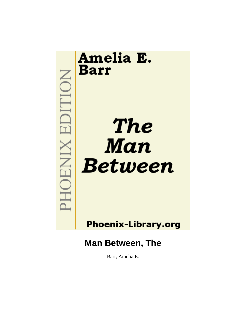

Barr, Amelia E.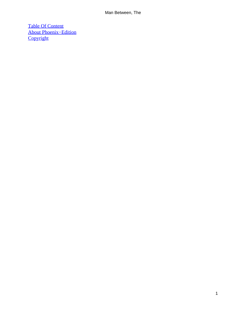[Table Of Content](#page-152-0) [About Phoenix−Edition](#page-153-0) **[Copyright](#page-156-0)**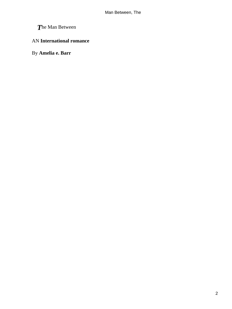# *T*he Man Between

### AN **International romance**

By **Amelia e. Barr**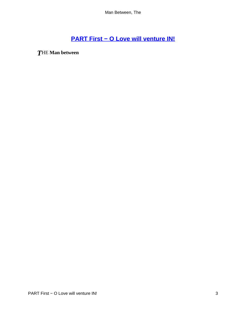# **[PART First − O Love will venture IN!](#page-152-0)**

*T*HE **Man between**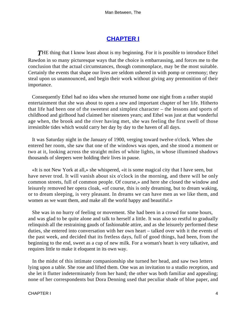## **[CHAPTER I](#page-152-0)**

**THE** thing that I know least about is my beginning. For it is possible to introduce Ethel Rawdon in so many picturesque ways that the choice is embarrassing, and forces me to the conclusion that the actual circumstances, though commonplace, may be the most suitable. Certainly the events that shape our lives are seldom ushered in with pomp or ceremony; they steal upon us unannounced, and begin their work without giving any premonition of their importance.

 Consequently Ethel had no idea when she returned home one night from a rather stupid entertainment that she was about to open a new and important chapter of her life. Hitherto that life had been one of the sweetest and simplest character – the lessons and sports of childhood and girlhood had claimed her nineteen years; and Ethel was just at that wonderful age when, the brook and the river having met, she was feeling the first swell of those irresistible tides which would carry her day by day to the haven of all days.

 It was Saturday night in the January of 1900, verging toward twelve o'clock. When she entered her room, she saw that one of the windows was open, and she stood a moment or two at it, looking across the straight miles of white lights, in whose illumined shadows thousands of sleepers were holding their lives in pause.

 «It is not New York at all,» she whispered, «it is some magical city that I have seen, but have never trod. It will vanish about six o'clock in the morning, and there will be only common streets, full of common people. Of course,» and here she closed the window and leisurely removed her opera cloak, «of course, this is only dreaming, but to dream waking, or to dream sleeping, is very pleasant. In dreams we can have men as we like them, and women as we want them, and make all the world happy and beautiful.»

 She was in no hurry of feeling or movement. She had been in a crowd for some hours, and was glad to be quite alone and talk to herself a little. It was also so restful to gradually relinquish all the restraining gauds of fashionable attire, and as she leisurely performed these duties, she entered into conversation with her own heart – talked over with it the events of the past week, and decided that its fretless days, full of good things, had been, from the beginning to the end, sweet as a cup of new milk. For a woman's heart is very talkative, and requires little to make it eloquent in its own way.

 In the midst of this intimate companionship she turned her head, and saw two letters lying upon a table. She rose and lifted them. One was an invitation to a studio reception, and she let it flutter indeterminately from her hand; the other was both familiar and appealing; none of her correspondents but Dora Denning used that peculiar shade of blue paper, and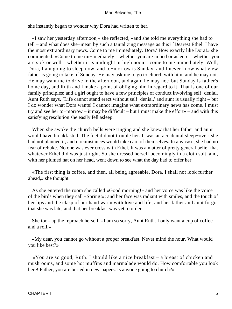she instantly began to wonder why Dora had written to her.

 «I saw her yesterday afternoon,» she reflected, «and she told me everything she had to tell – and what does she−mean by such a tantalizing message as this? `Dearest Ethel: I have the most extraordinary news. Come to me immediately. Dora.' How exactly like Dora!» she commented. «Come to me im− mediately – whether you are in bed or asleep – whether you are sick or well – whether it is midnight or high noon – come to me immediately. Well, Dora, I am going to sleep now, and to−morrow is Sunday, and I never know what view father is going to take of Sunday. He may ask me to go to church with him, and he may not. He may want me to drive in the afternoon, and again he may not; but Sunday is father's home day, and Ruth and I make a point of obliging him in regard to it. That is one of our family principles; and a girl ought to have a few principles of conduct involving self−denial. Aunt Ruth says, `Life cannot stand erect without self−denial,' and aunt is usually right – but I do wonder what Dora wants! I cannot imagine what extraordinary news has come. I must try and see her to−morrow – it may be difficult – but I must make the effort» – and with this satisfying resolution she easily fell asleep.

 When she awoke the church bells were ringing and she knew that her father and aunt would have breakfasted. The feet did not trouble her. It was an accidental sleep−over; she had not planned it, and circumstances would take care of themselves. In any case, she had no fear of rebuke. No one was ever cross with Ethel. It was a matter of pretty general belief that whatever Ethel did was just right. So she dressed herself becomingly in a cloth suit, and, with her plumed hat on her head, went down to see what the day had to offer her.

 «The first thing is coffee, and then, all being agreeable, Dora. I shall not look further ahead,» she thought.

 As she entered the room she called «Good morning!» and her voice was like the voice of the birds when they call «Spring!»; and her face was radiant with smiles, and the touch of her lips and the clasp of her hand warm with love and life; and her father and aunt forgot that she was late, and that her breakfast was yet to order.

 She took up the reproach herself. «I am so sorry, Aunt Ruth. I only want a cup of coffee and a roll.»

 «My dear, you cannot go without a proper breakfast. Never mind the hour. What would you like best?»

 «You are so good, Ruth. I should like a nice breakfast – a breast of chicken and mushrooms, and some hot muffins and marmalade would do. How comfortable you look here! Father, you are buried in newspapers. Is anyone going to church?»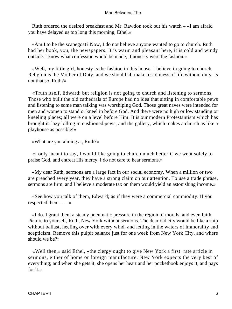Ruth ordered the desired breakfast and Mr. Rawdon took out his watch – «I am afraid you have delayed us too long this morning, Ethel.»

 «Am I to be the scapegoat? Now, I do not believe anyone wanted to go to church. Ruth had her book, you, the newspapers. It is warm and pleasant here, it is cold and windy outside. I know what confession would be made, if honesty were the fashion.»

 «Well, my little girl, honesty is the fashion in this house. I believe in going to church. Religion is the Mother of Duty, and we should all make a sad mess of life without duty. Is not that so, Ruth?»

 «Truth itself, Edward; but religion is not going to church and listening to sermons. Those who built the old cathedrals of Europe had no idea that sitting in comfortable pews and listening to some man talking was worshiping God. Those great naves were intended for men and women to stand or kneel in before God. And there were no high or low standing or kneeling places; all were on a level before Him. It is our modern Protestantism which has brought in lazy lolling in cushioned pews; and the gallery, which makes a church as like a playhouse as possible!»

«What are you aiming at, Ruth?»

 «I only meant to say, I would like going to church much better if we went solely to praise God, and entreat His mercy. I do not care to hear sermons.»

 «My dear Ruth, sermons are a large fact in our social economy. When a million or two are preached every year, they have a strong claim on our attention. To use a trade phrase, sermons are firm, and I believe a moderate tax on them would yield an astonishing income.»

 «See how you talk of them, Edward; as if they were a commercial commodity. If you respected them  $- - \infty$ 

 «I do. I grant them a steady pneumatic pressure in the region of morals, and even faith. Picture to yourself, Ruth, New York without sermons. The dear old city would be like a ship without ballast, heeling over with every wind, and letting in the waters of immorality and scepticism. Remove this pulpit balance just for one week from New York City, and where should we be?»

 «Well then,» said Ethel, «the clergy ought to give New York a first−rate article in sermons, either of home or foreign manufacture. New York expects the very best of everything; and when she gets it, she opens her heart and her pocketbook enjoys it, and pays for it.»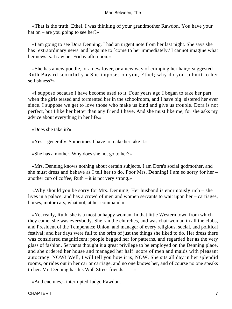«That is the truth, Ethel. I was thinking of your grandmother Rawdon. You have your hat on – are you going to see her?»

 «I am going to see Dora Denning. I had an urgent note from her last night. She says she has `extraordinary news' and begs me to `come to her immediately.' I cannot imagine what her news is. I saw her Friday afternoon.»

 «She has a new poodle, or a new lover, or a new way of crimping her hair,» suggested Ruth Bayard scornfully.« She imposes on you, Ethel; why do you submit to her selfishness?»

 «I suppose because I have become used to it. Four years ago I began to take her part, when the girls teased and tormented her in the schoolroom, and I have big−sistered her ever since. I suppose we get to love those who make us kind and give us trouble. Dora is not perfect, but I like her better than any friend I have. And she must like me, for she asks my advice about everything in her life.»

«Does she take it?»

«Yes – generally. Sometimes I have to make her take it.»

«She has a mother. Why does she not go to her?»

 «Mrs. Denning knows nothing about certain subjects. I am Dora's social godmother, and she must dress and behave as I tell her to do. Poor Mrs. Denning! I am so sorry for her – another cup of coffee,  $Ruth - it$  is not very strong.»

 «Why should you be sorry for Mrs. Denning, Her husband is enormously rich – she lives in a palace, and has a crowd of men and women servants to wait upon her – carriages, horses, motor cars, what not, at her command.»

 «Yet really, Ruth, she is a most unhappy woman. In that little Western town from which they came, she was everybody. She ran the churches, and was chairwoman in all the clubs, and President of the Temperance Union, and manager of every religious, social, and political festival; and her days were full to the brim of just the things she liked to do. Her dress there was considered magnificent; people begged her for patterns, and regarded her as the very glass of fashion. Servants thought it a great privilege to be employed on the Denning place, and she ordered her house and managed her half−score of men and maids with pleasant autocracy. NOW! Well, I will tell you how it is, NOW. She sits all day in her splendid rooms, or rides out in her car or carriage, and no one knows her, and of course no one speaks to her. Mr. Denning has his Wall Street friends  $- \rightarrow \infty$ 

«And enemies,» interrupted Judge Rawdon.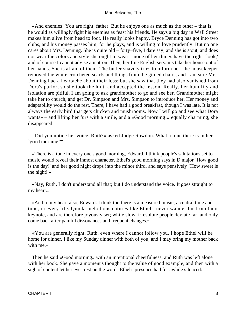«And enemies! You are right, father. But he enjoys one as much as the other – that is, he would as willingly fight his enemies as feast his friends. He says a big day in Wall Street makes him alive from head to foot. He really looks happy. Bryce Denning has got into two clubs, and his money passes him, for he plays, and is willing to love prudently. But no one cares about Mrs. Denning. She is quite old – forty−five, I dare say; and she is stout, and does not wear the colors and style she ought to wear – none of her things have the right `look,' and of course I cannot advise a matron. Then, her fine English servants take her house out of her hands. She is afraid of them. The butler suavely tries to inform her; the housekeeper removed the white crotcheted scarfs and things from the gilded chairs, and I am sure Mrs. Denning had a heartache about their loss; but she saw that they had also vanished from Dora's parlor, so she took the hint, and accepted the lesson. Really, her humility and isolation are pitiful. I am going to ask grandmother to go and see her. Grandmother might take her to church, and get Dr. Simpson and Mrs. Simpson to introduce her. Her money and adaptability would do the rest. There, I have had a good breakfast, though I was late. It is not always the early bird that gets chicken and mushrooms. Now I will go and see what Dora wants» – and lifting her furs with a smile, and a «Good morning!» equally charming, she disappeared.

 «Did you notice her voice, Ruth?» asked Judge Rawdon. What a tone there is in her `good morning!'"

 «There is a tone in every one's good morning, Edward. I think people's salutations set to music would reveal their inmost character. Ethel's good morning says in D major `How good is the day!' and her good night drops into the minor third, and says pensively `How sweet is the night!'»

 «Nay, Ruth, I don't understand all that; but I do understand the voice. It goes straight to my heart.»

 «And to my heart also, Edward. I think too there is a measured music, a central time and tune, in every life. Quick, melodious natures like Ethel's never wander far from their keynote, and are therefore joyously set; while slow, irresolute people deviate far, and only come back after painful dissonances and frequent changes.»

 «You are generally right, Ruth, even where I cannot follow you. I hope Ethel will be home for dinner. I like my Sunday dinner with both of you, and I may bring my mother back with me.»

 Then he said «Good morning» with an intentional cheerfulness, and Ruth was left alone with her book. She gave a moment's thought to the value of good example, and then with a sigh of content let her eyes rest on the words Ethel's presence had for awhile silenced: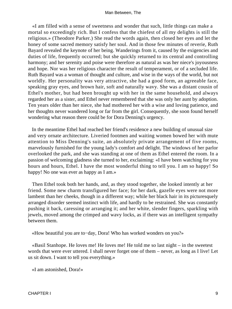«I am filled with a sense of sweetness and wonder that such, little things can make a mortal so exceedingly rich. But I confess that the chiefest of all my delights is still the religious.» (Theodore Parker.) She read the words again, then closed her eyes and let the honey of some sacred memory satisfy her soul. And in those few minutes of reverie, Ruth Bayard revealed the keynote of her being. Wanderings from it, caused by the exigencies and duties of life, frequently occurred; but she quickly returned to its central and controlling harmony; and her serenity and poise were therefore as natural as was her niece's joyousness and hope. Nor was her religious character the result of temperament, or of a secluded life. Ruth Bayard was a woman of thought and culture, and wise in the ways of the world, but not worldly. Her personality was very attractive, she had a good form, an agreeable face, speaking gray eyes, and brown hair, soft and naturally wavy. She was a distant cousin of Ethel's mother, but had been brought up with her in the same household, and always regarded her as a sister, and Ethel never remembered that she was only her aunt by adoption. Ten years older than her niece, she had mothered her with a wise and loving patience, and her thoughts never wandered long or far from the girl. Consequently, she soon found herself wondering what reason there could be for Dora Denning's urgency.

 In the meantime Ethel had reached her friend's residence a new building of unusual size and very ornate architecture. Liveried footmen and waiting women bowed her with mute attention to Miss Denning's suite, an absolutely private arrangement of five rooms, marvelously furnished for the young lady's comfort and delight. The windows of her parlor overlooked the park, and she was standing at one of them as Ethel entered the room. In a passion of welcoming gladness she turned to her, exclaiming: «I have been watching for you hours and hours, Ethel. I have the most wonderful thing to tell you. I am so happy! So happy! No one was ever as happy as I am.»

 Then Ethel took both her hands, and, as they stood together, she looked intently at her friend. Some new charm transfigured her face; for her dark, gazelle eyes were not more lambent than her cheeks, though in a different way; while her black hair in its picturesquely arranged disorder seemed instinct with life, and hardly to be restrained. She was constantly pushing it back, caressing or arranging it; and her white, slender fingers, sparkling with jewels, moved among the crimped and wavy locks, as if there was an intelligent sympathy between them.

«How beautiful you are to−day, Dora! Who has worked wonders on you?»

 «Basil Stanhope. He loves me! He loves me! He told me so last night – in the sweetest words that were ever uttered. I shall never forget one of them – never, as long as I live! Let us sit down. I want to tell you everything.»

«I am astonished, Dora!»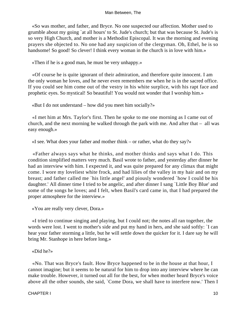«So was mother, and father, and Bryce. No one suspected our affection. Mother used to grumble about my going `at all hours' to St. Jude's church; but that was because St. Jude's is so very High Church, and mother is a Methodist Episcopal. It was the morning and evening prayers she objected to. No one had any suspicion of the clergyman. Oh, Ethel, he is so handsome! So good! So clever! I think every woman in the church is in love with him.»

«Then if he is a good man, he must be very unhappy.»

 «Of course he is quite ignorant of their admiration, and therefore quite innocent. I am the only woman he loves, and he never even remembers me when he is in the sacred office. If you could see him come out of the vestry in his white surplice, with his rapt face and prophetic eyes. So mystical! So beautiful! You would not wonder that I worship him.»

«But I do not understand – how did you meet him socially?»

 «I met him at Mrs. Taylor's first. Then he spoke to me one morning as I came out of church, and the next morning he walked through the park with me. And after that  $-$  all was easy enough.»

«I see. What does your father and mother think – or rather, what do they say?»

 «Father always says what he thinks, and mother thinks and says what I do. This condition simplified matters very much. Basil wrote to father, and yesterday after dinner he had an interview with him. I expected it, and was quite prepared for any climax that might come. I wore my loveliest white frock, and had lilies of the valley in my hair and on my breast; and father called me `his little angel' and piously wondered `how I could be his daughter.' All dinner time I tried to be angelic, and after dinner I sang `Little Boy Blue' and some of the songs he loves; and I felt, when Basil's card came in, that I had prepared the proper atmosphere for the interview.»

«You are really very clever, Dora.»

 «I tried to continue singing and playing, but I could not; the notes all ran together, the words were lost. I went to mother's side and put my hand in hers, and she said softly: `I can hear your father storming a little, but he will settle down the quicker for it. I dare say he will bring Mr. Stanhope in here before long.»

«Did he?»

 «No. That was Bryce's fault. How Bryce happened to be in the house at that hour, I cannot imagine; but it seems to be natural for him to drop into any interview where he can make trouble. However, it turned out all for the best, for when mother heard Bryce's voice above all the other sounds, she said, `Come Dora, we shall have to interfere now.' Then I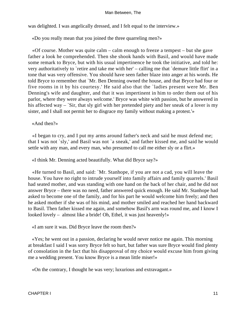was delighted. I was angelically dressed, and I felt equal to the interview.»

«Do you really mean that you joined the three quarreling men?»

 «Of course. Mother was quite calm – calm enough to freeze a tempest – but she gave father a look he comprehended. Then she shook hands with Basil, and would have made some remark to Bryce, but with his usual impertinence he took the initiative, and told he: very authoritatively to `retire and take me with her' – calling me that `demure little flirt' in a tone that was very offensive. You should have seen father blaze into anger at his words. He told Bryce to remember that `Mr. Ben Denning owned the house, and that Bryce had four or five rooms in it by his courtesy.' He said also that the `ladies present were Mr. Ben Denning's wife and daughter, and that it was impertinent in him to order them out of his parlor, where they were always welcome.' Bryce was white with passion, but he answered in his affected way – `Sir, that sly girl with her pretended piety and her sneak of a lover is my sister, and I shall not permit her to disgrace my family without making a protest.'»

#### «And then?»

 «I began to cry, and I put my arms around father's neck and said he must defend me; that I was not `sly,' and Basil was not `a sneak,' and father kissed me, and said he would settle with any man, and every man, who presumed to call me either sly or a flirt.»

«I think Mr. Denning acted beautifully. What did Bryce say?»

 «He turned to Basil, and said: `Mr. Stanhope, if you are not a cad, you will leave the house. You have no right to intrude yourself into family affairs and family quarrels.' Basil had seated mother, and was standing with one hand on the back of her chair, and he did not answer Bryce – there was no need, father answered quick enough. He said Mr. Stanhope had asked to become one of the family, and for his part he would welcome him freely; and then he asked mother if she was of his mind, and mother smiled and reached her hand backward to Basil. Then father kissed me again, and somehow Basil's arm was round me, and I know I looked lovely – almost like a bride! Oh, Ethel, it was just heavenly!»

«I am sure it was. Did Bryce leave the room then?»

 «Yes; he went out in a passion, declaring he would never notice me again. This morning at breakfast I said I was sorry Bryce felt so hurt, but father was sure Bryce would find plenty of consolation in the fact that his disapproval of my choice would excuse him from giving me a wedding present. You know Bryce is a mean little miser!»

«On the contrary, I thought he was very; luxurious and extravagant.»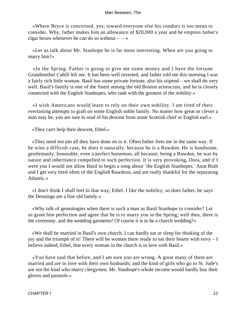«Where Bryce is concerned, yes; toward everyone else his conduct is too mean to consider. Why, father makes him an allowance of \$20,000 a year and he empties father's cigar boxes whenever he can do so without  $-$  – »

 «Let us talk about Mr. Stanhope he is far more interesting. When are you going to marry him?»

 «In the Spring. Father is going to give me some money and I have the fortune Grandmother Cahill left me. It has been well invested, and father told me this morning I was a fairly rich little woman. Basil has some private fortune, also his stipend – we shall do very well. Basil's family is one of the finest among the old Boston aristocrats, and he is closely connected with the English Stanhopes, who rank with the greatest of the nobility.»

 «I wish Americans would learn to rely on their own nobility. I am tired of their everlasting attempts to graft on some English noble family. No matter how great or clever a man may be, you are sure to read of his descent from some Scottish chief or English earl.»

«They can't help their descent, Ethel.»

 «They need not pin all they have done on to it. Often father frets me in the same way. If he wins a difficult case, he does it naturally, because he is a Rawdon. He is handsome, gentlemanly, honorable, even a perfect horseman, all because, being a Rawdon, he was by nature and inheritance compelled to such perfection. It is very provoking, Dora, and if I were you I would not allow Basil to begin a song about `the English Stanhopes.' Aunt Ruth and I get very tired often of the English Rawdons, and are really thankful for the separating Atlantic.»

 «I don't think I shall feel in that way, Ethel. I like the nobility; so does father, he says the Dennings are a fine old family.»

 «Why talk of genealogies when there is such a man as Basil Stanhope to consider? Let us grant him perfection and agree that he is to marry you in the Spring; well then, there is the ceremony, and the wedding garments! Of course it is to be a church wedding?»

 «We shall be married in Basil's own church. I can hardly eat or sleep for thinking of the joy and the triumph of it! There will be women there ready to eat their hearts with envy  $-I$ believe indeed, Ethel, that every woman in the church is in love with Basil.»

 «You have said that before, and I am sure you are wrong. A great many of them are married and are in love with their own husbands; and the kind of girls who go to St. Jude's are not the kind who marry clergymen. Mr. Stanhope's whole income would hardly buy their gloves and parasols.»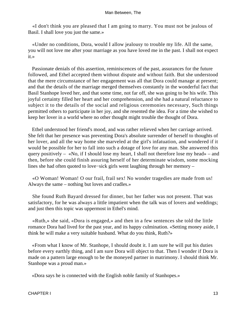«I don't think you are pleased that I am going to marry. You must not be jealous of Basil. I shall love you just the same.»

 «Under no conditions, Dora, would I allow jealousy to trouble my life. All the same, you will not love me after your marriage as you have loved me in the past. I shall not expect it.»

 Passionate denials of this assertion, reminiscences of the past, assurances for the future followed, and Ethel accepted them without dispute and without faith. But she understood that the mere circumstance of her engagement was all that Dora could manage at present; and that the details of the marriage merged themselves constantly in the wonderful fact that Basil Stanhope loved her, and that some time, not far off, she was going to be his wife. This joyful certainty filled her heart and her comprehension, and she had a natural reluctance to subject it to the details of the social and religious ceremonies necessary, Such things permitted others to participate in her joy, and she resented the idea. For a time she wished to keep her lover in a world where no other thought might trouble the thought of Dora.

 Ethel understood her friend's mood, and was rather relieved when her carriage arrived. She felt that her presence was preventing Dora's absolute surrender of herself to thoughts of her lover, and all the way home she marveled at the girl's infatuation, and wondered if it would be possible for her to fall into such a dotage of love for any man. She answered this query positively – «No, if I should lose my heart, I shall not therefore lose my head» – and then, before she could finish assuring herself of her determinate wisdom, some mocking lines she had often quoted to love−sick girls went laughing through her memory –

 «O Woman! Woman! O our frail, frail sex! No wonder tragedies are made from us! Always the same – nothing but loves and cradles.»

 She found Ruth Bayard dressed for dinner, but her father was not present. That was satisfactory, for he was always a little impatient when the talk was of lovers and weddings; and just then this topic was uppermost in Ethel's mind.

 «Ruth,» she said, «Dora is engaged,» and then in a few sentences she told the little romance Dora had lived for the past year, and its happy culmination. «Setting money aside, I think he will make a very suitable husband. What do you think, Ruth?»

 «From what I know of Mr. Stanhope, I should doubt it. I am sure he will put his duties before every earthly thing, and I am sure Dora will object to that. Then I wonder if Dora is made on a pattern large enough to be the moneyed partner in matrimony. I should think Mr. Stanhope was a proud man.»

«Dora says he is connected with the English noble family of Stanhopes.»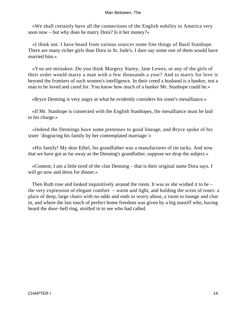«We shall certainly have all the connections of the English nobility in America very soon now – but why does he marry Dora? Is it her money?»

 «I think not. I have heard from various sources some fine things of Basil Stanhope. There are many richer girls than Dora in St. Jude's. I dare say some one of them would have married him.»

 «You are mistaken. Do you think Margery Starey, Jane Lewes, or any of the girls of their order would marry a man with a few thousands a year? And to marry for love is beyond the frontiers of such women's intelligence. In their creed a husband is a banker, not a man to be loved and cared for. You know how much of a banker Mr. Stanhope could be.»

«Bryce Denning is very angry at what he evidently considers his sister's mesalliance.»

 «If Mr. Stanhope is connected with the English Stanhopes, the mesalliance must be laid to his charge.»

 «Indeed the Dennings have some pretenses to good lineage, and Bryce spoke of his sister `disgracing his family by her contemplated marriage.'»

 «His family! My dear Ethel, his grandfather was a manufacturer of tin tacks. And now that we have got as far away as the Denning's grandfather, suppose we drop the subject.»

 «Content; I am a little tired of the clan Denning – that is their original name Dora says. I will go now and dress for dinner.»

 Then Ruth rose and looked inquisitively around the room. It was as she wished it to be – the very expression of elegant comfort – warm and light, and holding the scent of roses: a place of deep, large chairs with no odds and ends to worry about, a room to lounge and chat in, and where the last touch of perfect home freedom was given by a big mastiff who, having heard the door−bell ring, strolled in to see who had called.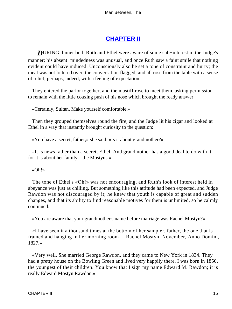# **[CHAPTER II](#page-152-0)**

*D*URING dinner both Ruth and Ethel were aware of some sub−interest in the Judge's manner; his absent−mindedness was unusual, and once Ruth saw a faint smile that nothing evident could have induced. Unconsciously also he set a tone of constraint and hurry; the meal was not loitered over, the conversation flagged, and all rose from the table with a sense of relief; perhaps, indeed, with a feeling of expectation.

 They entered the parlor together, and the mastiff rose to meet them, asking permission to remain with the little coaxing push of his nose which brought the ready answer:

«Certainly, Sultan. Make yourself comfortable.»

 Then they grouped themselves round the fire, and the Judge lit his cigar and looked at Ethel in a way that instantly brought curiosity to the question:

«You have a secret, father,» she said. «Is it about grandmother?»

 «It is news rather than a secret, Ethel. And grandmother has a good deal to do with it, for it is about her family – the Mostyns.»

«Oh!»

 The tone of Ethel's «Oh!» was not encouraging, and Ruth's look of interest held in abeyance was just as chilling. But something like this attitude had been expected, and Judge Rawdon was not discouraged by it; he knew that youth is capable of great and sudden changes, and that its ability to find reasonable motives for them is unlimited, so he calmly continued:

«You are aware that your grandmother's name before marriage was Rachel Mostyn?»

 «I have seen it a thousand times at the bottom of her sampler, father, the one that is framed and hanging in her morning room – Rachel Mostyn, November, Anno Domini, 1827.»

 «Very well. She married George Rawdon, and they came to New York in 1834. They had a pretty house on the Bowling Green and lived very happily there. I was born in 1850, the youngest of their children. You know that I sign my name Edward M. Rawdon; it is really Edward Mostyn Rawdon.»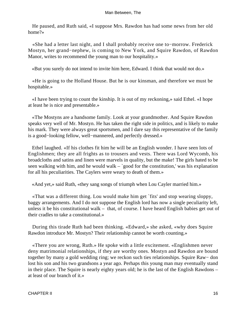He paused, and Ruth said, «I suppose Mrs. Rawdon has had some news from her old home?»

 «She had a letter last night, and I shall probably receive one to−morrow. Frederick Mostyn, her grand−nephew, is coming to New York, and Squire Rawdon, of Rawdon Manor, writes to recommend the young man to our hospitality.»

«But you surely do not intend to invite him here, Edward. I think that would not do.»

 «He is going to the Holland House. But he is our kinsman, and therefore we must be hospitable.»

 «I have been trying to count the kinship. It is out of my reckoning,» said Ethel. «I hope at least he is nice and presentable.»

 «The Mostyns are a handsome family. Look at your grandmother. And Squire Rawdon speaks very well of Mr. Mostyn. He has taken the right side in politics, and is likely to make his mark. They were always great sportsmen, and I dare say this representative of the family is a good−looking fellow, well−mannered, and perfectly dressed.»

 Ethel laughed. «If his clothes fit him he will be an English wonder. I have seen lots of Englishmen; they are all frights as to trousers and vests. There was Lord Wycomb, his broadcloths and satins and linen were marvels in quality, but the make! The girls hated to be seen walking with him, and he would walk  $-$  good for the constitution,' was his explanation for all his peculiarities. The Caylers were weary to death of them.»

«And yet,» said Ruth, «they sang songs of triumph when Lou Cayler married him.»

 «That was a different thing. Lou would make him get `fits' and stop wearing sloppy, baggy arrangements. And I do not suppose the English lord has now a single peculiarity left, unless it be his constitutional walk – that, of course. I have heard English babies get out of their cradles to take a constitutional.»

 During this tirade Ruth had been thinking. «Edward,» she asked, «why does Squire Rawdon introduce Mr. Mostyn? Their relationship cannot be worth counting.»

 «There you are wrong, Ruth.» He spoke with a little excitement. «Englishmen never deny matrimonial relationships, if they are worthy ones. Mostyn and Rawdon are bound together by many a gold wedding ring; we reckon such ties relationships. Squire Raw− don lost his son and his two grandsons a year ago. Perhaps this young man may eventually stand in their place. The Squire is nearly eighty years old; he is the last of the English Rawdons – at least of our branch of it.»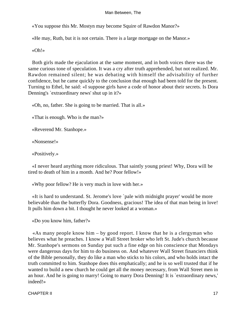«You suppose this Mr. Mostyn may become Squire of Rawdon Manor?»

«He may, Ruth, but it is not certain. There is a large mortgage on the Manor.»

«Oh!»

 Both girls made the ejaculation at the same moment, and in both voices there was the same curious tone of speculation. It was a cry after truth apprehended, but not realized. Mr. Rawdon remained silent; he was debating with himself the advisability of further confidence, but he came quickly to the conclusion that enough had been told for the present. Turning to Ethel, he said: «I suppose girls have a code of honor about their secrets. Is Dora Denning's `extraordinary news' shut up in it?»

«Oh, no, father. She is going to be married. That is all.»

«That is enough. Who is the man?»

«Reverend Mr. Stanhope.»

«Nonsense!»

«Positively.»

 «I never heard anything more ridiculous. That saintly young priest! Why, Dora will be tired to death of him in a month. And he? Poor fellow!»

«Why poor fellow? He is very much in love with her.»

 «It is hard to understand. St. Jerome's love `pale with midnight prayer' would be more believable than the butterfly Dora. Goodness, gracious! The idea of that man being in love! It pulls him down a bit. I thought he never looked at a woman.»

«Do you know him, father?»

 «As many people know him – by good report. I know that he is a clergyman who believes what he preaches. I know a Wall Street broker who left St. Jude's church because Mr. Stanhope's sermons on Sunday put such a fine edge on his conscience that Mondays were dangerous days for him to do business on. And whatever Wall Street financiers think of the Bible personally, they do like a man who sticks to his colors, and who holds intact the truth committed to him. Stanhope does this emphatically; and he is so well trusted that if he wanted to build a new church he could get all the money necessary, from Wall Street men in an hour. And he is going to marry! Going to marry Dora Denning! It is `extraordinary news,' indeed!»

CHAPTER II 17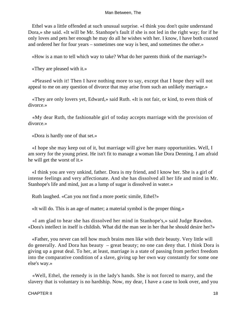Ethel was a little offended at such unusual surprise. «I think you don't quite understand Dora,» she said. «It will be Mr. Stanhope's fault if she is not led in the right way; for if he only loves and pets her enough he may do all he wishes with her. I know, I have both coaxed and ordered her for four years – sometimes one way is best, and sometimes the other.»

«How is a man to tell which way to take? What do her parents think of the marriage?»

«They are pleased with it.»

 «Pleased with it! Then I have nothing more to say, except that I hope they will not appeal to me on any question of divorce that may arise from such an unlikely marriage.»

 «They are only lovers yet, Edward,» said Ruth. «It is not fair, or kind, to even think of divorce.»

 «My dear Ruth, the fashionable girl of today accepts marriage with the provision of divorce.»

«Dora is hardly one of that set.»

 «I hope she may keep out of it, but marriage will give her many opportunities. Well, I am sorry for the young priest. He isn't fit to manage a woman like Dora Denning. I am afraid he will get the worst of it.»

 «I think you are very unkind, father. Dora is my friend, and I know her. She is a girl of intense feelings and very affectionate. And she has dissolved all her life and mind in Mr. Stanhope's life and mind, just as a lump of sugar is dissolved in water.»

Ruth laughed. «Can you not find a more poetic simile, Ethel?»

«It will do. This is an age of matter; a material symbol is the proper thing.»

 «I am glad to hear she has dissolved her mind in Stanhope's,» said Judge Rawdon. «Dora's intellect in itself is childish. What did the man see in her that he should desire her?»

 «Father, you never can tell how much brains men like with their beauty. Very little will do generally. And Dora has beauty – great beauty; no one can deny that. I think Dora is giving up a great deal. To her, at least, marriage is a state of passing from perfect freedom into the comparative condition of a slave, giving up her own way constantly for some one else's way.»

 «Well, Ethel, the remedy is in the lady's hands. She is not forced to marry, and the slavery that is voluntary is no hardship. Now, my dear, I have a case to look over, and you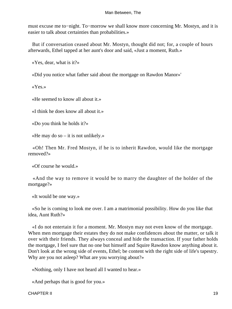must excuse me to−night. To−morrow we shall know more concerning Mr. Mostyn, and it is easier to talk about certainties than probabilities.»

 But if conversation ceased about Mr. Mostyn, thought did not; for, a couple of hours afterwards, Ethel tapped at her aunt's door and said, «Just a moment, Ruth.»

«Yes, dear, what is it?»

«Did you notice what father said about the mortgage on Rawdon Manor»'

«Yes.»

«He seemed to know all about it.»

«I think he does know all about it.»

«Do you think he holds it?»

«He may do so  $-$  it is not unlikely.»

 «Oh! Then Mr. Fred Mostyn, if he is to inherit Rawdon, would like the mortgage removed?»

«Of course he would.»

 «And the way to remove it would be to marry the daughter of the holder of the mortgage?»

«It would be one way.»

 «So he is coming to look me over. I am a matrimonial possibility. How do you like that idea, Aunt Ruth?»

 «I do not entertain it for a moment. Mr. Mostyn may not even know of the mortgage. When men mortgage their estates they do not make confidences about the matter, or talk it over with their friends. They always conceal and hide the transaction. If your father holds the mortgage, I feel sure that no one but himself and Squire Rawdon know anything about it. Don't look at the wrong side of events, Ethel; be content with the right side of life's tapestry. Why are you not asleep? What are you worrying about?»

«Nothing, only I have not heard all I wanted to hear.»

«And perhaps that is good for you.»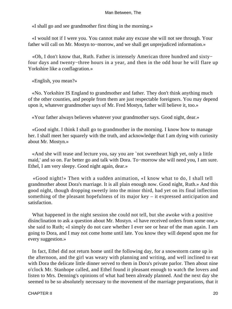«I shall go and see grandmother first thing in the morning.»

 «I would not if I were you. You cannot make any excuse she will not see through. Your father will call on Mr. Mostyn to−morrow, and we shall get unprejudiced information.»

 «Oh, I don't know that, Ruth. Father is intensely American three hundred and sixty− four days and twenty−three hours in a year, and then in the odd hour he will flare up Yorkshire like a conflagration.»

«English, you mean?»

 «No. Yorkshire IS England to grandmother and father. They don't think anything much of the other counties, and people from them are just respectable foreigners. You may depend upon it, whatever grandmother says of Mr. Fred Mostyn, father will believe it, too.»

«Your father always believes whatever your grandmother says. Good night, dear.»

 «Good night. I think I shall go to grandmother in the morning. I know how to manage her. I shall meet her squarely with the truth, and acknowledge that I am dying with curiosity about Mr. Mostyn.»

 «And she will tease and lecture you, say you are `not sweetheart high yet, only a little maid,' and so on. Far better go and talk with Dora. To−morrow she will need you, I am sure. Ethel, I am very sleepy. Good night again, dear.»

 «Good night!» Then with a sudden animation, «I know what to do, I shall tell grandmother about Dora's marriage. It is all plain enough now. Good night, Ruth.» And this good night, though dropping sweetly into the minor third, had yet on its final inflection something of the pleasant hopefulness of its major key – it expressed anticipation and satisfaction.

 What happened in the night session she could not tell, but she awoke with a positive disinclination to ask a question about Mr. Mostyn. «I have received orders from some one,» she said to Ruth; «I simply do not care whether I ever see or hear of the man again. I am going to Dora, and I may not come home until late. You know they will depend upon me for every suggestion.»

 In fact, Ethel did not return home until the following day, for a snowstorm came up in the afternoon, and the girl was weary with planning and writing, and well inclined to eat with Dora the delicate little dinner served to them in Dora's private parlor. Then about nine o'clock Mr. Stanhope called, and Ethel found it pleasant enough to watch the lovers and listen to Mrs. Denning's opinions of what had been already planned. And the next day she seemed to be so absolutely necessary to the movement of the marriage preparations, that it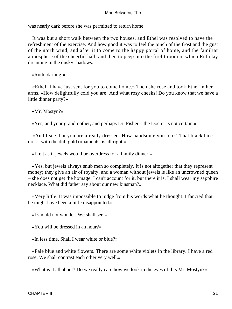was nearly dark before she was permitted to return home.

 It was but a short walk between the two houses, and Ethel was resolved to have the refreshment of the exercise. And how good it was to feel the pinch of the frost and the gust of the north wind, and after it to come to the happy portal of home, and the familiar atmosphere of the cheerful hall, and then to peep into the firelit room in which Ruth lay dreaming in the dusky shadows.

«Ruth, darling!»

 «Ethel! I have just sent for you to come home.» Then she rose and took Ethel in her arms. «How delightfully cold you are! And what rosy cheeks! Do you know that we have a little dinner party?»

«Mr. Mostyn?»

«Yes, and your grandmother, and perhaps Dr. Fisher – the Doctor is not certain.»

 «And I see that you are already dressed. How handsome you look! That black lace dress, with the dull gold ornaments, is all right.»

«I felt as if jewels would be overdress for a family dinner.»

 «Yes, but jewels always snub men so completely. It is not altogether that they represent money; they give an air of royalty, and a woman without jewels is like an uncrowned queen – she does not get the homage. I can't account for it, but there it is. I shall wear my sapphire necklace. What did father say about our new kinsman?»

 «Very little. It was impossible to judge from his words what he thought. I fancied that he might have been a little disappointed.»

«I should not wonder. We shall see.»

«You will be dressed in an hour?»

«In less time. Shall I wear white or blue?»

 «Pale blue and white flowers. There are some white violets in the library. I have a red rose. We shall contrast each other very well.»

«What is it all about? Do we really care how we look in the eyes of this Mr. Mostyn?»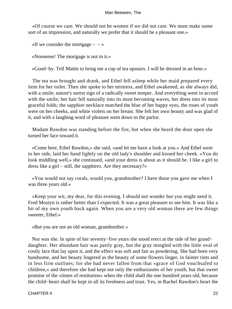«Of course we care. We should not be women if we did not care. We must make some sort of an impression, and naturally we prefer that it should be a pleasant one.»

«If we consider the mortgage  $- \rightarrow \infty$ 

«Nonsense! The mortgage is not in it.»

«Good−by. Tell Mattie to bring me a cup of tea upstairs. I will be dressed in an hour.»

 The tea was brought and drank, and Ethel fell asleep while her maid prepared every item for her toilet. Then she spoke to her mistress, and Ethel awakened, as she always did, with a smile; nature's surest sign of a radically sweet temper. And everything went in accord with the smile; her hair fell naturally into its most becoming waves, her dress into its most graceful folds; the sapphire necklace matched the blue of her happy eyes, the roses of youth were on her cheeks, and white violets on her breast. She felt her own beauty and was glad of it, and with a laughing word of pleasure went down to the parlor.

 Madam Rawdon was standing before the fire, but when she heard the door open she turned her face toward it.

 «Come here, Ethel Rawdon,» she said, «and let me have a look at you.» And Ethel went to her side, laid her hand lightly on the old lady's shoulder and kissed her cheek. «You do look middling well,» she continued, «and your dress is about as it should be. I like a girl to dress like a girl – still, the sapphires. Are they necessary?»

 «You would not say corals, would you, grandmother? I have those you gave me when I was three years old.»

 «Keep your wit, my dear, for this evening. I should not wonder but you might need it. Fred Mostyn is rather better than I expected. It was a great pleasure to see him. It was like a bit of my own youth back again. When you are a very old woman there are few things sweeter, Ethel.»

«But you are not an old woman, grandmother.»

 Nor was she. In spite of her seventy−five years she stood erect at the side of her grand− daughter. Her abundant hair was partly gray, but the gray mingled with the little oval of costly lace that lay upon it, and the effect was soft and fair as powdering. She had been very handsome, and her beauty lingered as the beauty of some flowers linger, in fainter tints and in less firm outlines; for she had never fallen from that «grace of God vouchsafed to children,» and therefore she had kept not only the enthusiasms of her youth, but that sweet promise of the «times of restitution» when the child shall die one hundred years old, because the child−heart shall be kept in all its freshness and trust. Yes, in Rachel Rawdon's heart the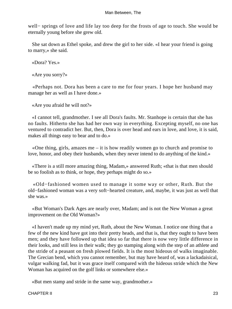well− springs of love and life lay too deep for the frosts of age to touch. She would be eternally young before she grew old.

 She sat down as Ethel spoke, and drew the girl to her side. «I hear your friend is going to marry,» she said.

«Dora? Yes.»

«Are you sorry?»

 «Perhaps not. Dora has been a care to me for four years. I hope her husband may manage her as well as I have done.»

«Are you afraid he will not?»

 «I cannot tell, grandmother. I see all Dora's faults. Mr. Stanhope is certain that she has no faults. Hitherto she has had her own way in everything. Excepting myself, no one has ventured to contradict her. But, then, Dora is over head and ears in love, and love, it is said, makes all things easy to bear and to do.»

 «One thing, girls, amazes me – it is how readily women go to church and promise to love, honor, and obey their husbands, when they never intend to do anything of the kind.»

 «There is a still more amazing thing, Madam,» answered Ruth; «that is that men should be so foolish as to think, or hope, they perhaps might do so.»

 «Old−fashioned women used to manage it some way or other, Ruth. But the old−fashioned woman was a very soft−hearted creature, and, maybe, it was just as well that she was.»

 «But Woman's Dark Ages are nearly over, Madam; and is not the New Woman a great improvement on the Old Woman?»

 «I haven't made up my mind yet, Ruth, about the New Woman. I notice one thing that a few of the new kind have got into their pretty heads, and that is, that they ought to have been men; and they have followed up that idea so far that there is now very little difference in their looks, and still less in their walk; they go stamping along with the step of an athlete and the stride of a peasant on fresh plowed fields. It is the most hideous of walks imaginable. The Grecian bend, which you cannot remember, but may have heard of, was a lackadaisical, vulgar walking fad, but it was grace itself compared with the hideous stride which the New Woman has acquired on the golf links or somewhere else.»

«But men stamp and stride in the same way, grandmother.»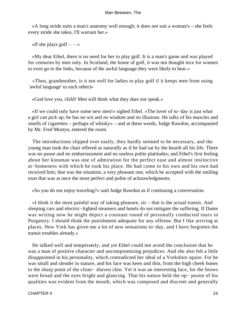«A long stride suits a man's anatomy well enough; it does not suit a woman's – she feels every stride she takes, I'll warrant her.»

«If she plays golf  $- \rightarrow \infty$ 

 «My dear Ethel, there is no need for her to play golf. It is a man's game and was played for centuries by men only. In Scotland, the home of golf, it was not thought nice for women to even go to the links, because of the awful language they were likely to hear.»

 «Then, grandmother, is it not well for ladies to play golf if it keeps men from using `awful language' to each other)»

«God love you, child! Men will think what they dare not speak.»

 «If we could only have some new men!» sighed Ethel. «The lover of to−day is just what a girl can pick up; he has no wit and no wisdom and no illusions. He talks of his muscles and smells of cigarettes – perhaps of whisky» – and at these words, Judge Rawdon, accompanied by Mr. Fred Mostyn, entered the room.

 The introductions slipped over easily, they hardly seemed to be necessary, and the young man took the chair offered as naturally as if he had sat by the hearth all his life. There was no pause and no embarrassment and no useless polite platitudes; and Ethel's first feeling about her kinsman was one of admiration for the perfect ease and almost instinctive at−homeness with which he took his place. He had come to his own and his own had received him; that was the situation, a very pleasant one, which he accepted with the smiling trust that was at once the most perfect and polite of acknowledgments.

«So you do not enjoy traveling?» said Judge Rawdon as if continuing a conversation.

 «I think it the most painful way of taking pleasure, sir – that is the actual transit. And sleeping cars and electric−lighted steamers and hotels do not mitigate the suffering. If Dante was writing now he might depict a constant round of personally conducted tours in Purgatory. I should think the punishment adequate for any offense. But I like arriving at places. New York has given me a lot of new sensations to−day, and I have forgotten the transit troubles already.»

 He talked well and temperately, and yet Ethel could not avoid the conclusion that he was a man of positive character and uncompromising prejudices. And she also felt a little disappointed in his personality, which contradicted her ideal of a Yorkshire squire. For he was small and slender in stature, and his face was keen and thin, from the high cheek bones to the sharp point of the clean− shaven chin. Yet it was an interesting face, for the brows were broad and the eyes bright and glancing. That his nature held the op− posite of his qualities was evident from the mouth, which was composed and discreet and generally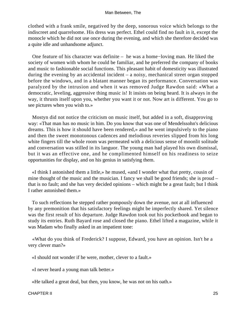clothed with a frank smile, negatived by the deep, sonorous voice which belongs to the indiscreet and quarrelsome. His dress was perfect. Ethel could find no fault in it, except the monocle which he did not use once during the evening, and which she therefore decided was a quite idle and unhandsome adjunct.

 One feature of his character was definite – he was a home−loving man. He liked the society of women with whom he could be familiar, and he preferred the company of books and music to fashionable social functions. This pleasant habit of domesticity was illustrated during the evening by an accidental incident – a noisy, mechanical street organ stopped before the windows, and in a blatant manner began its performance. Conversation was paralyzed by the intrusion and when it was removed Judge Rawdon said: «What a democratic, leveling, aggressive thing music is! It insists on being heard. It is always in the way, it thrusts itself upon you, whether you want it or not. Now art is different. You go to see pictures when you wish to.»

 Mostyn did not notice the criticism on music itself, but added in a soft, disapproving way: «That man has no music in him. Do you know that was one of Mendelssohn's delicious dreams. This is how it should have been rendered,» and he went impulsively to the piano and then the sweet monotonous cadences and melodious reveries slipped from his long white fingers till the whole room was permeated with a delicious sense of moonlit solitude and conversation was stilled in its languor. The young man had played his own dismissal, but it was an effective one, and he complimented himself on his readiness to seize opportunities for display, and on his genius in satisfying them.

 «I think I astonished them a little,» he mused, «and I wonder what that pretty, cousin of mine thought of the music and the musician. I fancy we shall be good friends; she is proud – that is no fault; and she has very decided opinions – which might be a great fault; but I think I rather astonished them.»

 To such reflections he stepped rather pompously down the avenue, not at all influenced by any premonition that his satisfactory feelings might be imperfectly shared. Yet silence was the first result of his departure. Judge Rawdon took out his pocketbook and began to study its entries. Ruth Bayard rose and closed the piano. Ethel lifted a magazine, while it was Madam who finally asked in an impatient tone:

 «What do you think of Frederick? I suppose, Edward, you have an opinion. Isn't he a very clever man?»

«I should not wonder if he were, mother, clever to a fault.»

«I never heard a young man talk better.»

«He talked a great deal, but then, you know, he was not on his oath.»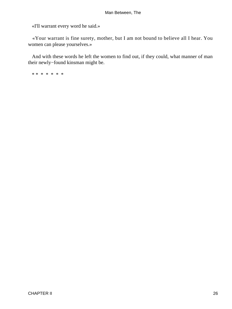«I'll warrant every word he said.»

 «Your warrant is fine surety, mother, but I am not bound to believe all I hear. You women can please yourselves.»

 And with these words he left the women to find out, if they could, what manner of man their newly−found kinsman might be.

\* \* \* \* \* \* \*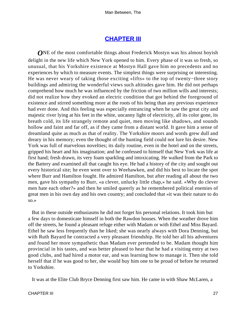## **[CHAPTER III](#page-152-0)**

*ONE* of the most comfortable things about Frederick Mostyn was his almost boyish delight in the new life which New York opened to him. Every phase of it was so fresh, so unusual, that his Yorkshire existence at Mostyn Hall gave him no precedents and no experiences by which to measure events. The simplest things were surprising or interesting. He was never weary of taking those exciting «lifts» to the top of twenty−three story buildings and admiring the wonderful views such altitudes gave him. He did not perhaps comprehend how much he was influenced by the friction of two million wills and interests; did not realize how they evoked an electric condition that got behind the foreground of existence and stirred something more at the roots of his being than any previous experience had ever done. And this feeling was especially entrancing when he saw the great city and majestic river lying at his feet in the white, uncanny light of electricity, all its color gone, its breath cold, its life strangely remote and quiet, men moving like shadows, and sounds hollow and faint and far off, as if they came from a distant world. It gave him a sense of dreamland quite as much as that of reality. The Yorkshire moors and words grew dull and dreary in his memory; even the thought of the hunting field could not lure his desire. New York was full of marvelous novelties; its daily routine, even in the hotel and on the streets, gripped his heart and his imagination; and he confessed to himself that New York was life at first hand; fresh drawn, its very foam sparkling and intoxicating. He walked from the Park to the Battery and examined all that caught his eye. He had a history of the city and sought out every historical site; he even went over to Weehawken, and did his best to locate the spot where Burr and Hamilton fought. He admired Hamilton, but after reading all about the two men, gave his sympathy to Burr, «a clever, unlucky little chap,» he said. «Why do clever men hate each other?» and then he smiled queerly as he remembered political enemies of great men in his own day and his own country; and concluded that «it was their nature to do so.»

 But in these outside enthusiasms he did not forget his personal relations. It took him but a few days to domesticate himself in both the Rawdon houses. When the weather drove him off the streets, he found a pleasant refuge either with Madam or with Ethel and Miss Bayard. Ethel he saw less frequently than he liked; she was nearly always with Dora Denning, but with Ruth Bayard he contracted a very pleasant friendship. He told her all his adventures and found her more sympathetic than Madam ever pretended to be. Madam thought him provincial in his tastes, and was better pleased to hear that he had a visiting entry at two good clubs, and had hired a motor ear, and was learning how to manage it. Then she told herself that if he was good to her, she would buy him one to be proud of before he returned to Yorkshire.

It was at the Elite Club Bryce Denning first saw him. He came in with Shaw McLaren, a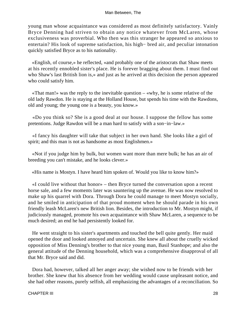young man whose acquaintance was considered as most definitely satisfactory. Vainly Bryce Denning had striven to obtain any notice whatever from McLaren, whose exclusiveness was proverbial. Who then was this stranger he appeared so anxious to entertain? His look of supreme satisfaction, his high− bred air, and peculiar intonation quickly satisfied Bryce as to his nationality.

 «English, of course,» he reflected, «and probably one of the aristocrats that Shaw meets at his recently ennobled sister's place. He is forever bragging about them. I must find out who Shaw's last British lion is,» and just as he arrived at this decision the person appeared who could satisfy him.

 «That man!» was the reply to the inevitable question – «why, he is some relative of the old lady Rawdon. He is staying at the Holland House, but spends his time with the Rawdons, old and young; the young one is a beauty, you know.»

 «Do you think so? She is a good deal at our house. I suppose the fellow has some pretentions. Judge Rawdon will be a man hard to satisfy with a son−in−law.»

 «I fancy his daughter will take that subject in her own hand. She looks like a girl of spirit; and this man is not as handsome as most Englishmen.»

 «Not if you judge him by bulk, but women want more than mere bulk; he has an air of breeding you can't mistake, and he looks clever.»

«His name is Mostyn. I have heard him spoken of. Would you like to know him?»

 «I could live without that honor» – then Bryce turned the conversation upon a recent horse sale, and a few moments later was sauntering up the avenue. He was now resolved to make up his quarrel with Dora. Through Dora he could manage to meet Mostyn socially, and he smiled in anticipation of that proud moment when he should parade in his own friendly leash McLaren's new British lion. Besides, the introduction to Mr. Mostyn might, if judiciously managed, promote his own acquaintance with Shaw McLaren, a sequence to be much desired; an end he had persistently looked for.

 He went straight to his sister's apartments and touched the bell quite gently. Her maid opened the door and looked annoyed and uncertain. She knew all about the cruelly wicked opposition of Miss Denning's brother to that nice young man, Basil Stanhope; and also the general attitude of the Denning household, which was a comprehensive disapproval of all that Mr. Bryce said and did.

 Dora had, however, talked all her anger away; she wished now to be friends with her brother. She knew that his absence from her wedding would cause unpleasant notice, and she had other reasons, purely selfish, all emphasizing the advantages of a reconciliation. So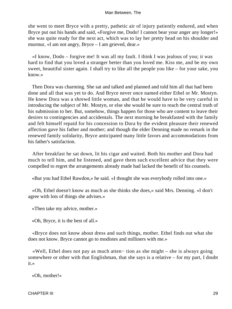she went to meet Bryce with a pretty, pathetic air of injury patiently endured, and when Bryce put out his hands and said, «Forgive me, Dodo! I cannot bear your anger any longer!» she was quite ready for the next act, which was to lay her pretty head on his shoulder and murmur, «I am not angry, Bryce – I am grieved, dear.»

 «I know, Dodo – forgive me! It was all my fault. I think I was jealous of you; it was hard to find that you loved a stranger better than you loved me. Kiss me, and be my own sweet, beautiful sister again. I shall try to like all the people you like – for your sake, you know.»

 Then Dora was charming. She sat and talked and planned and told him all that had been done and all that was yet to do. And Bryce never once named either Ethel or Mr. Mostyn. He knew Dora was a shrewd little woman, and that he would have to be very careful in introducing the subject of Mr. Mostyn, or else she would be sure to reach the central truth of his submission to her. But, somehow, things happen for those who are content to leave their desires to contingencies and accidentals. The next morning he breakfasted with the family and felt himself repaid for his concession to Dora by the evident pleasure their renewed affection gave his father and mother; and though the elder Denning made no remark in the renewed family solidarity, Bryce anticipated many little favors and accommodations from his father's satisfaction.

 After breakfast he sat down, lit his cigar and waited. Both his mother and Dora had much to tell him, and he listened, and gave them such excellent advice that they were compelled to regret the arrangements already made had lacked the benefit of his counsels.

«But you had Ethel Rawdon,» he said. «I thought she was everybody rolled into one.»

 «Oh, Ethel doesn't know as much as she thinks she does,» said Mrs. Denning. «I don't agree with lots of things she advises.»

«Then take my advice, mother.»

«Oh, Bryce, it is the best of all.»

 «Bryce does not know about dress and such things, mother. Ethel finds out what she does not know. Bryce cannot go to modistes and milliners with me.»

 «Well, Ethel does not pay as much atten− tion as she might – she is always going somewhere or other with that Englishman, that she says is a relative – for my part, I doubt it.»

«Oh, mother!»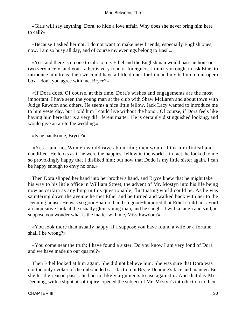«Girls will say anything, Dora, to hide a love affair. Why does she never bring him here to call?»

 «Because I asked her not. I do not want to make new friends, especially English ones, now. I am so busy all day, and of course my evenings belong to Basil.»

 «Yes, and there is no one to talk to me. Ethel and the Englishman would pass an hour or two very nicely, and your father is very fond of foreigners. I think you ought to ask Ethel to introduce him to us; then we could have a little dinner for him and invite him to our opera box – don't you agree with me, Bryce?»

 «If Dora does. Of course, at this time, Dora's wishes and engagements are the most important. I have seen the young man at the club with Shaw McLaren and about town with Judge Rawdon and others. He seems a nice little fellow. Jack Lacy wanted to introduce me to him yesterday, but I told him I could live without the honor. Of course, if Dora feels like having him here that is a very dif− ferent matter. He is certainly distinguished looking, and would give an air to the wedding.»

«Is he handsome, Bryce?»

 «Yes – and no. Women would rave about him; men would think him finical and dandified. He looks as if he were the happiest fellow in the world – in fact, he looked to me so provokingly happy that I disliked him; but now that Dodo is my little sister again, I can be happy enough to envy no one.»

 Then Dora slipped her hand into her brother's hand, and Bryce knew that he might take his way to his little office in William Street, the advent of Mr. Mostyn into his life being now as certain as anything in this questionable, fluctuating world could be. As he was sauntering down the avenue he met Ethel and he turned and walked back with her to the Denning house. He was so good−natured and so good−humored that Ethel could not avoid an inquisitive look at the usually glum young man, and he caught it with a laugh and said, «I suppose you wonder what is the matter with me, Miss Rawdon?»

 «You look more than usually happy. If I suppose you have found a wife or a fortune, shall I be wrong?»

 «You come near the truth; I have found a sister. Do you know I am very fond of Dora and we have made up our quarrel?»

 Then Ethel looked at him again. She did not believe him. She was sure that Dora was not the only evoker of the unbounded satisfaction in Bryce Denning's face and manner. But she let the reason pass; she had no likely arguments to use against it. And that day Mrs. Denning, with a slight air of injury, opened the subject of Mr. Mostyn's introduction to them.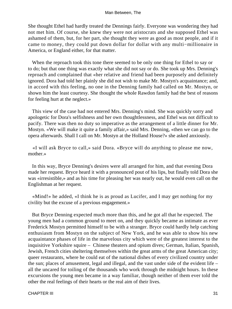She thought Ethel had hardly treated the Dennings fairly. Everyone was wondering they had not met him. Of course, she knew they were not aristocrats and she supposed Ethel was ashamed of them, but, for her part, she thought they were as good as most people, and if it came to money, they could put down dollar for dollar with any multi−millionaire in America, or England either, for that matter.

 When the reproach took this tone there seemed to be only one thing for Ethel to say or to do; but that one thing was exactly what she did not say or do. She took up Mrs. Denning's reproach and complained that «her relative and friend had been purposely and definitely ignored. Dora had told her plainly she did not wish to make Mr. Mostyn's acquaintance; and, in accord with this feeling, no one in the Denning family had called on Mr. Mostyn, or shown him the least courtesy. She thought the whole Rawdon family had the best of reasons for feeling hurt at the neglect.»

 This view of the case had not entered Mrs. Denning's mind. She was quickly sorry and apologetic for Dora's selfishness and her own thoughtlessness, and Ethel was not difficult to pacify. There was then no duty so imperative as the arrangement of a little dinner for Mr. Mostyn. «We will make it quite a family affair,» said Mrs. Denning, «then we can go to the opera afterwards. Shall I call on Mr. Mostyn at the Holland House?» she asked anxiously.

 «I will ask Bryce to call,» said Dora. «Bryce will do anything to please me now, mother.»

 In this way, Bryce Denning's desires were all arranged for him, and that evening Dora made her request. Bryce heard it with a pronounced pout of his lips, but finally told Dora she was «irresistible,» and as his time for pleasing her was nearly out, he would even call on the Englishman at her request.

 «Mind!» he added, «I think he is as proud as Lucifer, and I may get nothing for my civility but the excuse of a previous engagement.»

 But Bryce Denning expected much more than this, and he got all that he expected. The young men had a common ground to meet on, and they quickly became as intimate as ever Frederick Mostyn permitted himself to be with a stranger. Bryce could hardly help catching enthusiasm from Mostyn on the subject of New York, and he was able to show his new acquaintance phases of life in the marvelous city which were of the greatest interest to the inquisitive Yorkshire squire – Chinese theaters and opium dives; German, Italian, Spanish, Jewish, French cities sheltering themselves within the great arms of the great American city; queer restaurants, where he could eat of the national dishes of every civilized country under the sun; places of amusement, legal and illegal, and the vast under side of the evident life – all the uncared for toiling of the thousands who work through the midnight hours. In these excursions the young men became in a way familiar, though neither of them ever told the other the real feelings of their hearts or the real aim of their lives.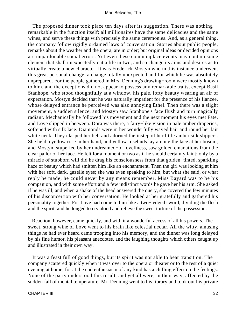The proposed dinner took place ten days after its suggestion. There was nothing remarkable in the function itself; all millionaires have the same delicacies and the same wines, and serve these things with precisely the same ceremonies. And, as a general thing, the company follow rigidly ordained laws of conversation. Stories about public people, remarks about the weather and the opera, are in order; but original ideas or decided opinions are unpardonable social errors. Yet even these commonplace events may contain some element that shall unexpectedly cut a life in two, and so change its aims and desires as to virtually create a new character. It was Frederick Mostyn who in this instance underwent this great personal change; a change totally unexpected and for which he was absolutely unprepared. For the people gathered in Mrs. Denning's drawing−room were mostly known to him, and the exceptions did not appear to possess any remarkable traits, except Basil Stanhope, who stood thoughtfully at a window, his pale, lofty beauty wearing an air of expectation. Mostyn decided that he was naturally impatient for the presence of his fiancee, whose delayed entrance he perceived was also annoying Ethel. Then there was a slight movement, a sudden silence, and Mostyn saw Stanhope's face flush and turn magically radiant. Mechanically he followed his movement and the next moment his eyes met Fate, and Love slipped in between. Dora was there, a fairy−like vision in pale amber draperies, softened with silk lace. Diamonds were in her wonderfully waved hair and round her fair white neck. They clasped her belt and adorned the instep of her little amber silk slippers. She held a yellow rose in her hand, and yellow rosebuds lay among the lace at her bosom, and Mostyn, stupefied by her undreamed−of loveliness, saw golden emanations from the clear pallor of her face. He felt for a moment or two as if he should certainly faint; only by a miracle of stubborn will did he drag his consciousness from that golden−tinted, sparkling haze of beauty which had smitten him like an enchantment. Then the girl was looking at him with her soft, dark, gazelle eyes; she was even speaking to him, but what she said, or what reply he made, he could never by any means remember. Miss Bayard was to be his companion, and with some effort and a few indistinct words he gave her his arm. She asked if he was ill, and when a shake of the head answered the query, she covered the few minutes of his disconcertion with her conversation. He looked at her gratefully and gathered his personality together. For Love had come to him like a two− edged sword, dividing the flesh and the spirit, and he longed to cry aloud and relieve the sweet torture of the possession.

 Reaction, however, came quickly, and with it a wonderful access of all his powers. The sweet, strong wine of Love went to his brain like celestial nectar. All the witty, amusing things he had ever heard came trooping into his memory, and the dinner was long delayed by his fine humor, his pleasant anecdotes, and the laughing thoughts which others caught up and illustrated in their own way.

 It was a feast full of good things, but its spirit was not able to bear transition. The company scattered quickly when it was over to the opera or theater or to the rest of a quiet evening at home, for at the end enthusiasm of any kind has a chilling effect on the feelings. None of the party understood this result, and yet all were, in their way, affected by the sudden fall of mental temperature. Mr. Denning went to his library and took out his private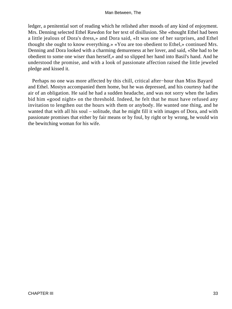ledger, a penitential sort of reading which he relished after moods of any kind of enjoyment. Mrs. Denning selected Ethel Rawdon for her text of disillusion. She «thought Ethel had been a little jealous of Dora's dress,» and Dora said, «It was one of her surprises, and Ethel thought she ought to know everything.» «You are too obedient to Ethel,» continued Mrs. Denning and Dora looked with a charming demureness at her lover, and said, «She had to be obedient to some one wiser than herself,» and so slipped her hand into Basil's hand. And he understood the promise, and with a look of passionate affection raised the little jeweled pledge and kissed it.

 Perhaps no one was more affected by this chill, critical after−hour than Miss Bayard and Ethel. Mostyn accompanied them home, but he was depressed, and his courtesy had the air of an obligation. He said he had a sudden headache, and was not sorry when the ladies bid him «good night» on the threshold. Indeed, he felt that he must have refused any invitation to lengthen out the hours with them or anybody. He wanted one thing, and he wanted that with all his soul – solitude, that he might fill it with images of Dora, and with passionate promises that either by fair means or by foul, by right or by wrong, he would win the bewitching woman for his wife.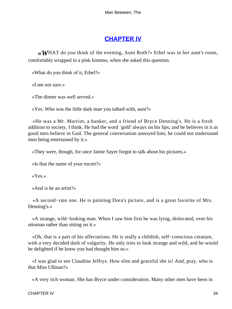### **[CHAPTER IV](#page-152-0)**

*«W*HAT do you think of the evening, Aunt Ruth?» Ethel was in her aunt's room, comfortably wrapped in a pink kimono, when she asked this question.

«What do you think of it, Ethel?»

«I am not sure.»

«The dinner was well served.»

«Yes. Who was the little dark man you talked with, aunt?»

 «He was a Mr. Marriot, a banker, and a friend of Bryce Denning's. He is a fresh addition to society, I think. He had the word `gold' always on his lips; and he believes in it as good men believe in God. The general conversation annoyed him; he could not understand men being entertained by it.»

«They were, though, for once Jamie Sayer forgot to talk about his pictures.»

«Is that the name of your escort?»

«Yes.»

«And is he an artist?»

 «A second−rate one. He is painting Dora's picture, and is a great favorite of Mrs. Denning's.»

 «A strange, wild−looking man. When I saw him first he was lying, dislocated, over his ottoman rather than sitting on it.»

 «Oh, that is a part of his affectations. He is really a childish, self−conscious creature, with a very decided dash of vulgarity. He only tries to look strange and wild, and he would be delighted if he knew you had thought him so.»

 «I was glad to see Claudine Jeffrys. How slim and graceful she is! And, pray, who is that Miss Ullman?»

«A very rich woman. She has Bryce under consideration. Many other men have been in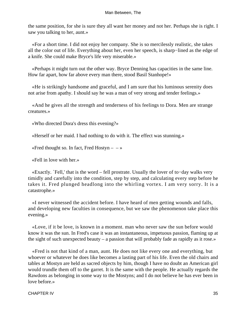the same position, for she is sure they all want her money and not her. Perhaps she is right. I saw you talking to her, aunt.»

 «For a short time. I did not enjoy her company. She is so mercilessly realistic, she takes all the color out of life. Everything about her, even her speech, is sharp−lined as the edge of a knife. She could make Bryce's life very miserable.»

 «Perhaps it might turn out the other way. Bryce Denning has capacities in the same line. How far apart, how far above every man there, stood Basil Stanhope!»

 «He is strikingly handsome and graceful, and I am sure that his luminous serenity does not arise from apathy. I should say he was a man of very strong and tender feelings.»

 «And he gives all the strength and tenderness of his feelings to Dora. Men are strange creatures.»

«Who directed Dora's dress this evening?»

«Herself or her maid. I had nothing to do with it. The effect was stunning.»

«Fred thought so. In fact, Fred Hostyn  $- \rightarrow \infty$ 

«Fell in love with her.»

 «Exactly. `Fell,' that is the word – fell prostrate. Usually the lover of to−day walks very timidly and carefully into the condition, step by step, and calculating every step before he takes it. Fred plunged headlong into the whirling vortex. I am very sorry. It is a catastrophe.»

 «I never witnessed the accident before. I have heard of men getting wounds and falls, and developing new faculties in consequence, but we saw the phenomenon take place this evening.»

 «Love, if it be love, is known in a moment. man who never saw the sun before would know it was the sun. In Fred's case it was an instantaneous, impetuous passion, flaming up at the sight of such unexpected beauty – a passion that will probably fade as rapidly as it rose.»

 «Fred is not that kind of a man, aunt. He does not like every one and everything, but whoever or whatever he does like becomes a lasting part of his life. Even the old chairs and tables at Mostyn are held as sacred objects by him, though I have no doubt an American girl would trundle them off to the garret. It is the same with the people. He actually regards the Rawdons as belonging in some way to the Mostyns; and I do not believe he has ever been in love before.»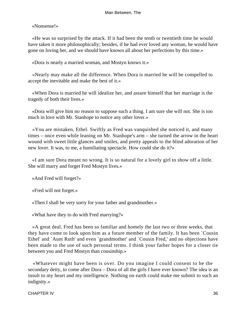«Nonsense!»

 «He was so surprised by the attack. If it had been the tenth or twentieth time he would have taken it more philosophically; besides, if he had ever loved any woman, he would have gone on loving her, and we should have known all about her perfections by this time.»

«Dora is nearly a married woman, and Mostyn knows it.»

 «Nearly may make all the difference. When Dora is married he will be compelled to accept the inevitable and make the best of it.»

 «When Dora is married he will idealize her, and assure himself that her marriage is the tragedy of both their lives.»

 «Dora will give him no reason to suppose such a thing. I am sure she will not. She is too much in love with Mr. Stanhope to notice any other lover.»

 «You are mistaken, Ethel. Swiftly as Fred was vanquished she noticed it, and many times – once even while leaning on Mr. Stanhope's arm – she turned the arrow in the heart wound with sweet little glances and smiles, and pretty appeals to the blind adoration of her new lover. It was, to me, a humiliating spectacle. How could she do it?»

 «I am sure Dora meant no wrong. It is so natural for a lovely girl to show off a little. She will marry and forget Fred Mostyn lives.»

«And Fred will forget?»

«Fred will not forget.»

«Then I shall be very sorry for your father and grandmother.»

«What have they to do with Fred marrying?»

 «A great deal. Fred has been so familiar and homely the last two or three weeks, that they have come to look upon him as a future member of the family. It has been `Cousin Ethel' and `Aunt Ruth' and even `grandmother' and `Cousin Fred,' and no objections have been made to the use of such personal terms. I think your father hopes for a closer tie between you and Fred Mostyn than cousinship.»

 «Whatever might have been is over. Do you imagine I could consent to be the secondary deity, to come after Dora – Dora of all the girls I have ever known? The idea is an insult to my heart and my intelligence. Nothing on earth could make me submit to such an indignity.»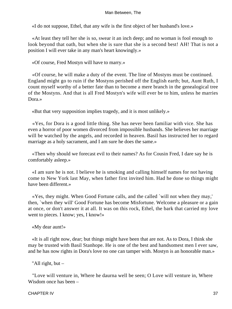«I do not suppose, Ethel, that any wife is the first object of her husband's love.»

 «At least they tell her she is so, swear it an inch deep; and no woman is fool enough to look beyond that oath, but when she is sure that she is a second best! AH! That is not a position I will ever take in any man's heart knowingly.»

«Of course, Fred Mostyn will have to marry.»

 «Of course, he will make a duty of the event. The line of Mostyns must be continued. England might go to ruin if the Mostyns perished off the English earth; but, Aunt Ruth, I count myself worthy of a better fate than to become a mere branch in the genealogical tree of the Mostyns. And that is all Fred Mostyn's wife will ever be to him, unless he marries Dora.»

«But that very supposition implies tragedy, and it is most unlikely.»

 «Yes, for Dora is a good little thing. She has never been familiar with vice. She has even a horror of poor women divorced from impossible husbands. She believes her marriage will be watched by the angels, and recorded in heaven. Basil has instructed her to regard marriage as a holy sacrament, and I am sure he does the same.»

 «Then why should we forecast evil to their names? As for Cousin Fred, I dare say he is comfortably asleep.»

 «I am sure he is not. I believe he is smoking and calling himself names for not having come to New York last May, when father first invited him. Had he done so things might have been different.»

 «Yes, they might. When Good Fortune calls, and the called `will not when they may,' then, `when they will' Good Fortune has become Misfortune. Welcome a pleasure or a gain at once, or don't answer it at all. It was on this rock, Ethel, the bark that carried my love went to pieces. I know; yes, I know!»

«My dear aunt!»

 «It is all right now, dear; but things might have been that are not. As to Dora, I think she may be trusted with Basil Stanhope. He is one of the best and handsomest men I ever saw, and he has now rights in Dora's love no one can tamper with. Mostyn is an honorable man.»

"All right, but –

 "Love will venture in, Where he daurna well be seen; O Love will venture in, Where Wisdom once has been –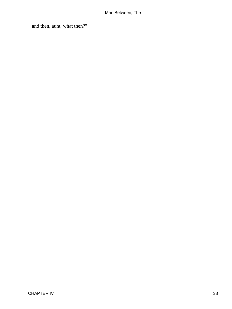and then, aunt, what then?"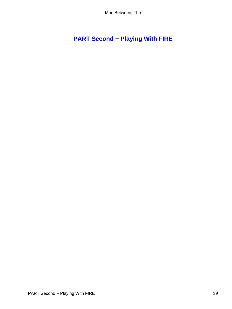# **[PART Second − Playing With FIRE](#page-152-0)**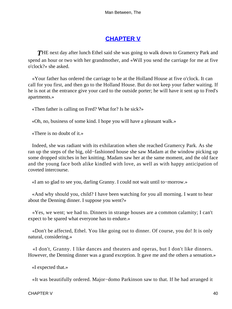## **[CHAPTER V](#page-152-0)**

**THE next day after lunch Ethel said she was going to walk down to Gramercy Park and** spend an hour or two with her grandmother, and «Will you send the carriage for me at five o'clock?» she asked.

 «Your father has ordered the carriage to be at the Holland House at five o'clock. It can call for you first, and then go to the Holland House. But do not keep your father waiting. If he is not at the entrance give your card to the outside porter; he will have it sent up to Fred's apartments.»

«Then father is calling on Fred? What for? Is he sick?»

«Oh, no, business of some kind. I hope you will have a pleasant walk.»

«There is no doubt of it.»

 Indeed, she was radiant with its exhilaration when she reached Gramercy Park. As she ran up the steps of the big, old−fashioned house she saw Madam at the window picking up some dropped stitches in her knitting. Madam saw her at the same moment, and the old face and the young face both alike kindled with love, as well as with happy anticipation of coveted intercourse.

«I am so glad to see you, darling Granny. I could not wait until to−morrow.»

 «And why should you, child? I have been watching for you all morning. I want to hear about the Denning dinner. I suppose you went?»

 «Yes, we went; we had to. Dinners in strange houses are a common calamity; I can't expect to be spared what everyone has to endure.»

 «Don't be affected, Ethel. You like going out to dinner. Of course, you do! It is only natural, considering.»

 «I don't, Granny. I like dances and theaters and operas, but I don't like dinners. However, the Denning dinner was a grand exception. It gave me and the others a sensation.»

«I expected that.»

«It was beautifully ordered. Major−domo Parkinson saw to that. If he had arranged it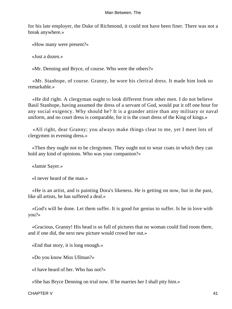for his late employer, the Duke of Richmond, it could not have been finer. There was not a break anywhere.»

«How many were present?»

«Just a dozen.»

«Mr. Denning and Bryce, of course. Who were the others?»

 «Mr. Stanhope, of course. Granny, he wore his clerical dress. It made him look so remarkable.»

 «He did right. A clergyman ought to look different from other men. I do not believe Basil Stanhope, having assumed the dress of a servant of God, would put it off one hour for any social exigency. Why should he? It is a grander attire than any military or naval uniform, and no court dress is comparable, for it is the court dress of the King of kings.»

 «All right, dear Granny; you always make things clear to me, yet I meet lots of clergymen in evening dress.»

 «Then they ought not to be clergymen. They ought not to wear coats in which they can hold any kind of opinions. Who was your companion?»

«Jamie Sayer.»

«I never heard of the man.»

 «He is an artist, and is painting Dora's likeness. He is getting on now, but in the past, like all artists, he has suffered a deal.»

 «God's will be done. Let them suffer. It is good for genius to suffer. Is he in love with you?»

 «Gracious, Granny! His head is so full of pictures that no woman could find room there, and if one did, the next new picture would crowd her out.»

«End that story, it is long enough.»

«Do you know Miss Ullman?»

«I have heard of her. Who has not?»

«She has Bryce Denning on trial now. If he marries her I shall pity him.»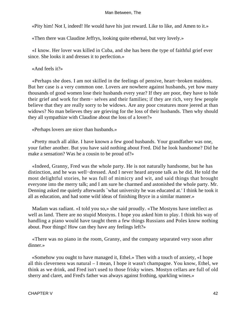«Pity him! Not I, indeed! He would have his just reward. Like to like, and Amen to it.»

«Then there was Claudine Jeffrys, looking quite ethereal, but very lovely.»

 «I know. Her lover was killed in Cuba, and she has been the type of faithful grief ever since. She looks it and dresses it to perfection.»

«And feels it?»

 «Perhaps she does. I am not skilled in the feelings of pensive, heart−broken maidens. But her case is a very common one. Lovers are nowhere against husbands, yet how many thousands of good women lose their husbands every year? If they are poor, they have to hide their grief and work for them− selves and their families; if they are rich, very few people believe that they are really sorry to be widows. Are any poor creatures more jeered at than widows? No man believes they are grieving for the loss of their husbands. Then why should they all sympathize with Claudine about the loss of a lover?»

«Perhaps lovers are nicer than husbands.»

 «Pretty much all alike. I have known a few good husbands. Your grandfather was one, your father another. But you have said nothing about Fred. Did he look handsome? Did he make a sensation? Was he a cousin to be proud of?»

 «Indeed, Granny, Fred was the whole party. He is not naturally handsome, but he has distinction, and he was well−dressed. And I never heard anyone talk as he did. He told the most delightful stories, he was full of mimicry and wit, and said things that brought everyone into the merry talk; and I am sure he charmed and astonished the whole party. Mr. Denning asked me quietly afterwards `what university he was educated at.' I think he took it all as education, and had some wild ideas of finishing Bryce in a similar manner.»

 Madam was radiant. «I told you so,» she said proudly. «The Mostyns have intellect as well as land. There are no stupid Mostyns. I hope you asked him to play. I think his way of handling a piano would have taught them a few things Russians and Poles know nothing about. Poor things! How can they have any feelings left?»

 «There was no piano in the room, Granny, and the company separated very soon after dinner.»

 «Somehow you ought to have managed it, Ethel.» Then with a touch of anxiety, «I hope all this cleverness was natural – I mean, I hope it wasn't champagne. You know, Ethel, we think as we drink, and Fred isn't used to those frisky wines. Mostyn cellars are full of old sherry and claret, and Fred's father was always against frothing, sparkling wines.»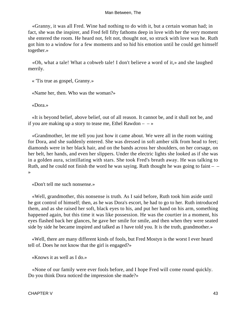«Granny, it was all Fred. Wine had nothing to do with it, but a certain woman had; in fact, she was the inspirer, and Fred fell fifty fathoms deep in love with her the very moment she entered the room. He heard not, felt not, thought not, so struck with love was he. Ruth got him to a window for a few moments and so hid his emotion until he could get himself together.»

 «Oh, what a tale! What a cobweb tale! I don't believe a word of it,» and she laughed merrily.

« 'Tis true as gospel, Granny.»

«Name her, then. Who was the woman?»

«Dora.»

 «It is beyond belief, above belief, out of all reason. It cannot be, and it shall not be, and if you are making up a story to tease me, Ethel Rawdon  $- - \infty$ 

 «Grandmother, let me tell you just how it came about. We were all in the room waiting for Dora, and she suddenly entered. She was dressed in soft amber silk from head to feet; diamonds were in her black hair, and on the bands across her shoulders, on her corsage, on her belt, her hands, and even her slippers. Under the electric lights she looked as if she was in a golden aura, scintillating with stars. She took Fred's breath away. He was talking to Ruth, and he could not finish the word he was saying. Ruth thought he was going to faint  $-$ »

«Don't tell me such nonsense.»

 «Well, grandmother, this nonsense is truth. As I said before, Ruth took him aside until he got control of himself; then, as he was Dora's escort, he had to go to her. Ruth introduced them, and as she raised her soft, black eyes to his, and put her hand on his arm, something happened again, but this time it was like possession. He was the courtier in a moment, his eyes flashed back her glances, he gave her smile for smile, and then when they were seated side by side he became inspired and talked as I have told you. It is the truth, grandmother.»

 «Well, there are many different kinds of fools, but Fred Mostyn is the worst I ever heard tell of. Does he not know that the girl is engaged?»

«Knows it as well as I do.»

 «None of our family were ever fools before, and I hope Fred will come round quickly. Do you think Dora noticed the impression she made?»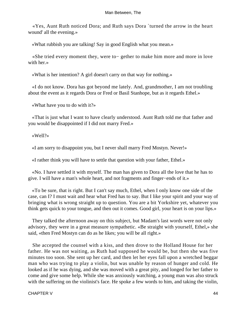«Yes, Aunt Ruth noticed Dora; and Ruth says Dora `turned the arrow in the heart wound' all the evening.»

«What rubbish you are talking! Say in good English what you mean.»

 «She tried every moment they, were to− gether to make him more and more in love with her.»

«What is her intention? A girl doesn't carry on that way for nothing.»

 «I do not know. Dora has got beyond me lately. And, grandmother, I am not troubling about the event as it regards Dora or Fred or Basil Stanhope, but as it regards Ethel.»

«What have you to do with it?»

 «That is just what I want to have clearly understood. Aunt Ruth told me that father and you would be disappointed if I did not marry Fred.»

«Well?»

«I am sorry to disappoint you, but I never shall marry Fred Mostyn. Never!»

«I rather think you will have to settle that question with your father, Ethel.»

 «No. I have settled it with myself. The man has given to Dora all the love that he has to give. I will have a man's whole heart, and not fragments and finger−ends of it.»

 «To be sure, that is right. But I can't say much, Ethel, when I only know one side of the case, can I? I must wait and hear what Fred has to say. But I like your spirit and your way of bringing what is wrong straight up to question. You are a bit Yorkshire yet, whatever you think gets quick to your tongue, and then out it comes. Good girl, your heart is on your lips.»

 They talked the afternoon away on this subject, but Madam's last words were not only advisory, they were in a great measure sympathetic. «Be straight with yourself, Ethel,» she said, «then Fred Mostyn can do as he likes; you will be all right.»

 She accepted the counsel with a kiss, and then drove to the Holland House for her father. He was not waiting, as Ruth had supposed he would be, but then she was five minutes too soon. She sent up her card, and then let her eyes fall upon a wretched beggar man who was trying to play a violin, but was unable by reason of hunger and cold. He looked as if he was dying, and she was moved with a great pity, and longed for her father to come and give some help. While she was anxiously watching, a young man was also struck with the suffering on the violinist's face. He spoke a few words to him, and taking the violin,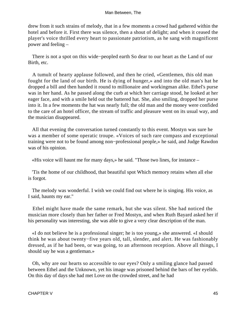drew from it such strains of melody, that in a few moments a crowd had gathered within the hotel and before it. First there was silence, then a shout of delight; and when it ceased the player's voice thrilled every heart to passionate patriotism, as he sang with magnificent power and feeling –

 There is not a spot on this wide−peopled earth So dear to our heart as the Land of our Birth, etc.

 A tumult of hearty applause followed, and then he cried, «Gentlemen, this old man fought for the land of our birth. He is dying of hunger,» and into the old man's hat he dropped a bill and then handed it round to millionaire and workingman alike. Ethel's purse was in her hand. As he passed along the curb at which her carriage stood, he looked at her eager face, and with a smile held out the battered hat. She, also smiling, dropped her purse into it. In a few moments the hat was nearly full; the old man and the money were confided to the care of an hotel officer, the stream of traffic and pleasure went on its usual way, and the musician disappeared.

 All that evening the conversation turned constantly to this event. Mostyn was sure he was a member of some operatic troupe. «Voices of such rare compass and exceptional training were not to be found among non−professional people,» he said, and Judge Rawdon was of his opinion.

«His voice will haunt me for many days,» he said. "Those two lines, for instance –

 'Tis the home of our childhood, that beautiful spot Which memory retains when all else is forgot.

 The melody was wonderful. I wish we could find out where he is singing. His voice, as I said, haunts my ear."

 Ethel might have made the same remark, but she was silent. She had noticed the musician more closely than her father or Fred Mostyn, and when Ruth Bayard asked her if his personality was interesting, she was able to give a very clear description of the man.

 «I do not believe he is a professional singer; he is too young,» she answered. «I should think he was about twenty−five years old, tall, slender, and alert. He was fashionably dressed, as if he had been, or was going, to an afternoon reception. Above all things, I should say he was a gentleman.»

 Oh, why are our hearts so accessible to our eyes? Only a smiling glance had passed between Ethel and the Unknown, yet his image was prisoned behind the bars of her eyelids. On this day of days she had met Love on the crowded street, and he had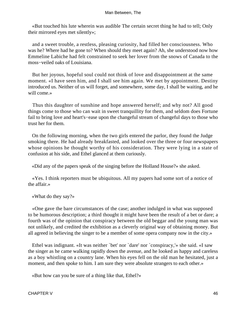«But touched his lute wherein was audible The certain secret thing he had to tell; Only their mirrored eyes met silently»;

 and a sweet trouble, a restless, pleasing curiosity, had filled her consciousness. Who was he? Where had he gone to? When should they meet again? Ah, she understood now how Emmeline Labiche had felt constrained to seek her lover from the snows of Canada to the moss−veiled oaks of Louisiana.

 But her joyous, hopeful soul could not think of love and disappointment at the same moment. «I have seen him, and I shall see him again. We met by appointment. Destiny introduced us. Neither of us will forget, and somewhere, some day, I shall be waiting, and he will come.»

 Thus this daughter of sunshine and hope answered herself; and why not? All good things come to those who can wait in sweet tranquillity for them, and seldom does Fortune fail to bring love and heart's−ease upon the changeful stream of changeful days to those who trust her for them.

 On the following morning, when the two girls entered the parlor, they found the Judge smoking there. He had already breakfasted, and looked over the three or four newspapers whose opinions he thought worthy of his consideration. They were lying in a state of confusion at his side, and Ethel glanced at them curiously.

«Did any of the papers speak of the singing before the Holland House?» she asked.

 «Yes. I think reporters must be ubiquitous. All my papers had some sort of a notice of the affair.»

«What do they say?»

 «One gave the bare circumstances of the case; another indulged in what was supposed to be humorous description; a third thought it might have been the result of a bet or dare; a fourth was of the opinion that conspiracy between the old beggar and the young man was not unlikely, and credited the exhibition as a cleverly original way of obtaining money. But all agreed in believing the singer to be a member of some opera company now in the city.»

 Ethel was indignant. «It was neither `bet' nor `dare' nor `conspiracy,'» she said. «I saw the singer as he came walking rapidly down the avenue, and he looked as happy and careless as a boy whistling on a country lane. When his eyes fell on the old man he hesitated, just a moment, and then spoke to him. I am sure they were absolute strangers to each other.»

«But how can you be sure of a thing like that, Ethel?»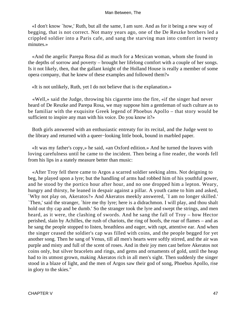«I don't know `how,' Ruth, but all the same, I am sure. And as for it being a new way of begging, that is not correct. Not many years ago, one of the De Reszke brothers led a crippled soldier into a Paris cafe, and sang the starving man into comfort in twenty minutes.»

 «And the angelic Parepa Rosa did as much for a Mexican woman, whom she found in the depths of sorrow and poverty – brought her lifelong comfort with a couple of her songs. Is it not likely, then, that the gallant knight of the Holland House is really a member of some opera company, that he knew of these examples and followed them?»

«It is not unlikely, Ruth, yet I do not believe that is the explanation.»

 «Well,» said the Judge, throwing his cigarette into the fire, «if the singer had never heard of De Reszke and Parepa Rosa, we may suppose him a gentleman of such culture as to be familiar with the exquisite Greek legend of Phoebus Apollo – that story would be sufficient to inspire any man with his voice. Do you know it?»

 Both girls answered with an enthusiastic entreaty for its recital, and the Judge went to the library and returned with a queer−looking little book, bound in marbled paper.

 «It was my father's copy,» he said, «an Oxford edition.» And he turned the leaves with loving carefulness until he came to the incident. Then being a fine reader, the words fell from his lips in a stately measure better than music:

 «After Troy fell there came to Argos a scarred soldier seeking alms. Not deigning to beg, he played upon a lyre; but the handling of arms had robbed him of his youthful power, and he stood by the portico hour after hour, and no one dropped him a lepton. Weary, hungry and thirsty, he leaned in despair against a pillar. A youth came to him and asked, `Why not play on, Akeratos?» And Akeratos meekly answered, `I am no longer skilled.' `Then,' said the stranger, `hire me thy lyre; here is a didrachmon. I will play, and thou shalt hold out thy cap and be dumb.' So the stranger took the lyre and swept the strings, and men heard, as it were, the clashing of swords. And he sang the fall of Troy – how Hector perished, slain by Achilles, the rush of chariots, the ring of hoofs, the roar of flames – and as he sang the people stopped to listen, breathless and eager, with rapt, attentive ear. And when the singer ceased the soldier's cap was filled with coins, and the people begged for yet another song. Then he sang of Venus, till all men's hearts were softly stirred, and the air was purple and misty and full of the scent of roses. And in their joy men cast before Akeratos not coins only, but silver bracelets and rings, and gems and ornaments of gold, until the heap had to its utmost grown, making Akeratos rich in all men's sight. Then suddenly the singer stood in a blaze of light, and the men of Argos saw their god of song, Phoebus Apollo, rise in glory to the skies."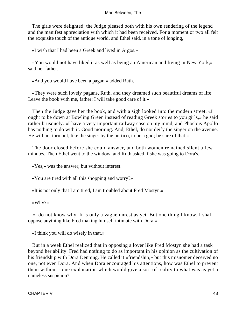The girls were delighted; the Judge pleased both with his own rendering of the legend and the manifest appreciation with which it had been received. For a moment or two all felt the exquisite touch of the antique world, and Ethel said, in a tone of longing,

«I wish that I had been a Greek and lived in Argos.»

 «You would not have liked it as well as being an American and living in New York,» said her father.

«And you would have been a pagan,» added Ruth.

 «They were such lovely pagans, Ruth, and they dreamed such beautiful dreams of life. Leave the book with me, father; I will take good care of it.»

 Then the Judge gave her the book, and with a sigh looked into the modern street. «I ought to be down at Bowling Green instead of reading Greek stories to you girls,» he said rather brusquely. «I have a very important railway case on my mind, and Phoebus Apollo has nothing to do with it. Good morning. And, Ethel, do not deify the singer on the avenue. He will not turn out, like the singer by the portico, to be a god; be sure of that.»

 The door closed before she could answer, and both women remained silent a few minutes. Then Ethel went to the window, and Ruth asked if she was going to Dora's.

«Yes,» was the answer, but without interest.

«You are tired with all this shopping and worry?»

«It is not only that I am tired, I am troubled about Fred Mostyn.»

«Why?»

 «I do not know why. It is only a vague unrest as yet. But one thing I know, I shall oppose anything like Fred making himself intimate with Dora.»

«I think you will do wisely in that.»

 But in a week Ethel realized that in opposing a lover like Fred Mostyn she had a task beyond her ability. Fred had nothing to do as important in his opinion as the cultivation of his friendship with Dora Denning. He called it «friendship,» but this misnomer deceived no one, not even Dora. And when Dora encouraged his attentions, how was Ethel to prevent them without some explanation which would give a sort of reality to what was as yet a nameless suspicion?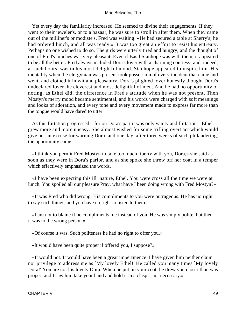Yet every day the familiarity increased. He seemed to divine their engagements. If they went to their jeweler's, or to a bazaar, he was sure to stroll in after them. When they came out of the milliner's or modiste's, Fred was waiting. «He had secured a table at Sherry's; he had ordered lunch, and all was ready.» It was too great an effort to resist his entreaty. Perhaps no one wished to do so. The girls were utterly tired and hungry, and the thought of one of Fred's lunches was very pleasant. Even if Basil Stanhope was with them, it appeared to be all the better. Fred always included Dora's lover with a charming courtesy; and, indeed, at such hours, was in his most delightful mood. Stanhope appeared to inspire him. His mentality when the clergyman was present took possession of every incident that came and went, and clothed it in wit and pleasantry. Dora's plighted lover honestly thought Dora's undeclared lover the cleverest and most delightful of men. And he had no opportunity of noting, as Ethel did, the difference in Fred's attitude when he was not present. Then Mostyn's merry mood became sentimental, and his words were charged with soft meanings and looks of adoration, and every tone and every movement made to express far more than the tongue would have dared to utter.

 As this flirtation progressed – for on Dora's part it was only vanity and flirtation – Ethel grew more and more uneasy. She almost wished for some trifling overt act which would give her an excuse for warning Dora; and one day, after three weeks of such philandering, the opportunity came.

 «I think you permit Fred Mostyn to take too much liberty with you, Dora,» she said as soon as they were in Dora's parlor, and as she spoke she threw off her coat in a temper which effectively emphasized the words.

 «I have been expecting this ill−nature, Ethel. You were cross all the time we were at lunch. You spoiled all our pleasure Pray, what have I been doing wrong with Fred Mostyn?»

 «It was Fred who did wrong. His compliments to you were outrageous. He has no right to say such things, and you have no right to listen to them.»

 «I am not to blame if he compliments me instead of you. He was simply polite, but then it was to the wrong person.»

«Of course it was. Such politeness he had no right to offer you.»

«It would have been quite proper if offered you, I suppose?»

 «It would not. It would have been a great impertinence. I have given him neither claim nor privilege to address me as `My lovely Ethel!' He called you many times `My lovely Dora!' You are not his lovely Dora. When he put on your coat, he drew you closer than was proper; and I saw him take your hand and hold it in a clasp – not necessary.»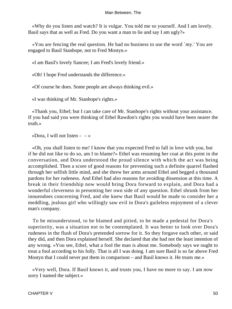«Why do you listen and watch? It is vulgar. You told me so yourself. And I am lovely. Basil says that as well as Fred. Do you want a man to lie and say I am ugly?»

 «You are fencing the real question. He had no business to use the word `my.' You are engaged to Basil Stanhope, not to Fred Mostyn.»

«I am Basil's lovely fiancee; I am Fred's lovely friend.»

«Oh! I hope Fred understands the difference.»

«Of course he does. Some people are always thinking evil.»

«I was thinking of Mr. Stanhope's rights.»

 «Thank you, Ethel; but I can take care of Mr. Stanhope's rights without your assistance. If you had said you were thinking of Ethel Rawdon's rights you would have been nearer the truth.»

«Dora, I will not listen  $- - \infty$ 

 «Oh, you shall listen to me! I know that you expected Fred to fall in love with you, but if he did not like to do so, am I to blame?» Ethel was resuming her coat at this point in the conversation, and Dora understood the proud silence with which the act was being accomplished. Then a score of good reasons for preventing such a definite quarrel flashed through her selfish little mind, and she threw her arms around Ethel and begged a thousand pardons for her rudeness. And Ethel had also reasons for avoiding dissension at this time. A break in their friendship now would bring Dora forward to explain, and Dora had a wonderful cleverness in presenting her own side of any question. Ethel shrunk from her innuendoes concerning Fred, and she knew that Basil would be made to consider her a meddling, jealous girl who willingly saw evil in Dora's guileless enjoyment of a clever man's company.

 To be misunderstood, to be blamed and pitied, to be made a pedestal for Dora's superiority, was a situation not to be contemplated. It was better to look over Dora's rudeness in the flush of Dora's pretended sorrow for it. So they forgave each other, or said they did, and then Dora explained herself. She declared that she had not the least intention of any wrong. «You see, Ethel, what a fool the man is about me. Somebody says we ought to treat a fool according to his folly. That is all I was doing. I am sure Basil is so far above Fred Mostyn that I could never put them in comparison – and Basil knows it. He trusts me.»

 «Very well, Dora. If Basil knows it, and trusts you, I have no more to say. I am now sorry I named the subject.»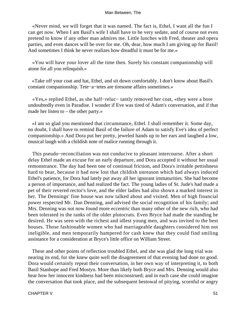«Never mind, we will forget that it was named. The fact is, Ethel, I want all the fun I can get now. When I am Basil's wife I shall have to be very sedate, and of course not even pretend to know if any other man admires me. Little lunches with Fred, theater and opera parties, and even dances will be over for me. Oh, dear, how much I am giving up for Basil! And sometimes I think he never realizes how dreadful it must be for me.»

 «You will have your lover all the time then. Surely his constant companionship will atone for all you relinquish.»

 «Take off your coat and hat, Ethel, and sit down comfortably. I don't know about Basil's constant companionship. Tete−a−tetes are tiresome affairs sometimes.»

 «Yes,» replied Ethel, as she half−reluc− tantly removed her coat, «they were a bore undoubtedly even in Paradise. I wonder if Eve was tired of Adam's conversation, and if that made her listen to – the other party.»

 «I am so glad you mentioned that circumstance, Ethel. I shall remember it. Some day, no doubt, I shall have to remind Basil of the failure of Adam to satisfy Eve's idea of perfect companionship.» And Dora put her pretty, jeweled hands up to her ears and laughed a low, musical laugh with a childish note of malice running through it.

 This pseudo−reconciliation was not conducive to pleasant intercourse. After a short delay Ethel made an excuse for an early departure, and Dora accepted it without her usual remonstrance. The day had been one of continual friction, and Dora's irritable pettishness hard to bear, because it had now lost that childish unreason which had always induced Ethel's patience, for Dora had lately put away all her ignorant immaturities. She had become a person of importance, and had realized the fact. The young ladies of St. Jude's had made a pet of their revered rector's love, and the elder ladies had also shown a marked interest in her. The Dennings' fine house was now talked about and visited. Men of high financial power respected Mr. Dan Denning, and advised the social recognition of his family; and Mrs. Denning was not now found more eccentric than many other of the new rich, who had been tolerated in the ranks of the older plutocrats. Even Bryce had made the standing he desired. He was seen with the richest and idlest young men, and was invited to the best houses. Those fashionable women who had marriageable daughters considered him not ineligible, and men temporarily hampered for cash knew that they could find smiling assistance for a consideration at Bryce's little office on William Street.

 These and other points of reflection troubled Ethel, and she was glad the long trial was nearing its end, for she knew quite well the disagreement of that evening had done no good. Dora would certainly repeat their conversation, in her own way of interpreting it, to both Basil Stanhope and Fred Mostyn. More than likely both Bryce and Mrs. Denning would also hear how her innocent kindness had been misconstrued; and in each case she could imagine the conversation that took place, and the subsequent bestowal of pitying, scornful or angry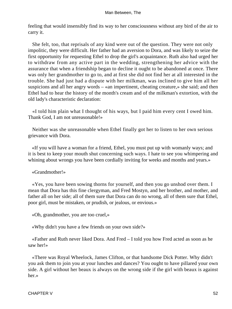feeling that would insensibly find its way to her consciousness without any bird of the air to carry it.

 She felt, too, that reprisals of any kind were out of the question. They were not only impolitic, they were difficult. Her father had an aversion to Dora, and was likely to seize the first opportunity for requesting Ethel to drop the girl's acquaintance. Ruth also had urged her to withdraw from any active part in the wedding, strengthening her advice with the assurance that when a friendship began to decline it ought to be abandoned at once. There was only her grandmother to go to, and at first she did not find her at all interested in the trouble. She had just had a dispute with her milkman, was inclined to give him all her suspicions and all her angry words – «an impertinent, cheating creature,» she said; and then Ethel had to hear the history of the month's cream and of the milkman's extortion, with the old lady's characteristic declaration:

 «I told him plain what I thought of his ways, but I paid him every cent I owed him. Thank God, I am not unreasonable!»

 Neither was she unreasonable when Ethel finally got her to listen to her own serious grievance with Dora.

 «If you will have a woman for a friend, Ethel, you must put up with womanly ways; and it is best to keep your mouth shut concerning such ways. I hate to see you whimpering and whining about wrongs you have been cordially inviting for weeks and months and years.»

«Grandmother!»

 «Yes, you have been sowing thorns for yourself, and then you go unshod over them. I mean that Dora has this fine clergyman, and Fred Mostyn, and her brother, and mother, and father all on her side; all of them sure that Dora can do no wrong, all of them sure that Ethel, poor girl, must be mistaken, or prudish, or jealous, or envious.»

«Oh, grandmother, you are too cruel,»

«Why didn't you have a few friends on your own side?»

 «Father and Ruth never liked Dora. And Fred – I told you how Fred acted as soon as he saw her!»

 «There was Royal Wheelock, James Clifton, or that handsome Dick Potter. Why didn't you ask them to join you at your lunches and dances? You ought to have pillared your own side. A girl without her beaux is always on the wrong side if the girl with beaux is against her.»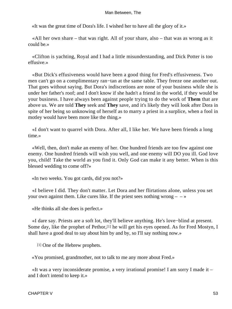«It was the great time of Dora's life. I wished her to have all the glory of it.»

 «All her own share – that was right. All of your share, also – that was as wrong as it could be.»

 «Clifton is yachting, Royal and I had a little misunderstanding, and Dick Potter is too effusive.»

 «But Dick's effusiveness would have been a good thing for Fred's effusiveness. Two men can't go on a complimentary ran−tan at the same table. They freeze one another out. That goes without saying. But Dora's indiscretions are none of your business while she is under her father's roof; and I don't know if she hadn't a friend in the world, if they would be your business. I have always been against people trying to do the work of **Them** that are above us. We are told **They** seek and **They** save, and it's likely they will look after Dora in spite of her being so unknowing of herself as to marry a priest in a surplice, when a fool in motley would have been more like the thing.»

 «I don't want to quarrel with Dora. After all, I like her. We have been friends a long time.»

 «Well, then, don't make an enemy of her. One hundred friends are too few against one enemy. One hundred friends will wish you well, and one enemy will DO you ill. God love you, child! Take the world as you find it. Only God can make it any better. When is this blessed wedding to come off?»

«In two weeks. You got cards, did you not?»

 «I believe I did. They don't matter. Let Dora and her flirtations alone, unless you set your own against them. Like cures like. If the priest sees nothing wrong  $- \rightarrow \infty$ 

«He thinks all she does is perfect.»

 «I dare say. Priests are a soft lot, they'll believe anything. He's love−blind at present. Some day, like the prophet of Pethor,[1] he will get his eyes opened. As for Fred Mostyn, I shall have a good deal to say about him by and by, so I'll say nothing now.»

[1] One of the Hebrew prophets.

«You promised, grandmother, not to talk to me any more about Fred.»

 «It was a very inconsiderate promise, a very irrational promise! I am sorry I made it – and I don't intend to keep it.»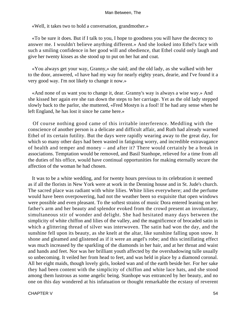«Well, it takes two to hold a conversation, grandmother.»

 «To be sure it does. But if I talk to you, I hope to goodness you will have the decency to answer me. I wouldn't believe anything different.» And she looked into Ethel's face with such a smiling confidence in her good will and obedience, that Ethel could only laugh and give her twenty kisses as she stood up to put on her hat and coat.

 «You always get your way, Granny,» she said; and the old lady, as she walked with her to the door, answered, «I have had my way for nearly eighty years, dearie, and I've found it a very good way. I'm not likely to change it now.»

 «And none of us want you to change it, dear. Granny's way is always a wise way.» And she kissed her again ere she ran down the steps to her carriage. Yet as the old lady stepped slowly back to the parlor, she muttered, «Fred Mostyn is a fool! If he had any sense when he left England, he has lost it since he came here.»

 Of course nothing good came of this irritable interference. Meddling with the conscience of another person is a delicate and difficult affair, and Ruth had already warned Ethel of its certain futility. But the days were rapidly wearing away to the great day, for which so many other days had been wasted in fatiguing worry, and incredible extravagance of health and temper and money – and after it? There would certainly be a break in associations. Temptation would be removed, and Basil Stanhope, relieved for a time from all the duties of his office, would have continual opportunities for making eternally secure the affection of the woman he had chosen.

 It was to be a white wedding, and for twenty hours previous to its celebration it seemed as if all the florists in New York were at work in the Denning house and in St. Jude's church. The sacred place was radiant with white lilies. White lilies everywhere; and the perfume would have been overpowering, had not the weather been so exquisite that open windows were possible and even pleasant. To the softest strains of music Dora entered leaning on her father's arm and her beauty and splendor evoked from the crowd present an involuntary, simultaneous stir of wonder and delight. She had hesitated many days between the simplicity of white chiffon and lilies of the valley, and the magnificence of brocaded satin in which a glittering thread of silver was interwoven. The satin had won the day, and the sunshine fell upon its beauty, as she knelt at the altar, like sunshine falling upon snow. It shone and gleamed and glistened as if it were an angel's robe; and this scintillating effect was much increased by the sparkling of the diamonds in her hair, and at her throat and waist and hands and feet. Nor was her brilliant youth affected by the overshadowing tulle usually so unbecoming. It veiled her from head to feet, and was held in place by a diamond coronal. All her eight maids, though lovely girls, looked wan and of the earth beside her. For her sake they had been content with the simplicity of chiffon and white lace hats, and she stood among them lustrous as some angelic being. Stanhope was entranced by her beauty, and no one on this day wondered at his infatuation or thought remarkable the ecstasy of reverent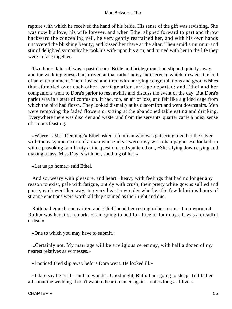rapture with which he received the hand of his bride. His sense of the gift was ravishing. She was now his love, his wife forever, and when Ethel slipped forward to part and throw backward the concealing veil, he very gently restrained her, and with his own hands uncovered the blushing beauty, and kissed her there at the altar. Then amid a murmur and stir of delighted sympathy he took his wife upon his arm, and turned with her to the life they were to face together.

 Two hours later all was a past dream. Bride and bridegroom had slipped quietly away, and the wedding guests had arrived at that rather noisy indifference which presages the end of an entertainment. Then flushed and tired with hurrying congratulations and good wishes that stumbled over each other, carriage after carriage departed; and Ethel and her companions went to Dora's parlor to rest awhile and discuss the event of the day. But Dora's parlor was in a state of confusion. It had, too, an air of loss, and felt like a gilded cage from which the bird had flown. They looked dismally at its discomfort and went downstairs. Men were removing the faded flowers or sitting at the abandoned table eating and drinking. Everywhere there was disorder and waste, and from the servants' quarter came a noisy sense of riotous feasting.

 «Where is Mrs. Denning?» Ethel asked a footman who was gathering together the silver with the easy unconcern of a man whose ideas were rosy with champagne. He looked up with a provoking familiarity at the question, and sputtered out, «She's lying down crying and making a fuss. Miss Day is with her, soothing of her.»

«Let us go home,» said Ethel.

 And so, weary with pleasure, and heart− heavy with feelings that had no longer any reason to exist, pale with fatigue, untidy with crush, their pretty white gowns sullied and passe, each went her way; in every heart a wonder whether the few hilarious hours of strange emotions were worth all they claimed as their right and due.

 Ruth had gone home earlier, and Ethel found her resting in her room. «I am worn out, Ruth,» was her first remark. «I am going to bed for three or four days. It was a dreadful ordeal.»

«One to which you may have to submit.»

 «Certainly not. My marriage will be a religious ceremony, with half a dozen of my nearest relatives as witnesses.»

«I noticed Fred slip away before Dora went. He looked ill.»

 «I dare say he is ill – and no wonder. Good night, Ruth. I am going to sleep. Tell father all about the wedding. I don't want to hear it named again – not as long as I live.»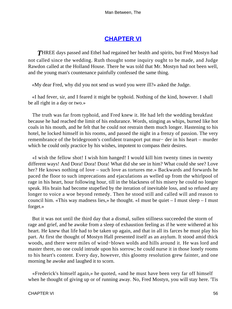### **[CHAPTER VI](#page-152-0)**

**THREE** days passed and Ethel had regained her health and spirits, but Fred Mostyn had not called since the wedding. Ruth thought some inquiry ought to be made, and Judge Rawdon called at the Holland House. There he was told that Mr. Mostyn had not been well, and the young man's countenance painfully confessed the same thing.

«My dear Fred, why did you not send us word you were ill?» asked the Judge.

 «I had fever, sir, and I feared it might be typhoid. Nothing of the kind, however. I shall be all right in a day or two.»

 The truth was far from typhoid, and Fred knew it. He had left the wedding breakfast because he had reached the limit of his endurance. Words, stinging as whips, burned like hot coals in his mouth, and he felt that he could not restrain them much longer. Hastening to his hotel, he locked himself in his rooms, and passed the night in a frenzy of passion. The very remembrance of the bridegroom's confident transport put mur− der in his heart – murder which he could only practice by his wishes, impotent to compass their desires.

 «I wish the fellow shot! I wish him hanged! I would kill him twenty times in twenty different ways! And Dora! Dora! Dora! What did she see in him? What could she see? Love her? He knows nothing of love – such love as tortures me.» Backwards and forwards he paced the floor to such imprecations and ejaculations as welled up from the whirlpool of rage in his heart, hour following hour, till in the blackness of his misery he could no longer speak. His brain had become stupefied by the iteration of inevitable loss, and so refused any longer to voice a woe beyond remedy. Then he stood still and called will and reason to council him. «This way madness lies,» he thought. «I must be quiet – I must sleep – I must forget.»

 But it was not until the third day that a dismal, sullen stillness succeeded the storm of rage and grief, and he awoke from a sleep of exhaustion feeling as if he were withered at his heart. He knew that life had to be taken up again, and that in all its farces he must play his part. At first the thought of Mostyn Hall presented itself as an asylum. It stood amid thick woods, and there were miles of wind−blown wolds and hills around it. He was lord and master there, no one could intrude upon his sorrow; he could nurse it in those lonely rooms to his heart's content. Every day, however, this gloomy resolution grew fainter, and one morning he awoke and laughed it to scorn.

 «Frederick's himself again,» he quoted, «and he must have been very far off himself when he thought of giving up or of running away. No, Fred Mostyn, you will stay here. 'Tis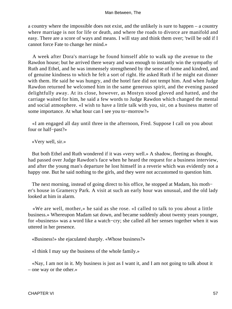a country where the impossible does not exist, and the unlikely is sure to happen – a country where marriage is not for life or death, and where the roads to divorce are manifold and easy. There are a score of ways and means. I will stay and think them over; 'twill be odd if I cannot force Fate to change her mind.»

 A week after Dora's marriage he found himself able to walk up the avenue to the Rawdon house; but he arrived there weary and wan enough to instantly win the sympathy of Ruth and Ethel, and he was immensely strengthened by the sense of home and kindred, and of genuine kindness to which he felt a sort of right. He asked Ruth if he might eat dinner with them. He said he was hungry, and the hotel fare did not tempt him. And when Judge Rawdon returned he welcomed him in the same generous spirit, and the evening passed delightfully away. At its close, however, as Mostyn stood gloved and hatted, and the carriage waited for him, he said a few words to Judge Rawdon which changed the mental and social atmosphere. «I wish to have a little talk with you, sir, on a business matter of some importance. At what hour can I see you to−morrow?»

 «I am engaged all day until three in the afternoon, Fred. Suppose I call on you about four or half−past?»

«Very well, sir.»

 But both Ethel and Ruth wondered if it was «very well.» A shadow, fleeting as thought, had passed over Judge Rawdon's face when he heard the request for a business interview, and after the young man's departure he lost himself in a reverie which was evidently not a happy one. But he said nothing to the girls, and they were not accustomed to question him.

 The next morning, instead of going direct to his office, he stopped at Madam, his moth− er's house in Gramercy Park. A visit at such an early hour was unusual, and the old lady looked at him in alarm.

 «We are well, mother,» he said as she rose. «I called to talk to you about a little business.» Whereupon Madam sat down, and became suddenly about twenty years younger, for «business» was a word like a watch−cry; she called all her senses together when it was uttered in her presence.

«Business!» she ejaculated sharply. «Whose business?»

«I think I may say the business of the whole family.»

 «Nay, I am not in it. My business is just as I want it, and I am not going to talk about it – one way or the other.»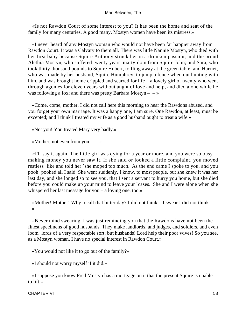«Is not Rawdon Court of some interest to you? It has been the home and seat of the family for many centuries. A good many. Mostyn women have been its mistress.»

 «I never heard of any Mostyn woman who would not have been far happier away from Rawdon Court. It was a Calvary to them all. There was little Nannie Mostyn, who died with her first baby because Squire Anthony struck her in a drunken passion; and the proud Alethia Mostyn, who suffered twenty years' martyrdom from Squire John; and Sara, who took thirty thousand pounds to Squire Hubert, to fling away at the green table; and Harriet, who was made by her husband, Squire Humphrey, to jump a fence when out hunting with him, and was brought home crippled and scarred for life – a lovely girl of twenty who went through agonies for eleven years without aught of love and help, and died alone while he was following a fox; and there was pretty Barbara Mostyn  $- \rightarrow \infty$ 

 «Come, come, mother. I did not call here this morning to hear the Rawdons abused, and you forget your own marriage. It was a happy one, I am sure. One Rawdon, at least, must be excepted; and I think I treated my wife as a good husband ought to treat a wife.»

«Not you! You treated Mary very badly.»

«Mother, not even from you  $-$  – »

 «I'll say it again. The little girl was dying for a year or more, and you were so busy making money you never saw it. If she said or looked a little complaint, you moved restless−like and told her `she moped too much.' As the end came I spoke to you, and you pooh−poohed all I said. She went suddenly, I know, to most people, but she knew it was her last day, and she longed so to see you, that I sent a servant to hurry you home, but she died before you could make up your mind to leave your `cases.' She and I were alone when she whispered her last message for you – a loving one, too.»

 «Mother! Mother! Why recall that bitter day? I did not think – I swear I did not think – – »

 «Never mind swearing. I was just reminding you that the Rawdons have not been the finest specimens of good husbands. They make landlords, and judges, and soldiers, and even loom−lords of a very respectable sort; but husbands! Lord help their poor wives! So you see, as a Mostyn woman, I have no special interest in Rawdon Court.»

«You would not like it to go out of the family?»

«I should not worry myself if it did.»

 «I suppose you know Fred Mostyn has a mortgage on it that the present Squire is unable to lift.»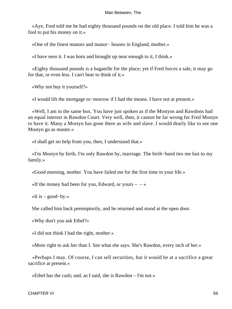«Aye, Fred told me he had eighty thousand pounds on the old place. I told him he was a fool to put his money on it.»

«One of the finest manors and manor− houses in England, mother.»

«I have seen it. I was born and brought up near enough to it, I think.»

 «Eighty thousand pounds is a bagatelle for the place; yet if Fred forces a sale, it may go for that, or even less. I can't bear to think of it.»

«Why not buy it yourself?»

«I would lift the mortgage to−morrow if I had the means. I have not at present.»

 «Well, I am in the same box. You have just spoken as if the Mostyns and Rawdons had an equal interest in Rawdon Court. Very well, then, it cannot be far wrong for Fred Mostyn to have it. Many a Mostyn has gone there as wife and slave. I would dearly like to see one Mostyn go as master.»

«I shall get no help from you, then, I understand that.»

 «I'm Mostyn by birth, I'm only Rawdon by, marriage. The birth−band ties me fast to my family.»

«Good morning, mother. You have failed me for the first time in your life.»

«If the money had been for you, Edward, or yours  $-\rightarrow$ 

«It is – good−by.»

She called him back peremptorily, and he returned and stood at the open door.

«Why don't you ask Ethel?»

«I did not think I had the right, mother.»

«More right to ask her than I. See what she says. She's Rawdon, every inch of her.»

 «Perhaps I may. Of course, I can sell securities, but it would be at a sacrifice a great sacrifice at present.»

«Ethel has the cash; and, as I said, she is Rawdon – I'm not.»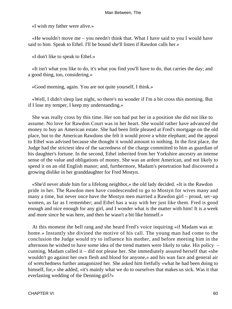«I wish my father were alive.»

 «He wouldn't move me – you needn't think that. What I have said to you I would have said to him. Speak to Ethel. I'll be bound she'll listen if Rawdon calls her.»

«I don't like to speak to Ethel.»

 «It isn't what you like to do, it's what you find you'll have to do, that carries the day; and a good thing, too, considering.»

«Good morning, again. You are not quite yourself, I think.»

 «Well, I didn't sleep last night, so there's no wonder if I'm a bit cross this morning. But if I lose my temper, I keep my understanding.»

 She was really cross by this time. Her son had put her in a position she did not like to assume. No love for Rawdon Court was in her heart. She would rather have advanced the money to buy an American estate. She had been little pleased at Fred's mortgage on the old place, but to the American Rawdons she felt it would prove a white elephant; and the appeal to Ethel was advised because she thought it would amount to nothing. In the first place, the Judge had the strictest idea of the sacredness of the charge committed to him as guardian of his daughter's fortune. In the second, Ethel inherited from her Yorkshire ancestry an intense sense of the value and obligations of money. She was an ardent American, and not likely to spend it on an old English manor; and, furthermore, Madam's penetration had discovered a growing dislike in her granddaughter for Fred Mostyn.

 «She'd never abide him for a lifelong neighbor,» the old lady decided. «It is the Rawdon pride in her. The Rawdon men have condescended to go to Mostyn for wives many and many a time, but never once have the Mostyn men married a Rawdon girl – proud, set−up women, as far as I remember; and Ethel has a way with her just like them. Fred is good enough and nice enough for any girl, and I wonder what is the matter with him! It is a week and more since he was here, and then he wasn't a bit like himself.»

 At this moment the bell rang and she heard Fred's voice inquiring «if Madam was at home.» Instantly she divined the motive of his call. The young man had come to the conclusion the Judge would try to influence his mother, and before meeting him in the afternoon he wished to have some idea of the trend matters were likely to take. His policy – cunning, Madam called it – did not please her. She immediately assured herself that «she wouldn't go against her own flesh and blood for anyone,» and his wan face and general air of wretchedness further antagonized her. She asked him fretfully «what he had been doing to himself, for,» she added, «it's mainly what we do to ourselves that makes us sick. Was it that everlasting wedding of the Denning girl?»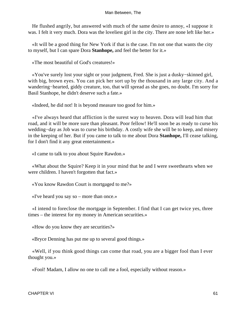He flushed angrily, but answered with much of the same desire to annoy, «I suppose it was. I felt it very much. Dora was the loveliest girl in the city. There are none left like her.»

 «It will be a good thing for New York if that is the case. I'm not one that wants the city to myself, but I can spare Dora **Stanhope,** and feel the better for it.»

«The most beautiful of God's creatures!»

 «You've surely lost your sight or your judgment, Fred. She is just a dusky−skinned girl, with big, brown eyes. You can pick her sort up by the thousand in any large city. And a wandering−hearted, giddy creature, too, that will spread as she goes, no doubt. I'm sorry for Basil Stanhope, he didn't deserve such a fate.»

«Indeed, he did not! It is beyond measure too good for him.»

 «I've always heard that affliction is the surest way to heaven. Dora will lead him that road, and it will be more sure than pleasant. Poor fellow! He'll soon be as ready to curse his wedding−day as Job was to curse his birthday. A costly wife she will be to keep, and misery in the keeping of her. But if you came to talk to me about Dora **Stanhope,** I'll cease talking, for I don't find it any great entertainment.»

«I came to talk to you about Squire Rawdon.»

 «What about the Squire? Keep it in your mind that he and I were sweethearts when we were children. I haven't forgotten that fact.»

«You know Rawdon Court is mortgaged to me?»

«I've heard you say so – more than once.»

 «I intend to foreclose the mortgage in September. I find that I can get twice yes, three times – the interest for my money in American securities.»

«How do you know they are securities?»

«Bryce Denning has put me up to several good things.»

 «Well, if you think good things can come that road, you are a bigger fool than I ever thought you.»

«Fool! Madam, I allow no one to call me a fool, especially without reason.»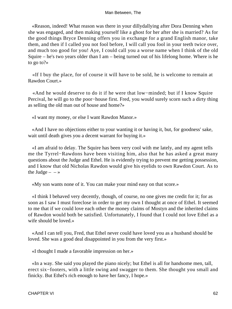«Reason, indeed! What reason was there in your dillydallying after Dora Denning when she was engaged, and then making yourself like a ghost for her after she is married? As for the good things Bryce Denning offers you in exchange for a grand English manor, take them, and then if I called you not fool before, I will call you fool in your teeth twice over, and much too good for you! Aye, I could call you a worse name when I think of the old Squire – he's two years older than I am – being turned out of his lifelong home. Where is he to go to?»

 «If I buy the place, for of course it will have to be sold, he is welcome to remain at Rawdon Court.»

 «And he would deserve to do it if he were that low−minded; but if I know Squire Percival, he will go to the poor−house first. Fred, you would surely scorn such a dirty thing as selling the old man out of house and home?»

«I want my money, or else I want Rawdon Manor.»

 «And I have no objections either to your wanting it or having it, but, for goodness' sake, wait until death gives you a decent warrant for buying it.»

 «I am afraid to delay. The Squire has been very cool with me lately, and my agent tells me the Tyrrel−Rawdons have been visiting him, also that he has asked a great many questions about the Judge and Ethel. He is evidently trying to prevent me getting possession, and I know that old Nicholas Rawdon would give his eyelids to own Rawdon Court. As to the Judge  $\rightarrow$ 

«My son wants none of it. You can make your mind easy on that score.»

 «I think I behaved very decently, though, of course, no one gives me credit for it; for as soon as I saw I must foreclose in order to get my own I thought at once of Ethel. It seemed to me that if we could love each other the money claims of Mostyn and the inherited claims of Rawdon would both be satisfied. Unfortunately, I found that I could not love Ethel as a wife should be loved.»

 «And I can tell you, Fred, that Ethel never could have loved you as a husband should be loved. She was a good deal disappointed in you from the very first.»

«I thought I made a favorable impression on her.»

 «In a way. She said you played the piano nicely; but Ethel is all for handsome men, tall, erect six−footers, with a little swing and swagger to them. She thought you small and finicky. But Ethel's rich enough to have her fancy, I hope.»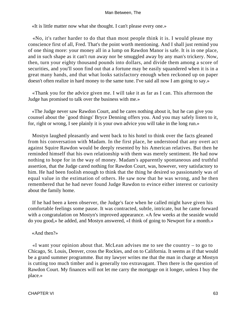«It is little matter now what she thought. I can't please every one.»

 «No, it's rather harder to do that than most people think it is. I would please my conscience first of all, Fred. That's the point worth mentioning. And I shall just remind you of one thing more: your money all in a lump on Rawdon Manor is safe. It is in one place, and in such shape as it can't run away nor be smuggled away by any man's trickery. Now, then, turn your eighty thousand pounds into dollars, and divide them among a score of securities, and you'll soon find out that a fortune may be easily squandered when it is in a great many hands, and that what looks satisfactory enough when reckoned up on paper doesn't often realize in hard money to the same tune. I've said all now I am going to say.»

 «Thank you for the advice given me. I will take it as far as I can. This afternoon the Judge has promised to talk over the business with me.»

 «The Judge never saw Rawdon Court, and he cares nothing about it, but he can give you counsel about the `good things' Bryce Denning offers you. And you may safely listen to it, for, right or wrong, I see plainly it is your own advice you will take in the long run.»

 Mostyn laughed pleasantly and went back to his hotel to think over the facts gleaned from his conversation with Madam. In the first place, he understood that any overt act against Squire Rawdon would be deeply resented by his American relatives. But then he reminded himself that his own relationship with them was merely sentiment. He had now nothing to hope for in the way of money. Madam's apparently spontaneous and truthful assertion, that the Judge cared nothing for Rawdon Court, was, however, very satisfactory to him. He had been foolish enough to think that the thing he desired so passionately was of equal value in the estimation of others. He saw now that he was wrong, and he then remembered that he had never found Judge Rawdon to evince either interest or curiosity about the family home.

 If he had been a keen observer, the Judge's face when he called might have given his comfortable feelings some pause. It was contracted, subtle, intricate, but he came forward with a congratulation on Mostyn's improved appearance. «A few weeks at the seaside would do you good,» he added, and Mostyn answered, «I think of going to Newport for a month.»

#### «And then?»

 «I want your opinion about that. McLean advises me to see the country – to go to Chicago, St. Louis, Denver, cross the Rockies, and on to California. It seems as if that would be a grand summer programme. But my lawyer writes me that the man in charge at Mostyn is cutting too much timber and is generally too extravagant. Then there is the question of Rawdon Court. My finances will not let me carry the mortgage on it longer, unless I buy the place.»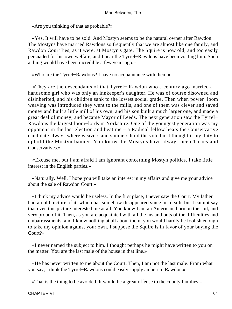«Are you thinking of that as probable?»

 «Yes. It will have to be sold. And Mostyn seems to be the natural owner after Rawdon. The Mostyns have married Rawdons so frequently that we are almost like one family, and Rawdon Court lies, as it were, at Mostyn's gate. The Squire is now old, and too easily persuaded for his own welfare, and I hear the Tyrrel−Rawdons have been visiting him. Such a thing would have been incredible a few years ago.»

«Who are the Tyrrel−Rawdons? I have no acquaintance with them.»

 «They are the descendants of that Tyrrel− Rawdon who a century ago married a handsome girl who was only an innkeeper's daughter. He was of course disowned and disinherited, and his children sank to the lowest social grade. Then when power−loom weaving was introduced they went to the mills, and one of them was clever and saved money and built a little mill of his own, and his son built a much larger one, and made a great deal of money, and became Mayor of Leeds. The next generation saw the Tyrrel− Rawdons the largest loom−lords in Yorkshire. One of the youngest generation was my opponent in the last election and beat me – a Radical fellow beats the Conservative candidate always where weavers and spinners hold the vote but I thought it my duty to uphold the Mostyn banner. You know the Mostyns have always been Tories and Conservatives.»

 «Excuse me, but I am afraid I am ignorant concerning Mostyn politics. I take little interest in the English parties.»

 «Naturally. Well, I hope you will take an interest in my affairs and give me your advice about the sale of Rawdon Court.»

 «I think my advice would be useless. In the first place, I never saw the Court. My father had an old picture of it, which has somehow disappeared since his death, but I cannot say that even this picture interested me at all. You know I am an American, born on the soil, and very proud of it. Then, as you are acquainted with all the ins and outs of the difficulties and embarrassments, and I know nothing at all about them, you would hardly be foolish enough to take my opinion against your own. I suppose the Squire is in favor of your buying the Court?»

 «I never named the subject to him. I thought perhaps he might have written to you on the matter. You are the last male of the house in that line.»

 «He has never written to me about the Court. Then, I am not the last male. From what you say, I think the Tyrrel−Rawdons could easily supply an heir to Rawdon.»

«That is the thing to be avoided. It would be a great offense to the county families.»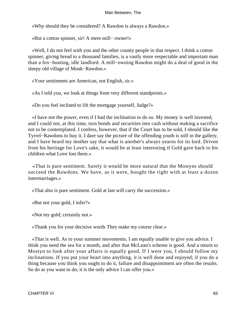«Why should they be considered? A Rawdon is always a Rawdon.»

«But a cotton spinner, sir! A mere mill− owner!»

 «Well, I do not feel with you and the other county people in that respect. I think a cotton spinner, giving bread to a thousand families, is a vastly more respectable and important man than a fox−hunting, idle landlord. A mill−owning Rawdon might do a deal of good in the sleepy old village of Monk−Rawdon.»

«Your sentiments are American, not English, sir.»

«As I told you, we look at things from very different standpoints.»

«Do you feel inclined to lift the mortgage yourself, Judge?»

 «I have not the power, even if I had the inclination to do so. My money is well invested, and I could not, at this time, turn bonds and securities into cash without making a sacrifice not to be contemplated. I confess, however, that if the Court has to be sold, I should like the Tyrrel−Rawdons to buy it. I dare say the picture of the offending youth is still in the gallery, and I have heard my mother say that what is another's always yearns for its lord. Driven from his heritage for Love's sake, it would be at least interesting if Gold gave back to his children what Love lost them.»

 «That is pure sentiment. Surely it would be more natural that the Mostyns should succeed the Rawdons. We have, as it were, bought the right with at least a dozen intermarriages.»

«That also is pure sentiment. Gold at last will carry the succession.»

«But not your gold, I infer?»

«Not my gold; certainly not.»

«Thank you for your decisive words They make my course clear.»

 «That is well. As to your summer movements, I am equally unable to give you advice. I think you need the sea for a month, and after that McLean's scheme is good. And a return to Mostyn to look after your affairs is equally good. If I were you, I should follow my inclinations. If you put your heart into anything, it is well done and enjoyed; if you do a thing because you think you ought to do it, failure and disappointment are often the results. So do as you want to do; it is the only advice I can offer you.»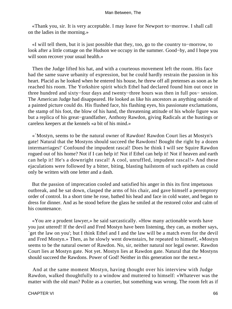«Thank you, sir. It is very acceptable. I may leave for Newport to−morrow. I shall call on the ladies in the morning.»

 «I will tell them, but it is just possible that they, too, go to the country to−morrow, to look after a little cottage on the Hudson we occupy in the summer. Good−by, and I hope you will soon recover your usual health.»

 Then the Judge lifted his hat, and with a courteous movement left the room. His face had the same suave urbanity of expression, but he could hardly restrain the passion in his heart. Placid as he looked when he entered his house, he threw off all pretenses as soon as he reached his room. The Yorkshire spirit which Ethel had declared found him out once in three hundred and sixty−four days and twenty−three hours was then in full pos− session. The American Judge had disappeared. He looked as like his ancestors as anything outside of a painted picture could do. His flushed face, his flashing eyes, his passionate exclamations, the stamp of his foot, the blow of his hand, the threatening attitude of his whole figure was but a replica of his great−grandfather, Anthony Rawdon, giving Radicals at the hustings or careless keepers at the kennels «a bit of his mind.»

 «`Mostyn, seems to be the natural owner of Rawdon! Rawdon Court lies at Mostyn's gate! Natural that the Mostyns should succeed the Rawdons! Bought the right by a dozen intermarriages!' Confound the impudent rascal! Does he think I will see Squire Rawdon rogued out of his home? Not if I can help it! Not if Ethel can help it! Not if heaven and earth can help it! He's a downright rascal! A cool, unruffled, impudent rascal!» And these ejaculations were followed by a bitter, biting, blasting hailstorm of such epithets as could only be written with one letter and a dash.

 But the passion of imprecation cooled and satisfied his anger in this its first impetuous outbreak, and he sat down, clasped the arms of his chair, and gave himself a peremptory order of control. In a short time he rose, bathed his head and face in cold water, and began to dress for dinner. And as he stood before the glass he smiled at the restored color and calm of his countenance.

 «You are a prudent lawyer,» he said sarcastically. «How many actionable words have you just uttered! If the devil and Fred Mostyn have been listening, they can, as mother says, `get the law on you'; but I think Ethel and I and the law will be a match even for the devil and Fred Mostyn.» Then, as he slowly went downstairs, he repeated to himself, «Mostyn seems to be the natural owner of Rawdon. No, sir, neither natural nor legal owner. Rawdon Court lies at Mostyn gate. Not yet. Mostyn lies at Rawdon gate. Natural that the Mostyns should succeed the Rawdons. Power of God! Neither in this generation nor the next.»

 And at the same moment Mostyn, having thought over his interview with Judge Rawdon, walked thoughtfully to a window and muttered to himself: «Whatever was the matter with the old man? Polite as a courtier, but something was wrong. The room felt as if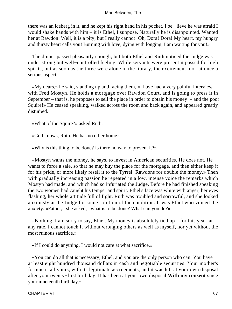there was an iceberg in it, and he kept his right hand in his pocket. I be− lieve he was afraid I would shake hands with him – it is Ethel, I suppose. Naturally he is disappointed. Wanted her at Rawdon. Well, it is a pity, but I really cannot! Oh, Dora! Dora! My heart, my hungry and thirsty heart calls you! Burning with love, dying with longing, I am waiting for you!»

 The dinner passed pleasantly enough, but both Ethel and Ruth noticed the Judge was under strong but well−controlled feeling. While servants were present it passed for high spirits, but as soon as the three were alone in the library, the excitement took at once a serious aspect.

 «My dears,» he said, standing up and facing them, «I have had a very painful interview with Fred Mostyn. He holds a mortgage over Rawdon Court, and is going to press it in September – that is, he proposes to sell the place in order to obtain his money – and the poor Squire!» He ceased speaking, walked across the room and back again, and appeared greatly disturbed.

«What of the Squire?» asked Ruth.

«God knows, Ruth. He has no other home.»

«Why is this thing to be done? Is there no way to prevent it?»

 «Mostyn wants the money, he says, to invest in American securities. He does not. He wants to force a sale, so that he may buy the place for the mortgage, and then either keep it for his pride, or more likely resell it to the Tyrrel−Rawdons for double the money.» Then with gradually increasing passion he repeated in a low, intense voice the remarks which Mostyn had made, and which had so infuriated the Judge. Before he had finished speaking the two women had caught his temper and spirit. Ethel's face was white with anger, her eyes flashing, her whole attitude full of fight. Ruth was troubled and sorrowful, and she looked anxiously at the Judge for some solution of the condition. It was Ethel who voiced the anxiety. «Father,» she asked, «what is to be done? What can you do?»

 «Nothing, I am sorry to say, Ethel. My money is absolutely tied up – for this year, at any rate. I cannot touch it without wronging others as well as myself, nor yet without the most ruinous sacrifice.»

«If I could do anything, I would not care at what sacrifice.»

 «You can do all that is necessary, Ethel, and you are the only person who can. You have at least eight hundred thousand dollars in cash and negotiable securities. Your mother's fortune is all yours, with its legitimate accruements, and it was left at your own disposal after your twenty−first birthday. It has been at your own disposal **With my consent** since your nineteenth birthday.»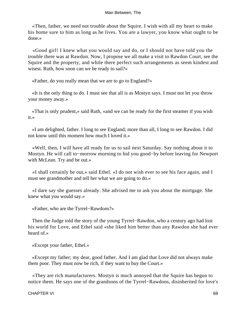«Then, father, we need not trouble about the Squire. I wish with all my heart to make his home sure to him as long as he lives. You are a lawyer, you know what ought to be done.»

 «Good girl! I knew what you would say and do, or I should not have told you the trouble there was at Rawdon. Now, I propose we all make a visit to Rawdon Court, see the Squire and the property, and while there perfect such arrangements as seem kindest and wisest. Ruth, how soon can we be ready to sail?»

«Father, do you really mean that we are to go to England?»

 «It is the only thing to do. I must see that all is as Mostyn says. I must not let you throw your money away.»

 «That is only prudent,» said Ruth, «and we can be ready for the first steamer if you wish it.»

 «I am delighted, father. I long to see England; more than all, I long to see Rawdon. I did not know until this moment how much I loved it.»

 «Well, then, I will have all ready for us to sail next Saturday. Say nothing about it to Mostyn. He will call to−morrow morning to bid you good−by before leaving for Newport with McLean. Try and be out.»

 «I shall certainly be out,» said Ethel. «I do not wish ever to see his face again, and I must see grandmother and tell her what we are going to do.»

 «I dare say she guesses already. She advised me to ask you about the mortgage. She knew what you would say.»

«Father, who are the Tyrrel−Rawdons?»

 Then the Judge told the story of the young Tyrrel−Rawdon, who a century ago had lost his world for Love, and Ethel said «she liked him better than any Rawdon she had ever heard of.»

«Except your father, Ethel.»

 «Except my father; my dear, good father. And I am glad that Love did not always make them poor. They must now be rich, if they want to buy the Court.»

 «They are rich manufacturers. Mostyn is much annoyed that the Squire has begun to notice them. He says one of the grandsons of the Tyrrel−Rawdons, disinherited for love's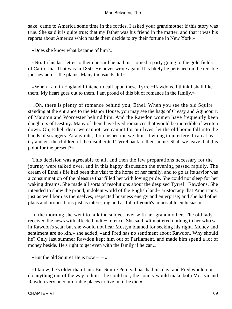sake, came to America some time in the forties. I asked your grandmother if this story was true. She said it is quite true; that my father was his friend in the matter, and that it was his reports about America which made them decide to try their fortune in New York.»

«Does she know what became of him?»

 «No. In his last letter to them he said he had just joined a party going to the gold fields of California. That was in 1850. He never wrote again. It is likely he perished on the terrible journey across the plains. Many thousands did.»

 «When I am in England I intend to call upon these Tyrrel−Rawdons. I think I shall like them. My heart goes out to them. I am proud of this bit of romance in the family.»

 «Oh, there is plenty of romance behind you, Ethel. When you see the old Squire standing at the entrance to the Manor House, you may see the hags of Cressy and Agincourt, of Marston and Worcester behind him. And the Rawdon women have frequently been daughters of Destiny. Many of them have lived romances that would be incredible if written down. Oh, Ethel, dear, we cannot, we cannot for our lives, let the old home fall into the hands of strangers. At any rate, if on inspection we think it wrong to interfere, I can at least try and get the children of the disinherited Tyrrel back to their home. Shall we leave it at this point for the present?»

 This decision was agreeable to all, and then the few preparations necessary for the journey were talked over, and in this happy discussion the evening passed rapidly. The dream of Ethel's life had been this visit to the home of her family, and to go as its savior was a consummation of the pleasure that filled her with loving pride. She could not sleep for her waking dreams. She made all sorts of resolutions about the despised Tyrrel− Rawdons. She intended to show the proud, indolent world of the English land− aristocracy that Americans, just as well born as themselves, respected business energy and enterprise; and she had other plans and propositions just as interesting and as full of youth's impossible enthusiasm.

 In the morning she went to talk the subject over with her grandmother. The old lady received the news with affected indif− ference. She said, «It mattered nothing to her who sat in Rawdon's seat; but she would not hear Mostyn blamed for seeking his right. Money and sentiment are no kin,» she added, «and Fred has no sentiment about Rawdon. Why should he? Only last summer Rawdon kept him out of Parliament, and made him spend a lot of money beside. He's right to get even with the family if he can.»

«But the old Squire! He is now  $- - \infty$ 

 «I know; he's older than I am. But Squire Percival has had his day, and Fred would not do anything out of the way to him – he could not; the county would make both Mostyn and Rawdon very uncomfortable places to live in, if he did.»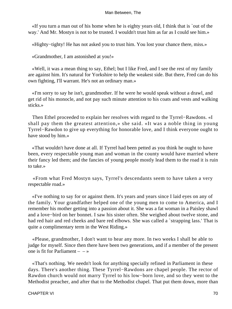«If you turn a man out of his home when he is eighty years old, I think that is `out of the way.' And Mr. Mostyn is not to be trusted. I wouldn't trust him as far as I could see him.»

«Highty−tighty! He has not asked you to trust him. You lost your chance there, miss.»

«Grandmother, I am astonished at you!»

 «Well, it was a mean thing to say, Ethel; but I like Fred, and I see the rest of my family are against him. It's natural for Yorkshire to help the weakest side. But there, Fred can do his own fighting, I'll warrant. He's not an ordinary man.»

 «I'm sorry to say he isn't, grandmother. If he were he would speak without a drawl, and get rid of his monocle, and not pay such minute attention to his coats and vests and walking sticks.»

 Then Ethel proceeded to explain her resolves with regard to the Tyrrel−Rawdons. «I shall pay them the greatest attention,» she said. «It was a noble thing in young Tyrrel−Rawdon to give up everything for honorable love, and I think everyone ought to have stood by him.»

 «That wouldn't have done at all. If Tyrrel had been petted as you think he ought to have been, every respectable young man and woman in the county would have married where their fancy led them; and the fancies of young people mostly lead them to the road it is ruin to take.»

 «From what Fred Mostyn says, Tyrrel's descendants seem to have taken a very respectable road.»

 «I've nothing to say for or against them. It's years and years since I laid eyes on any of the family. Your grandfather helped one of the young men to come to America, and I remember his mother getting into a passion about it. She was a fat woman in a Paisley shawl and a love−bird on her bonnet. I saw his sister often. She weighed about twelve stone, and had red hair and red cheeks and bare red elbows. She was called a 'strapping lass.' That is quite a complimentary term in the West Riding.»

 «Please, grandmother, I don't want to hear any more. In two weeks I shall be able to judge for myself. Since then there have been two generations, and if a member of the present one is fit for Parliament  $-$  – »

 «That's nothing. We needn't look for anything specially refined in Parliament in these days. There's another thing. These Tyrrel−Rawdons are chapel people. The rector of Rawdon church would not marry Tyrrel to his low−born love, and so they went to the Methodist preacher, and after that to the Methodist chapel. That put them down, more than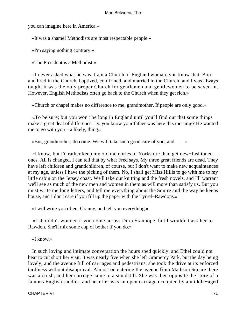you can imagine here in America.»

«It was a shame! Methodists are most respectable people.»

«I'm saying nothing contrary.»

«The President is a Methodist.»

 «I never asked what he was. I am a Church of England woman, you know that. Born and bred in the Church, baptized, confirmed, and married in the Church, and I was always taught it was the only proper Church for gentlemen and gentlewomen to be saved in. However, English Methodists often go back to the Church when they get rich.»

«Church or chapel makes no difference to me, grandmother. If people are only good.»

 «To be sure; but you won't be long in England until you'll find out that some things make a great deal of difference. Do you know your father was here this morning? He wanted me to go with you – a likely, thing.»

«But, grandmother, do come. We will take such good care of you, and  $- \rightarrow \infty$ 

 «I know, but I'd rather keep my old memories of Yorkshire than get new−fashioned ones. All is changed. I can tell that by what Fred says. My three great friends are dead. They have left children and grandchildren, of course, but I don't want to make new acquaintances at my age, unless I have the picking of them. No, I shall get Miss Hillis to go with me to my little cabin on the Jersey coast. We'll take our knitting and the fresh novels, and I'll warrant we'll see as much of the new men and women in them as will more than satisfy us. But you must write me long letters, and tell me everything about the Squire and the way he keeps house, and I don't care if you fill up the paper with the Tyrrel−Rawdons.»

«I will write you often, Granny, and tell you everything.»

 «I shouldn't wonder if you come across Dora Stanhope, but I wouldn't ask her to Rawdon. She'll mix some cup of bother if you do.»

«I know.»

 In such loving and intimate conversation the hours sped quickly, and Ethel could not bear to cut short her visit. It was nearly five when she left Gramercy Park, but the day being lovely, and the avenue full of carriages and pedestrians, she took the drive at its enforced tardiness without disapproval. Almost on entering the avenue from Madison Square there was a crush, and her carriage came to a standstill. She was then opposite the store of a famous English saddler, and near her was an open carriage occupied by a middle−aged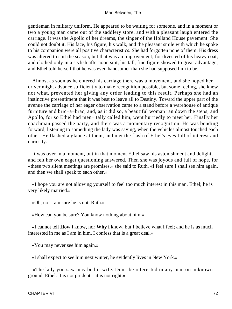gentleman in military uniform. He appeared to be waiting for someone, and in a moment or two a young man came out of the saddlery store, and with a pleasant laugh entered the carriage. It was the Apollo of her dreams, the singer of the Holland House pavement. She could not doubt it. His face, his figure, his walk, and the pleasant smile with which he spoke to his companion were all positive characteristics. She had forgotten none of them. His dress was altered to suit the season, but that was an improvement; for divested of his heavy coat, and clothed only in a stylish afternoon suit, his tall, fine figure showed to great advantage; and Ethel told herself that he was even handsomer than she had supposed him to be.

 Almost as soon as he entered his carriage there was a movement, and she hoped her driver might advance sufficiently to make recognition possible, but some feeling, she knew not what, prevented her giving any order leading to this result. Perhaps she had an instinctive presentiment that it was best to leave all to Destiny. Toward the upper part of the avenue the carriage of her eager observation came to a stand before a warehouse of antique furniture and bric−a−brac, and, as it did so, a beautiful woman ran down the steps, and Apollo, for so Ethel had men− tally called him, went hurriedly to meet her. Finally her coachman passed the party, and there was a momentary recognition. He was bending forward, listening to something the lady was saying, when the vehicles almost touched each other. He flashed a glance at them, and met the flash of Ethel's eyes full of interest and curiosity.

 It was over in a moment, but in that moment Ethel saw his astonishment and delight, and felt her own eager questioning answered. Then she was joyous and full of hope, for «these two silent meetings are promises,» she said to Ruth. «I feel sure I shall see him again, and then we shall speak to each other.»

 «I hope you are not allowing yourself to feel too much interest in this man, Ethel; he is very likely married.»

«Oh, no! I am sure he is not, Ruth.»

«How can you be sure? You know nothing about him.»

 «I cannot tell **How i** know, nor **Why i** know, but I believe what I feel; and he is as much interested in me as I am in him. I confess that is a great deal.»

«You may never see him again.»

«I shall expect to see him next winter, he evidently lives in New York.»

 «The lady you saw may be his wife. Don't be interested in any man on unknown ground, Ethel. It is not prudent – it is not right.»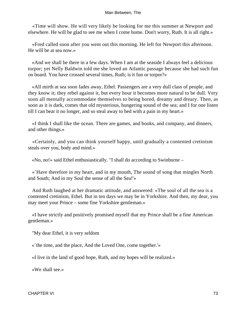«Time will show. He will very likely be looking for me this summer at Newport and elsewhere. He will be glad to see me when I come home. Don't worry, Ruth. It is all right.»

 «Fred called soon after you went out this morning. He left for Newport this afternoon. He will be at sea now.»

 «And we shall be there in a few days. When I am at the seaside I always feel a delicious torpor; yet Nelly Baldwin told me she loved an Atlantic passage because she had such fun on board. You have crossed several times, Ruth; is it fun or torpor?»

 «All mirth at sea soon fades away, Ethel. Passengers are a very dull class of people, and they know it; they rebel against it, but every hour it becomes more natural to be dull. Very soon all mentally accommodate themselves to being bored, dreamy and dreary. Then, as soon as it is dark, comes that old mysterious, hungering sound of the sea; and I for one listen till I can bear it no longer, and so steal away to bed with a pain in my heart.»

 «I think I shall like the ocean. There are games, and books, and company, and dinners, and other things.»

 «Certainly, and you can think yourself happy, until gradually a contented cretinism steals over you, body and mind.»

«No, no!» said Ethel enthusiastically. "I shall do according to Swinburne –

 «`Have therefore in my heart, and in my mouth, The sound of song that mingles North and South; And in my Soul the sense of all the Sea!'»

 And Ruth laughed at her dramatic attitude, and answered: «The soul of all the sea is a contented cretinism, Ethel. But in ten days we may be in Yorkshire. And then, my dear, you may meet your Prince – some fine Yorkshire gentleman.»

 «I have strictly and positively promised myself that my Prince shall be a fine American gentleman.»

"My dear Ethel, it is very seldom

«`the time, and the place, And the Loved One, come together.'»

«I live in the land of good hope, Ruth, and my hopes will be realized.»

«We shall see.»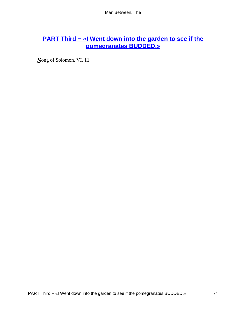# **[PART Third − «I Went down into the garden to see if the](#page-152-0) [pomegranates BUDDED.»](#page-152-0)**

*S*ong of Solomon, VI. 11.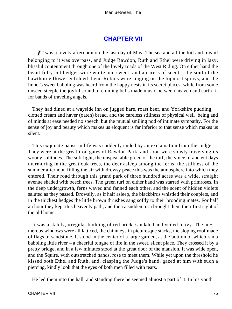# **[CHAPTER VII](#page-152-0)**

*I***T** was a lovely afternoon on the last day of May. The sea and all the toil and travail belonging to it was overpass, and Judge Rawdon, Ruth and Ethel were driving in lazy, blissful contentment through one of the lovely roads of the West Riding. On either hand the beautifully cut hedges were white and sweet, and a caress of scent – the soul of the hawthorne flower enfolded them. Robins were singing on the topmost sprays, and the linnet's sweet babbling was heard from the happy nests in its secret places; while from some unseen steeple the joyful sound of chiming bells made music between heaven and earth fit for bands of traveling angels.

 They had dined at a wayside inn on jugged hare, roast beef, and Yorkshire pudding, clotted cream and haver (oaten) bread, and the careless stillness of physical well−being and of minds at ease needed no speech, but the mutual smiling nod of intimate sympathy. For the sense of joy and beauty which makes us eloquent is far inferior to that sense which makes us silent.

 This exquisite pause in life was suddenly ended by an exclamation from the Judge. They were at the great iron gates of Rawdon Park, and soon were slowly traversing its woody solitudes. The soft light, the unspeakable green of the turf, the voice of ancient days murmuring in the great oak trees, the deer asleep among the ferns, the stillness of the summer afternoon filling the air with drowsy peace this was the atmosphere into which they entered. Their road through this grand park of three hundred acres was a wide, straight avenue shaded with beech trees. The green turf on either hand was starred with primroses. In the deep undergrowth, ferns waved and fanned each other, and the scent of hidden violets saluted as they passed. Drowsily, as if half asleep, the blackbirds whistled their couplets, and in the thickest hedges the little brown thrushes sang softly to their brooding mates. For half an hour they kept this heavenly path, and then a sudden turn brought them their first sight of the old home.

 It was a stately, irregular building of red brick, sandaled and veiled in ivy. The nu− merous windows were all latticed, the chimneys in picturesque stacks, the sloping roof made of flags of sandstone. It stood in the center of a large garden, at the bottom of which ran a babbling little river – a cheerful tongue of life in the sweet, silent place. They crossed it by a pretty bridge, and in a few minutes stood at the great door of the mansion. It was wide open, and the Squire, with outstretched hands, rose to meet them. While yet upon the threshold he kissed both Ethel and Ruth, and, clasping the Judge's hand, gazed at him with such a piercing, kindly look that the eyes of both men filled with tears.

He led them into the hall, and standing there he seemed almost a part of it. In his youth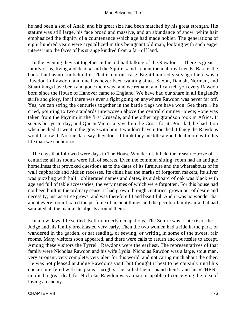he had been a son of Anak, and his great size had been matched by his great strength. His stature was still large, his face broad and massive, and an abundance of snow−white hair emphasized the dignity of a countenance which age had made nobler. The generations of eight hundred years were crystallized in this benignant old man, looking with such eager interest into the faces of his strange kindred from a far−off land.

 In the evening they sat together in the old hall talking of the Rawdons. «There is great family of us, living and dead,» said the Squire, «and I count them all my friends. Bare is the back that has no kin behind it. That is not our case. Eight hundred years ago there was a Rawdon in Rawdon, and one has never been wanting since. Saxon, Danish, Norman, and Stuart kings have been and gone their way, and we remain; and I can tell you every Rawdon born since the House of Hanover came to England. We have had our share in all England's strife and glory, for if there was ever a fight going on anywhere Rawdon was never far off. Yes, we can string the centuries together in the battle flags we have won. See there!» he cried, pointing to two standards interwoven above the central chimney−piece; «one was taken from the Paynim in the first Crusade, and the other my grandson took in Africa. It seems but yesterday, and Queen Victoria gave him the Cross for it. Poor lad, he had it on when he died. It went to the grave with him. I wouldn't have it touched. I fancy the Rawdons would know it. No one dare say they don't. I think they meddle a good deal more with this life than we count on.»

 The days that followed were days in The House Wonderful. It held the treasure−trove of centuries; all its rooms were full of secrets. Even the common sitting−room had an antique homeliness that provoked questions as to the dates of its furniture and the whereabouts of its wall cupboards and hidden recesses. Its china had the marks of forgotten makers, its silver was puzzling with half− obliterated names and dates, its sideboard of oak was black with age and full of table accessories, the very names of which were forgotten. For this house had not been built in the ordinary sense, it had grown through centuries; grown out of desire and necessity, just as a tree grows, and was therefore fit and beautiful. And it was no wonder that about every room floated the perfume of ancient things and the peculiar family aura that had saturated all the inanimate objects around them.

 In a few days, life settled itself to orderly occupations. The Squire was a late riser; the Judge and his family breakfasted very early. Then the two women had a ride in the park, or wandered in the garden, or sat reading, or sewing, or writing in some of the sweet, fair rooms. Many visitors soon appeared, and there were calls to return and courtesies to accept. Among these visitors the Tyrrel− Rawdons were the earliest. The representatives of that family were Nicholas Rawdon and his wife Lydia. Nicholas Rawdon was a large, stout man, very arrogant, very complete, very alert for this world, and not caring much about the other. He was not pleased at Judge Rawdon's visit, but thought it best to be cousinly until his cousin interfered with his plans – «rights» he called them – «and then!» and his «THEN» implied a great deal, for Nicholas Rawdon was a man incapable of conceiving the idea of loving an enemy.

CHAPTER VII 76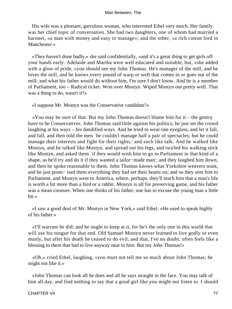His wife was a pleasant, garrulous woman, who interested Ethel very much. Her family was her chief topic of conversation. She had two daughters, one of whom had married a baronet, «a man with money and easy to manage»; and the other, «a rich cotton lord in Manchester.»

 «They haven't done badly,» she said confidentially, «and it's a great thing to get girls off your hands early. Adelaide and Martha were well educated and suitable, but, »she added with a glow of pride, «you should see my John Thomas. He's manager of the mill, and he loves the mill, and he knows every pound of warp or weft that comes in or goes out of the mill; and what his father would do without him, I'm sure I don't know. And he is a member of Parliament, too – Radical ticket. Won over Mostyn. Wiped Mostyn out pretty well. That was a thing to do, wasn't it?»

«I suppose Mr. Mostyn was the Conservative candidate?»

 «You may be sure of that. But my John Thomas doesn't blame him for it – the gentry have to be Conservatives. John Thomas said little against his politics; he just set the crowd laughing at his ways – his dandified ways. And he tried to wear one eyeglass, and let it fall, and fall, and then told the men `he couldn't manage half a pair of spectacles; but he could manage their interests and fight for their rights,' and such like talk. And he walked like Mostyn, and he talked like Mostyn, and spread out his legs, and twirled his walking stick like Mostyn, and asked them `if they would wish him to go to Parliament in that kind of a shape, as he'd try and do it if they wanted a tailor−made man'; and they laughed him down, and then he spoke reasonable to them. John Thomas knows what Yorkshire weavers want, and he just prom− ised them everything they had set their hearts on; and so they sent him to Parliament, and Mostyn went to America, where, perhaps, they'll teach him that a man's life is worth a bit more than a bird or a rabbit. Mostyn is all for preserving game, and his father was a mean creature. When one thinks of his father, one has to excuse the young man a little bit.»

 «I saw a good deal of Mr. Mostyn in New York,» said Ethel. «He used to speak highly of his father.»

 «I'll warrant he did; and he ought to keep at it, for he's the only one in this world that will use his tongue for that end. Old Samuel Mostyn never learned to live godly or even manly, but after his death he ceased to do evil, and that, I've no doubt, often feels like a blessing to them that had to live anyway near to him. But my John Thomas!»

 «Oh,» cried Ethel, laughing, «you must not tell me so much about John Thomas; he might not like it.»

 «John Thomas can look all he does and all he says straight in the face. You may talk of him all day, and find nothing to say that a good girl like you might not listen to. I should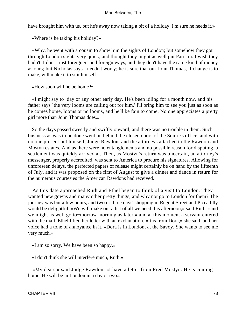have brought him with us, but he's away now taking a bit of a holiday. I'm sure he needs it.»

«Where is he taking his holiday?»

 «Why, he went with a cousin to show him the sights of London; but somehow they got through London sights very quick, and thought they might as well put Paris in. I wish they hadn't. I don't trust foreigners and foreign ways, and they don't have the same kind of money as ours; but Nicholas says I needn't worry; he is sure that our John Thomas, if change is to make, will make it to suit himself.»

«How soon will he be home?»

 «I might say to−day or any other early day. He's been idling for a month now, and his father says `the very looms are calling out for him.' I'll bring him to see you just as soon as he comes home, looms or no looms, and he'll be fain to come. No one appreciates a pretty girl more than John Thomas does.»

 So the days passed sweetly and swiftly onward, and there was no trouble in them. Such business as was to be done went on behind the closed doors of the Squire's office, and with no one present but himself, Judge Rawdon, and the attorneys attached to the Rawdon and Mostyn estates. And as there were no entanglements and no possible reason for disputing, a settlement was quickly arrived at. Then, as Mostyn's return was uncertain, an attorney's messenger, properly accredited, was sent to America to procure his signatures. Allowing for unforeseen delays, the perfected papers of release might certainly be on hand by the fifteenth of July, and it was proposed on the first of August to give a dinner and dance in return for the numerous courtesies the American Rawdons had received.

 As this date approached Ruth and Ethel began to think of a visit to London. They wanted new gowns and many other pretty things, and why not go to London for them? The journey was but a few hours, and two or three days' shopping in Regent Street and Piccadilly would be delightful. «We will make out a list of all we need this afternoon,» said Ruth, «and we might as well go to−morrow morning as later,» and at this moment a servant entered with the mail. Ethel lifted her letter with an exclamation. «It is from Dora,» she said, and her voice had a tone of annoyance in it. «Dora is in London, at the Savoy. She wants to see me very much.»

«I am so sorry. We have been so happy.»

«I don't think she will interfere much, Ruth.»

 «My dears,» said Judge Rawdon, «I have a letter from Fred Mostyn. He is coming home. He will be in London in a day or two.»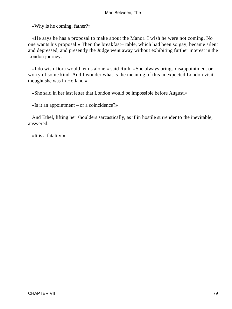«Why is he coming, father?»

 «He says he has a proposal to make about the Manor. I wish he were not coming. No one wants his proposal.» Then the breakfast− table, which had been so gay, became silent and depressed, and presently the Judge went away without exhibiting further interest in the London journey.

 «I do wish Dora would let us alone,» said Ruth. «She always brings disappointment or worry of some kind. And I wonder what is the meaning of this unexpected London visit. I thought she was in Holland.»

«She said in her last letter that London would be impossible before August.»

«Is it an appointment – or a coincidence?»

 And Ethel, lifting her shoulders sarcastically, as if in hostile surrender to the inevitable, answered:

«It is a fatality!»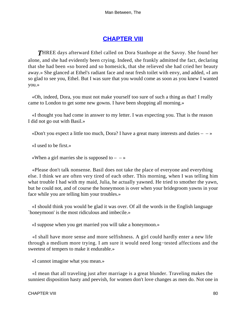# **[CHAPTER VIII](#page-152-0)**

**THREE** days afterward Ethel called on Dora Stanhope at the Savoy. She found her alone, and she had evidently been crying. Indeed, she frankly admitted the fact, declaring that she had been «so bored and so homesick, that she relieved she had cried her beauty away.» She glanced at Ethel's radiant face and neat fresh toilet with envy, and added, «I am so glad to see you, Ethel. But I was sure that you would come as soon as you knew I wanted you.»

 «Oh, indeed, Dora, you must not make yourself too sure of such a thing as that! I really came to London to get some new gowns. I have been shopping all morning.»

 «I thought you had come in answer to my letter. I was expecting you. That is the reason I did not go out with Basil.»

«Don't you expect a little too much, Dora? I have a great many interests and duties  $-\rightarrow$ 

«I used to be first.»

«When a girl marries she is supposed to  $-\rightarrow$ 

 «Please don't talk nonsense. Basil does not take the place of everyone and everything else. I think we are often very tired of each other. This morning, when I was telling him what trouble I had with my maid, Julia, he actually yawned. He tried to smother the yawn, but he could not, and of course the honeymoon is over when your bridegroom yawns in your face while you are telling him your troubles.»

 «I should think you would be glad it was over. Of all the words in the English language `honeymoon' is the most ridiculous and imbecile.»

«I suppose when you get married you will take a honeymoon.»

 «I shall have more sense and more selfishness. A girl could hardly enter a new life through a medium more trying. I am sure it would need long−tested affections and the sweetest of tempers to make it endurable.»

«I cannot imagine what you mean.»

 «I mean that all traveling just after marriage is a great blunder. Traveling makes the sunniest disposition hasty and peevish, for women don't love changes as men do. Not one in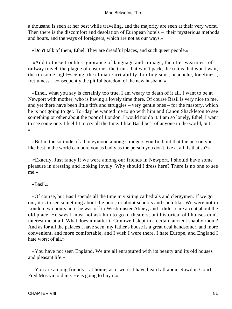a thousand is seen at her best while traveling, and the majority are seen at their very worst. Then there is the discomfort and desolation of European hotels – their mysterious methods and hours, and the ways of foreigners, which are not as our ways.»

«Don't talk of them, Ethel. They are dreadful places, and such queer people.»

 «Add to these troubles ignorance of language and coinage, the utter weariness of railway travel, the plague of customs, the trunk that won't pack, the trains that won't wait, the tiresome sight−seeing, the climatic irritability, broiling suns, headache, loneliness, fretfulness – consequently the pitiful boredom of the new husband.»

 «Ethel, what you say is certainly too true. I am weary to death of it all. I want to be at Newport with mother, who is having a lovely time there. Of course Basil is very nice to me, and yet there have been little tiffs and struggles – very gentle ones – for the mastery, which he is not going to get. To−day he wanted me to go with him and Canon Shackleton to see something or other about the poor of London. I would not do it. I am so lonely, Ethel, I want to see some one. I feel fit to cry all the time. I like Basil best of anyone in the world, but  $-$ »

 «But in the solitude of a honeymoon among strangers you find out that the person you like best in the world can bore you as badly as the person you don't like at all. Is that so?»

 «Exactly. Just fancy if we were among our friends in Newport. I should have some pleasure in dressing and looking lovely. Why should I dress here? There is no one to see me.»

«Basil.»

 «Of course, but Basil spends all the time in visiting cathedrals and clergymen. If we go out, it is to see something about the poor, or about schools and such like. We were not in London two hours until he was off to Westminster Abbey, and I didn't care a cent about the old place. He says I must not ask him to go to theaters, but historical old houses don't interest me at all. What does it matter if Cromwell slept in a certain ancient shabby room? And as for all the palaces I have seen, my father's house is a great deal handsomer, and more convenient, and more comfortable, and I wish I were there. I hate Europe, and England I hate worst of all.»

 «You have not seen England. We are all enraptured with its beauty and its old houses and pleasant life.»

 «You are among friends – at home, as it were. I have heard all about Rawdon Court. Fred Mostyn told me. He is going to buy it.»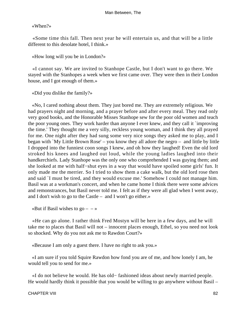«When?»

 «Some time this fall. Then next year he will entertain us, and that will be a little different to this desolate hotel, I think.»

«How long will you be in London?»

 «I cannot say. We are invited to Stanhope Castle, but I don't want to go there. We stayed with the Stanhopes a week when we first came over. They were then in their London house, and I got enough of them.»

«Did you dislike the family?»

 «No, I cared nothing about them. They just bored me. They are extremely religious. We had prayers night and morning, and a prayer before and after every meal. They read only very good books, and the Honorable Misses Stanhope sew for the poor old women and teach the poor young ones. They work harder than anyone I ever knew, and they call it `improving the time.' They thought me a very silly, reckless young woman, and I think they all prayed for me. One night after they had sung some very nice songs they asked me to play, and I began with `My Little Brown Rose' – you know they all adore the negro – and little by little I dropped into the funniest coon songs I knew, and oh how they laughed! Even the old lord stroked his knees and laughed out loud, while the young ladies laughed into their handkerchiefs. Lady Stanhope was the only one who comprehended I was guying them; and she looked at me with half−shut eyes in a way that would have spoiled some girls' fun. It only made me the merrier. So I tried to show them a cake walk, but the old lord rose then and said `I must be tired, and they would excuse me.' Somehow I could not manage him. Basil was at a workman's concert, and when he came home I think there were some advices and remonstrances, but Basil never told me. I felt as if they were all glad when I went away, and I don't wish to go to the Castle – and I won't go either.»

«But if Basil wishes to  $\text{go} - \rightarrow$ 

 «He can go alone. I rather think Fred Mostyn will be here in a few days, and he will take me to places that Basil will not – innocent places enough, Ethel, so you need not look so shocked. Why do you not ask me to Rawdon Court?»

«Because I am only a guest there. I have no right to ask you.»

 «I am sure if you told Squire Rawdon how fond you are of me, and how lonely I am, he would tell you to send for me.»

 «I do not believe he would. He has old− fashioned ideas about newly married people. He would hardly think it possible that you would be willing to go anywhere without Basil –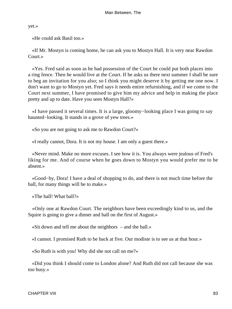yet.»

«He could ask Basil too.»

 «If Mr. Mostyn is coming home, he can ask you to Mostyn Hall. It is very near Rawdon Court.»

 «Yes. Fred said as soon as he had possession of the Court he could put both places into a ring fence. Then he would live at the Court. If he asks us there next summer I shall be sure to beg an invitation for you also; so I think you might deserve it by getting me one now. I don't want to go to Mostyn yet. Fred says it needs entire refurnishing, and if we come to the Court next summer, I have promised to give him my advice and help in making the place pretty and up to date. Have you seen Mostyn Hall?»

 «I have passed it several times. It is a large, gloomy−looking place I was going to say haunted−looking. It stands in a grove of yew trees.»

«So you are not going to ask me to Rawdon Court?»

«I really cannot, Dora. It is not my house. I am only a guest there.»

 «Never mind. Make no more excuses. I see how it is. You always were jealous of Fred's liking for me. And of course when he goes down to Mostyn you would prefer me to be absent.»

 «Good−by, Dora! I have a deal of shopping to do, and there is not much time before the ball, for many things will be to make.»

«The ball! What ball?»

 «Only one at Rawdon Court. The neighbors have been exceedingly kind to us, and the Squire is going to give a dinner and ball on the first of August.»

«Sit down and tell me about the neighbors – and the ball.»

«I cannot. I promised Ruth to be back at five. Our modiste is to see us at that hour.»

«So Ruth is with you! Why did she not call on me?»

 «Did you think I should come to London alone? And Ruth did not call because she was too busy.»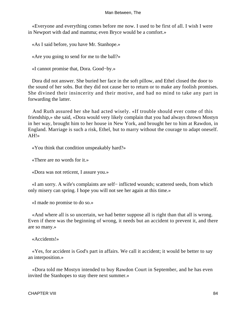«Everyone and everything comes before me now. I used to be first of all. I wish I were in Newport with dad and mamma; even Bryce would be a comfort.»

«As I said before, you have Mr. Stanhope.»

«Are you going to send for me to the ball?»

«I cannot promise that, Dora. Good−by.»

 Dora did not answer. She buried her face in the soft pillow, and Ethel closed the door to the sound of her sobs. But they did not cause her to return or to make any foolish promises. She divined their insincerity and their motive, and had no mind to take any part in forwarding the latter.

 And Ruth assured her she had acted wisely. «If trouble should ever come of this friendship,» she said, «Dora would very likely complain that you had always thrown Mostyn in her way, brought him to her house in New York, and brought her to him at Rawdon, in England. Marriage is such a risk, Ethel, but to marry without the courage to adapt oneself. AH!»

«You think that condition unspeakably hard?»

«There are no words for it.»

«Dora was not reticent, I assure you.»

 «I am sorry. A wife's complaints are self− inflicted wounds; scattered seeds, from which only misery can spring. I hope you will not see her again at this time.»

«I made no promise to do so.»

 «And where all is so uncertain, we had better suppose all is right than that all is wrong. Even if there was the beginning of wrong, it needs but an accident to prevent it, and there are so many.»

«Accidents!»

 «Yes, for accident is God's part in affairs. We call it accident; it would be better to say an interposition.»

 «Dora told me Mostyn intended to buy Rawdon Court in September, and he has even invited the Stanhopes to stay there next summer.»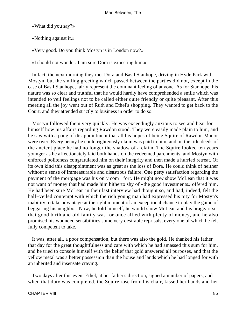«What did you say?»

«Nothing against it.»

«Very good. Do you think Mostyn is in London now?»

«I should not wonder. I am sure Dora is expecting him.»

 In fact, the next morning they met Dora and Basil Stanhope, driving in Hyde Park with Mostyn, but the smiling greeting which passed between the parties did not, except in the case of Basil Stanhope, fairly represent the dominant feeling of anyone. As for Stanhope, his nature was so clear and truthful that he would hardly have comprehended a smile which was intended to veil feelings not to be called either quite friendly or quite pleasant. After this meeting all the joy went out of Ruth and Ethel's shopping. They wanted to get back to the Court, and they attended strictly to business in order to do so.

 Mostyn followed them very quickly. He was exceedingly anxious to see and hear for himself how his affairs regarding Rawdon stood. They were easily made plain to him, and he saw with a pang of disappointment that all his hopes of being Squire of Rawdon Manor were over. Every penny he could righteously claim was paid to him, and on the title deeds of the ancient place he had no longer the shadow of a claim. The Squire looked ten years younger as he affectionately laid both hands on the redeemed parchments, and Mostyn with enforced politeness congratulated him on their integrity and then made a hurried retreat. Of its own kind this disappointment was as great as the loss of Dora. He could think of neither without a sense of immeasurable and disastrous failure. One petty satisfaction regarding the payment of the mortgage was his only com− fort. He might now show McLean that it was not want of money that had made him hitherto shy of «the good investments» offered him. He had been sure McLean in their last interview had thought so, and had, indeed, felt the half−veiled contempt with which the rich young man had expressed his pity for Mostyn's inability to take advantage at the right moment of an exceptional chance to play the game of beggaring his neighbor. Now, he told himself, he would show McLean and his braggart set that good birth and old family was for once allied with plenty of money, and he also promised his wounded sensibilities some very desirable reprisals, every one of which he felt fully competent to take.

 It was, after all, a poor compensation, but there was also the gold. He thanked his father that day for the great thoughtfulness and care with which he had amassed this sum for him, and he tried to console himself with the belief that gold answered all purposes, and that the yellow metal was a better possession than the house and lands which he had longed for with an inherited and insensate craving.

 Two days after this event Ethel, at her father's direction, signed a number of papers, and when that duty was completed, the Squire rose from his chair, kissed her hands and her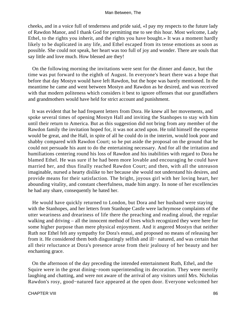cheeks, and in a voice full of tenderness and pride said, «I pay my respects to the future lady of Rawdon Manor, and I thank God for permitting me to see this hour. Most welcome, Lady Ethel, to the rights you inherit, and the rights you have bought.» It was a moment hardly likely to be duplicated in any life, and Ethel escaped from its tense emotions as soon as possible. She could not speak, her heart was too full of joy and wonder. There are souls that say little and love much. How blessed are they!

 On the following morning the invitations were sent for the dinner and dance, but the time was put forward to the eighth of August. In everyone's heart there was a hope that before that day Mostyn would have left Rawdon, but the hope was barely mentioned. In the meantime he came and went between Mostyn and Rawdon as he desired, and was received with that modern politeness which considers it best to ignore offenses that our grandfathers and grandmothers would have held for strict account and punishment.

 It was evident that he had frequent letters from Dora. He knew all her movements, and spoke several times of opening Mostyn Hall and inviting the Stanhopes to stay with him until their return to America. But as this suggestion did not bring from any member of the Rawdon family the invitation hoped for, it was not acted upon. He told himself the expense would be great, and the Hall, in spite of all he could do in the interim, would look poor and shabby compared with Rawdon Court; so he put aside the proposal on the ground that he could not persuade his aunt to do the entertaining necessary. And for all the irritation and humiliations centering round his loss of Rawdon and his inabilities with regard to Dora he blamed Ethel. He was sure if he had been more lovable and encouraging he could have married her, and thus finally reached Rawdon Court; and then, with all the unreason imaginable, nursed a hearty dislike to her because she would not understand his desires, and provide means for their satisfaction. The bright, joyous girl with her loving heart, her abounding vitality, and constant cheerfulness, made him angry. In none of her excellencies he had any share, consequently he hated her.

 He would have quickly returned to London, but Dora and her husband were staying with the Stanhopes, and her letters from Stanhope Castle were lachrymose complaints of the utter weariness and dreariness of life there the preaching and reading aloud, the regular walking and driving – all the innocent method of lives which recognized they were here for some higher purpose than mere physical enjoyment. And it angered Mostyn that neither Ruth nor Ethel felt any sympathy for Dora's ennui, and proposed no means of releasing her from it. He considered them both disgustingly selfish and ill− natured, and was certain that all their reluctance at Dora's presence arose from their jealousy of her beauty and her enchanting grace.

 On the afternoon of the day preceding the intended entertainment Ruth, Ethel, and the Squire were in the great dining−room superintending its decoration. They were merrily laughing and chatting, and were not aware of the arrival of any visitors until Mrs. Nicholas Rawdon's rosy, good−natured face appeared at the open door. Everyone welcomed her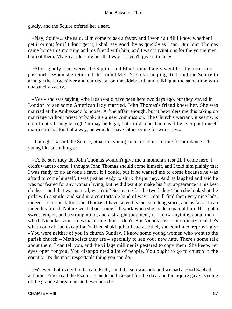gladly, and the Squire offered her a seat.

 «Nay, Squire,» she said, «I'm come to ask a favor, and I won't sit till I know whether I get it or not; for if I don't get it, I shall say good−by as quickly as I can. Our John Thomas came home this morning and his friend with him, and I want invitations for the young men, both of them. My great pleasure lies that  $way - if you'll give it to me.$ 

 «Most gladly,» answered the Squire, and Ethel immediately went for the necessary passports. When she returned she found Mrs. Nicholas helping Ruth and the Squire to arrange the large silver and cut crystal on the sideboard, and talking at the same time with unabated vivacity.

 «Yes,» she was saying, «the lads would have been here two days ago, but they stayed in London to see some American lady married. John Thomas's friend knew her. She was married at the Ambassador's house. A fine affair enough, but it bewilders me this taking up marriage without priest or book. It's a new commission. The Church's warrant, it seems, is out of date. It may be right' it may be legal, but I told John Thomas if he ever got himself married in that kind of a way, he wouldn't have father or me for witnesses.»

 «I am glad,» said the Squire, «that the young men are home in time for our dance. The young like such things.»

 «To be sure they do. John Thomas wouldn't give me a moment's rest till I came here. I didn't want to come. I thought John Thomas should come himself, and I told him plainly that I was ready to do anyone a favor if I could, but if he wanted me to come because he was afraid to come himself, I was just as ready to shirk the journey. And he laughed and said he was not feared for any woman living, but he did want to make his first appearance in his best clothes – and that was natural, wasn't it? So I came for the two lads.» Then she looked at the girls with a smile, and said in a comfortable kind of way: «You'll find them very nice lads, indeed. I can speak for John Thomas, I have taken his measure long since; and as far as I can judge his friend, Nature went about some full work when she made a man of him. He's got a sweet temper, and a strong mind, and a straight judgment, if I know anything about men – which Nicholas sometimes makes me think I don't. But Nicholas isn't an ordinary man, he's what you call `an exception.'» Then shaking her head at Ethel, she continued reprovingly: «You were neither of you in church Sunday. I know some young women who went to the parish church – Methodists they are – specially to see your new hats. There's some talk about them, I can tell you, and the village milliner is pestered to copy them. She keeps her eyes open for you. You disappointed a lot of people. You ought to go to church in the country. It's the most respectable thing you can do.»

 «We were both very tired,» said Ruth, «and the sun was hot, and we had a good Sabbath at home. Ethel read the Psalms, Epistle and Gospel for the day, and the Squire gave us some of the grandest organ music I ever heard.»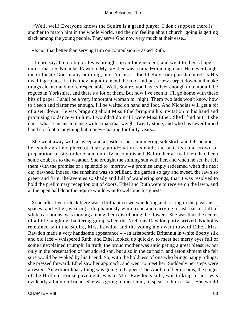«Well, well! Everyone knows the Squire is a grand player. I don't suppose there is another to match him in the whole world, and the old feeling about church−going is getting slack among the young people. They serve God now very much at their ease.»

«Is not that better than serving Him on compulsion?» asked Ruth.

 «I dare say. I'm no bigot. I was brought up an Independent, and went to their chapel until I married Nicholas Rawdon. My fa− ther was a broad−thinking man. He never taught me to locate God in any building; and I'm sure I don't believe our parish church is His dwelling−place. If it is, they ought to mend the roof and put a new carpet down and make things cleaner and more respectable. Well, Squire, you have silver enough to tempt all the rogues in Yorkshire, and there's a lot of them. But now I've seen it, I'll go home with these bits of paper. I shall be a very important woman to−night. Them two lads won't know how to fleech and flatter me enough. I'll be waited on hand and foot. And Nicholas will get a bit of a set−down. He was bragging about Miss Ethel bringing his invitation to his hand and promising to dance with him. I wouldn't do it if I were Miss Ethel. She'll find out, if she does, what it means to dance with a man that weighs twenty stone, and who has never turned hand nor foot to anything but money−making for thirty years.»

 She went away with a sweep and a rustle of her shimmering silk skirt, and left behind her such an atmosphere of hearty good−nature as made the last rush and crowd of preparations easily ordered and quickly accomplished. Before her arrival there had been some doubt as to the weather. She brought the shining sun with her, and when he set, he left them with the promise of a splendid to−morrow – a promise amply redeemed when the next day dawned. Indeed, the sunshine was so brilliant, the garden so gay and sweet, the lawn so green and firm, the avenues so shady and full of wandering songs, that it was resolved to hold the preliminary reception out of doors. Ethel and Ruth were to receive on the lawn, and at the open hall door the Squire would wait to welcome his guests.

 Soon after five o'clock there was a brilliant crowd wandering and resting in the pleasant spaces; and Ethel, wearing a diaphanously white robe and carrying a rush basket full of white carnations, was moving among them distributing the flowers. She was thus the center of a little laughing, bantering group when the Nicholas Rawdon party arrived. Nicholas remained with the Squire, Mrs. Rawdon and the young men went toward Ethel. Mrs. Rawdon made a very handsome appearance – «an aristocratic Britannia in white liberty silk and old lace,» whispered Ruth, and Ethel looked up quickly, to meet her merry eyes full of some unexplained triumph. In truth, the proud mother was anticipating a great pleasure, not only in the presentation of her adored son, but also in the curiosity and astonishment she felt sure would be evoked by his friend. So, with the boldness of one who brings happy tidings, she pressed forward. Ethel saw her approach, and went to meet her. Suddenly her steps were arrested. An extraordinary thing was going to happen. The Apollo of her dreams, the singer of the Holland House pavement, was at Mrs. Rawdon's side, was talking to her, was evidently a familiar friend. She was going to meet him, to speak to him at last. She would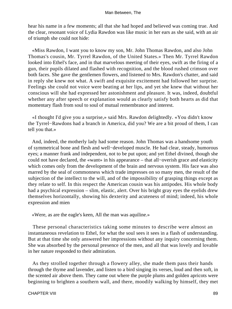hear his name in a few moments; all that she had hoped and believed was coming true. And the clear, resonant voice of Lydia Rawdon was like music in her ears as she said, with an air of triumph she could not hide:

 «Miss Rawdon, I want you to know my son, Mr. John Thomas Rawdon, and also John Thomas's cousin, Mr. Tyrrel Rawdon, of the United States.» Then Mr. Tyrrel Rawdon looked into Ethel's face, and in that marvelous meeting of their eyes, swift as the firing of a gun, their pupils dilated and flashed with recognition, and the blood rushed crimson over both faces. She gave the gentlemen flowers, and listened to Mrs. Rawdon's chatter, and said in reply she knew not what. A swift and exquisite excitement had followed her surprise. Feelings she could not voice were beating at her lips, and yet she knew that without her conscious will she had expressed her astonishment and pleasure. It was, indeed, doubtful whether any after speech or explanation would as clearly satisfy both hearts as did that momentary flash from soul to soul of mutual remembrance and interest.

 «I thought I'd give you a surprise,» said Mrs. Rawdon delightedly. «You didn't know the Tyrrel−Rawdons had a branch in America, did you? We are a bit proud of them, I can tell you that.»

 And, indeed, the motherly lady had some reason. John Thomas was a handsome youth of symmetrical bone and flesh and well−developed muscle. He had clear, steady, humorous eyes; a manner frank and independent, not to be put upon; and yet Ethel divined, though she could not have declared, the «want» in his appearance – that all−overish grace and elasticity which comes only from the development of the brain and nervous system. His face was also marred by the seal of commonness which trade impresses on so many men, the result of the subjection of the intellect to the will, and of the impossibility of grasping things except as they relate to self. In this respect the American cousin was his antipodes. His whole body had a psychical expression – slim, elastic, alert. Over his bright gray eyes the eyelids drew themselves horizontally, showing his dexterity and acuteness of mind; indeed, his whole expression and mien

«Were, as are the eagle's keen, All the man was aquiline.»

 These personal characteristics taking some minutes to describe were almost an instantaneous revelation to Ethel, for what the soul sees it sees in a flash of understanding. But at that time she only answered her impressions without any inquiry concerning them. She was absorbed by the personal presence of the men, and all that was lovely and lovable in her nature responded to their admiration.

 As they strolled together through a flowery alley, she made them pass their hands through the thyme and lavender, and listen to a bird singing its verses, loud and then soft, in the scented air above them. They came out where the purple plums and golden apricots were beginning to brighten a southern wall, and there, moodily walking by himself, they met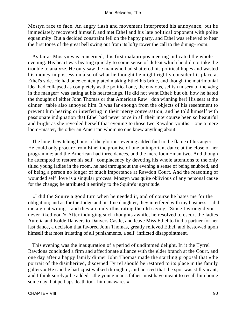Mostyn face to face. An angry flash and movement interpreted his annoyance, but he immediately recovered himself, and met Ethel and his late political opponent with polite equanimity. But a decided constraint fell on the happy party, and Ethel was relieved to hear the first tones of the great bell swing out from its lofty tower the call to the dining−room.

 As far as Mostyn was concerned, this first malapropos meeting indicated the whole evening. His heart was beating quickly to some sense of defeat which he did not take the trouble to analyze. He only saw the man who had shattered his political hopes and wasted his money in possession also of what he thought he might rightly consider his place at Ethel's side. He had once contemplated making Ethel his bride, and though the matrimonial idea had collapsed as completely as the political one, the envious, selfish misery of the «dog in the manger» was eating at his heartstrings. He did not want Ethel; but oh, how he hated the thought of either John Thomas or that American Raw− don winning her! His seat at the dinner− table also annoyed him. It was far enough from the objects of his resentment to prevent him hearing or interfering in their merry conversation; and he told himself with passionate indignation that Ethel had never once in all their intercourse been so beautiful and bright as she revealed herself that evening to those two Rawdon youths – one a mere loom−master, the other an American whom no one knew anything about.

 The long, bewitching hours of the glorious evening added fuel to the flame of his anger. He could only procure from Ethel the promise of one unimportant dance at the close of her programme; and the American had three dances, and the mere loom−man two. And though he attempted to restore his self− complacency by devoting his whole attentions to the only titled young ladies in the room, he had throughout the evening a sense of being snubbed, and of being a person no longer of much importance at Rawdon Court. And the reasoning of wounded self−love is a singular process. Mostyn was quite oblivious of any personal cause for the change; he attributed it entirely to the Squire's ingratitude.

 «I did the Squire a good turn when he needed it, and of course he hates me for the obligation; and as for the Judge and his fine daughter, they interfered with my business – did me a great wrong – and they are only illustrating the old saying, `Since I wronged you I never liked you.'» After indulging such thoughts awhile, he resolved to escort the ladies Aurelia and Isolde Danvers to Danvers Castle, and leave Miss Ethel to find a partner for her last dance, a decision that favored John Thomas, greatly relieved Ethel, and bestowed upon himself that most irritating of all punishments, a self−inflicted disappointment.

 This evening was the inauguration of a period of undimmed delight. In it the Tyrrel− Rawdons concluded a firm and affectionate alliance with the elder branch at the Court, and one day after a happy family dinner John Thomas made the startling proposal that «the portrait of the disinherited, disowned Tyrrel should be restored to its place in the family gallery.» He said he had «just walked through it, and noticed that the spot was still vacant, and I think surely,» he added, «the young man's father must have meant to recall him home some day, but perhaps death took him unawares.»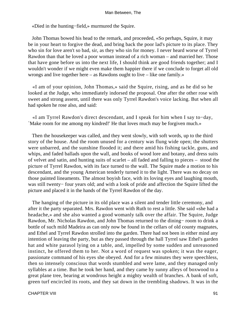«Died in the hunting−field,» murmured the Squire.

 John Thomas bowed his head to the remark, and proceeded, «So perhaps, Squire, it may be in your heart to forgive the dead, and bring back the poor lad's picture to its place. They who sin for love aren't so bad, sir, as they who sin for money. I never heard worse of Tyrrel Rawdon than that he loved a poor woman instead of a rich woman – and married her. Those that have gone before us into the next life, I should think are good friends together; and I wouldn't wonder if we might even make them happier there if we conclude to forget all old wrongs and live together here – as Rawdons ought to live – like one family.»

 «I am of your opinion, John Thomas,» said the Squire, rising, and as he did so he looked at the Judge, who immediately indorsed the proposal. One after the other rose with sweet and strong assent, until there was only Tyrrel Rawdon's voice lacking. But when all had spoken he rose also, and said:

 «I am Tyrrel Rawdon's direct descendant, and I speak for him when I say to−day, `Make room for me among my kindred!' He that loves much may be forgiven much.»

 Then the housekeeper was called, and they went slowly, with soft words, up to the third story of the house. And the room unused for a century was flung wide open; the shutters were unbarred, and the sunshine flooded it; and there amid his fishing tackle, guns, and whips, and faded ballads upon the wall, and books of wood lore and botany, and dress suits of velvet and satin, and hunting suits of scarlet – all faded and falling to pieces – stood the picture of Tyrrel Rawdon, with its face turned to the wall. The Squire made a motion to his descendant, and the young American tenderly turned it to the light. There was no decay on those painted lineaments. The almost boyish face, with its loving eyes and laughing mouth, was still twenty− four years old; and with a look of pride and affection the Squire lifted the picture and placed it in the hands of the Tyrrel Rawdon of the day.

 The hanging of the picture in its old place was a silent and tender little ceremony, and after it the party separated. Mrs. Rawdon went with Ruth to rest a little. She said «she had a headache,» and she also wanted a good womanly talk over the affair. The Squire, Judge Rawdon, Mr. Nicholas Rawdon, and John Thomas returned to the dining− room to drink a bottle of such mild Madeira as can only now be found in the cellars of old county magnates, and Ethel and Tyrrel Rawdon strolled into the garden. There had not been in either mind any intention of leaving the party, but as they passed through the hall Tyrrel saw Ethel's garden hat and white parasol lying on a table, and, impelled by some sudden and unreasoned instinct, he offered them to her. Not a word of request was spoken; it was the eager, passionate command of his eyes she obeyed. And for a few minutes they were speechless, then so intensely conscious that words stumbled and were lame, and they managed only syllables at a time. But he took her hand, and they came by sunny alleys of boxwood to a great plane tree, bearing at wondrous height a mighty wealth of branches. A bank of soft, green turf encircled its roots, and they sat down in the trembling shadows. It was in the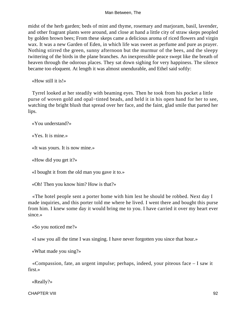midst of the herb garden; beds of mint and thyme, rosemary and marjoram, basil, lavender, and other fragrant plants were around, and close at hand a little city of straw skeps peopled by golden brown bees; From these skeps came a delicious aroma of riced flowers and virgin wax. It was a new Garden of Eden, in which life was sweet as perfume and pure as prayer. Nothing stirred the green, sunny afternoon but the murmur of the bees, and the sleepy twittering of the birds in the plane branches. An inexpressible peace swept like the breath of heaven through the odorous places. They sat down sighing for very happiness. The silence became too eloquent. At length it was almost unendurable, and Ethel said softly:

«How still it is!»

 Tyrrel looked at her steadily with beaming eyes. Then he took from his pocket a little purse of woven gold and opal−tinted beads, and held it in his open hand for her to see, watching the bright blush that spread over her face, and the faint, glad smile that parted her lips.

«You understand?»

«Yes. It is mine.»

«It was yours. It is now mine.»

«How did you get it?»

«I bought it from the old man you gave it to.»

«Oh! Then you know him? How is that?»

 «The hotel people sent a porter home with him lest he should be robbed. Next day I made inquiries, and this porter told me where he lived. I went there and bought this purse from him. I knew some day it would bring me to you. I have carried it over my heart ever since.»

«So you noticed me?»

«I saw you all the time I was singing. I have never forgotten you since that hour.»

«What made you sing?»

 «Compassion, fate, an urgent impulse; perhaps, indeed, your piteous face – I saw it first.»

«Really?»

CHAPTER VIII 92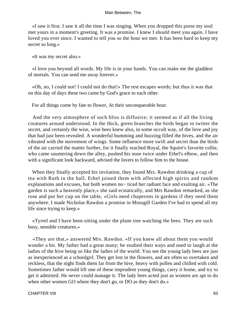«I saw it first. I saw it all the time I was singing. When you dropped this purse my soul met yours in a moment's greeting. It was a promise. I knew I should meet you again. I have loved you ever since. I wanted to tell you so the hour we met. It has been hard to keep my secret so long.»

«It was my secret also.»

 «I love you beyond all words. My life is in your hands. You can make me the gladdest of mortals. You can send me away forever.»

 «Oh, no, I could not! I could not do that!» The rest escapes words; but thus it was that on this day of days these two came by God's grace to each other.

For all things come by fate to flower, At their unconquerable hour.

 And the very atmosphere of such bliss is diffusive; it seemed as if all the living creatures around understood. In the thick, green branches the birds began to twitter the secret, and certainly the wise, wise bees knew also, in some occult way, of the love and joy that had just been revealed. A wonderful humming and buzzing filled the hives, and the air vibrated with the movement of wings. Some influence more swift and secret than the birds of the air carried the matter further, for it finally reached Royal, the Squire's favorite collie, who came sauntering down the alley, pushed his nose twice under Ethel's elbow, and then with a significant look backward, advised the lovers to follow him to the house.

 When they finally accepted his invitation, they found Mrs. Rawdon drinking a cup of tea with Ruth in the hall. Ethel joined them with affected high spirits and random explanations and excuses, but both women no− ticed her radiant face and exulting air. «The garden is such a heavenly place,» she said ecstatically, and Mrs Rawdon remarked, as she rose and put her cup on the table, «Girls need chaperons in gardens if they need them anywhere. I made Nicholas Rawdon a promise in Mossgill Garden I've had to spend all my life since trying to keep.»

 «Tyrrel and I have been sitting under the plane tree watching the bees. They are such busy, sensible creatures.»

 «They are that,» answered Mrs. Rawdon. «If you knew all about them you would wonder a bit. My father had a great many; he studied their ways and used to laugh at the ladies of the hive being so like the ladies of the world. You see the young lady bees are just as inexperienced as a schoolgirl. They get lost in the flowers, and are often so overtaken and reckless, that the night finds them far from the hive, heavy with pollen and chilled with cold. Sometimes father would lift one of these imprudent young things, carry it home, and try to get it admitted. He never could manage it. The lady bees acted just as women are apt to do when other women GO where they don't go, or DO as they don't do.»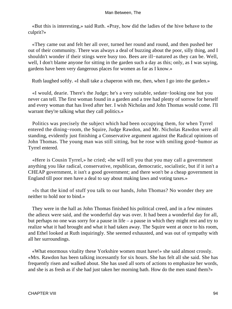«But this is interesting,» said Ruth. «Pray, how did the ladies of the hive behave to the culprit?»

 «They came out and felt her all over, turned her round and round, and then pushed her out of their community. There was always a deal of buzzing about the poor, silly thing, and I shouldn't wonder if their stings were busy too. Bees are ill−natured as they can be. Well, well, I don't blame anyone for sitting in the garden such a day as this; only, as I was saying, gardens have been very dangerous places for women as far as I know.»

Ruth laughed softly. «I shall take a chaperon with me, then, when I go into the garden.»

 «I would, dearie. There's the Judge; he's a very suitable, sedate−looking one but you never can tell. The first woman found in a garden and a tree had plenty of sorrow for herself and every woman that has lived after her. I wish Nicholas and John Thomas would come. I'll warrant they're talking what they call politics.»

 Politics was precisely the subject which had been occupying them, for when Tyrrel entered the dining−room, the Squire, Judge Rawdon, and Mr. Nicholas Rawdon were all standing, evidently just finishing a Conservative argument against the Radical opinions of John Thomas. The young man was still sitting, but he rose with smiling good−humor as Tyrrel entered.

 «Here is Cousin Tyrrel,» he cried; «he will tell you that you may call a government anything you like radical, conservative, republican, democratic, socialistic, but if it isn't a CHEAP government, it isn't a good government; and there won't be a cheap government in England till poor men have a deal to say about making laws and voting taxes.»

 «Is that the kind of stuff you talk to our hands, John Thomas? No wonder they are neither to hold nor to bind.»

 They were in the hall as John Thomas finished his political creed, and in a few minutes the adieux were said, and the wonderful day was over. It had been a wonderful day for all, but perhaps no one was sorry for a pause in life – a pause in which they might rest and try to realize what it had brought and what it had taken away. The Squire went at once to his room, and Ethel looked at Ruth inquiringly. She seemed exhausted, and was out of sympathy with all her surroundings.

 «What enormous vitality these Yorkshire women must have!» she said almost crossly. «Mrs. Rawdon has been talking incessantly for six hours. She has felt all she said. She has frequently risen and walked about. She has used all sorts of actions to emphasize her words, and she is as fresh as if she had just taken her morning bath. How do the men stand them?»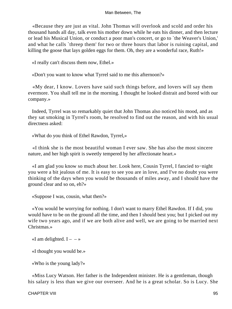«Because they are just as vital. John Thomas will overlook and scold and order his thousand hands all day, talk even his mother down while he eats his dinner, and then lecture or lead his Musical Union, or conduct a poor man's concert, or go to `the Weaver's Union,' and what he calls `threep them' for two or three hours that labor is ruining capital, and killing the goose that lays golden eggs for them. Oh, they are a wonderful race, Ruth!»

«I really can't discuss them now, Ethel.»

«Don't you want to know what Tyrrel said to me this afternoon?»

 «My dear, I know. Lovers have said such things before, and lovers will say them evermore. You shall tell me in the morning. I thought he looked distrait and bored with our company.»

 Indeed, Tyrrel was so remarkably quiet that John Thomas also noticed his mood, and as they sat smoking in Tyrrel's room, he resolved to find out the reason, and with his usual directness asked:

«What do you think of Ethel Rawdon, Tyrrel,»

 «I think she is the most beautiful woman I ever saw. She has also the most sincere nature, and her high spirit is sweetly tempered by her affectionate heart.»

 «I am glad you know so much about her. Look here, Cousin Tyrrel, I fancied to−night you were a bit jealous of me. It is easy to see you are in love, and I've no doubt you were thinking of the days when you would be thousands of miles away, and I should have the ground clear and so on, eh?»

«Suppose I was, cousin, what then?»

 «You would be worrying for nothing. I don't want to marry Ethel Rawdon. If I did, you would have to be on the ground all the time, and then I should best you; but I picked out my wife two years ago, and if we are both alive and well, we are going to be married next Christmas<sup>»</sup>

«I am delighted.  $I - \rightarrow$ 

«I thought you would be.»

«Who is the young lady?»

 «Miss Lucy Watson. Her father is the Independent minister. He is a gentleman, though his salary is less than we give our overseer. And he is a great scholar. So is Lucy. She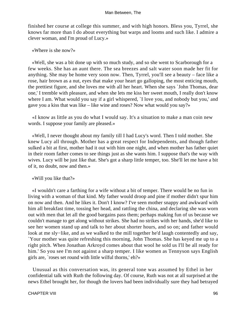finished her course at college this summer, and with high honors. Bless you, Tyrrel, she knows far more than I do about everything but warps and looms and such like. I admire a clever woman, and I'm proud of Lucy.»

«Where is she now?»

 «Well, she was a bit done up with so much study, and so she went to Scarborough for a few weeks. She has an aunt there. The sea breezes and salt water soon made her fit for anything. She may be home very soon now. Then, Tyrrel, you'll see a beauty – face like a rose, hair brown as a nut, eyes that make your heart go galloping, the most enticing mouth, the prettiest figure, and she loves me with all her heart. When she says `John Thomas, dear one,' I tremble with pleasure, and when she lets me kiss her sweet mouth, I really don't know where I am. What would you say if a girl whispered, `I love you, and nobody but you,' and gave you a kiss that was like – like wine and roses? Now what would you say?»

 «I know as little as you do what I would say. It's a situation to make a man coin new words. I suppose your family are pleased.»

 «Well, I never thought about my family till I had Lucy's word. Then I told mother. She knew Lucy all through. Mother has a great respect for Independents, and though father sulked a bit at first, mother had it out with him one night, and when mother has father quiet in their room father comes to see things just as she wants him. I suppose that's the way with wives. Lucy will be just like that. She's got a sharp little temper, too. She'll let me have a bit of it, no doubt, now and then.»

«Will you like that?»

 «I wouldn't care a farthing for a wife without a bit of temper. There would be no fun in living with a woman of that kind. My father would droop and pine if mother didn't spur him on now and then. And he likes it. Don't I know? I've seen mother snappy and awkward with him all breakfast time, tossing her head, and rattling the china, and declaring she was worn out with men that let all the good bargains pass them; perhaps making fun of us because we couldn't manage to get along without strikes. She had no strikes with her hands, she'd like to see her women stand up and talk to her about shorter hours, and so on; and father would look at me sly−like, and as we walked to the mill together he'd laugh contentedly and say, `Your mother was quite refreshing this morning, John Thomas. She has keyed me up to a right pitch. When Jonathan Arkroyd comes about that wool he sold us I'll be all ready for him.' So you see I'm not against a sharp temper. I like women as Tennyson says English girls are, `roses set round with little wilful thorns,' eh?»

 Unusual as this conversation was, its general tone was assumed by Ethel in her confidential talk with Ruth the following day. Of course, Ruth was not at all surprised at the news Ethel brought her, for though the lovers had been individually sure they had betrayed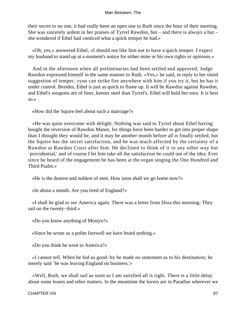their secret to no one, it had really been an open one to Ruth since the hour of their meeting. She was sincerely ardent in her praises of Tyrrel Rawdon, but – and there is always a but – she wondered if Ethel had «noticed what a quick temper he had.»

 «Oh, yes,» answered Ethel, «I should not like him not to have a quick temper. I expect my husband to stand up at a moment's notice for either mine or his own rights or opinions.»

 And in the afternoon when all preliminaries had been settled and approved, Judge Rawdon expressed himself in the same manner to Ruth. «Yes,» he said, in reply to her timid suggestion of temper, «you can strike fire anywhere with him if you try it, but he has it under control. Besides, Ethel is just as quick to flame up. It will be Rawdon against Rawdon, and Ethel's weapons are of finer, keener steel than Tyrrel's. Ethel will hold her own. It is best so.»

«How did the Squire feel about such a marriage?»

 «He was quite overcome with delight. Nothing was said to Tyrrel about Ethel having bought the reversion of Rawdon Manor, for things have been harder to get into proper shape than I thought they would be, and it may be another month before all is finally settled; but the Squire has the secret satisfaction, and he was much affected by the certainty of a Rawdon at Rawdon Court after him. He declined to think of it in any other way but `providential,' and of course I let him take all the satisfaction he could out of the idea. Ever since he heard of the engagement he has been at the organ singing the One Hundred and Third Psalm.»

«He is the dearest and noblest of men. How soon shall we go home now?»

«In about a month. Are you tired of England?»

 «I shall be glad to see America again. There was a letter from Dora this morning. They sail on the twenty−third.»

«Do you know anything of Mostyn?»

«Since he wrote us a polite farewell we have heard nothing.»

«Do you think he went to America?»

 «I cannot tell. When he bid us good−by he made no statement as to his destination; he merely said `he was leaving England on business.'»

 «Well, Ruth, we shall sail as soon as I am satisfied all is right. There is a little delay about some leases and other matters. In the meantime the lovers are in Paradise wherever we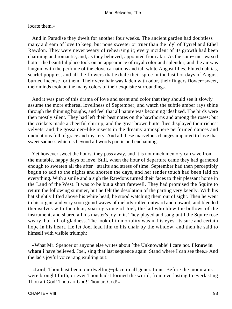#### locate them.»

 And in Paradise they dwelt for another four weeks. The ancient garden had doubtless many a dream of love to keep, but none sweeter or truer than the idyl of Tyrrel and Ethel Rawdon. They were never weary of rehearsing it; every incident of its growth had been charming and romantic, and, as they believed, appointed from afar. As the sum− mer waxed hotter the beautiful place took on an appearance of royal color and splendor, and the air was languid with the perfume of the clove carnations and tall white August lilies. Fluted dahlias, scarlet poppies, and all the flowers that exhale their spice in the last hot days of August burned incense for them. Their very hair was laden with odor, their fingers flower−sweet, their minds took on the many colors of their exquisite surroundings.

 And it was part of this drama of love and scent and color that they should see it slowly assume the more ethereal loveliness of September, and watch the subtle amber rays shine through the thinning boughs, and feel that all nature was becoming idealized. The birds were then mostly silent. They had left their best notes on the hawthorns and among the roses; but the crickets made a cheerful chirrup, and the great brown butterflies displayed their richest velvets, and the gossamer−like insects in the dreamy atmosphere performed dances and undulations full of grace and mystery. And all these marvelous changes imparted to love that sweet sadness which is beyond all words poetic and enchaining.

 Yet however sweet the hours, they pass away, and it is not much memory can save from the mutable, happy days of love. Still, when the hour of departure came they had garnered enough to sweeten all the after− straits and stress of time. September had then perceptibly begun to add to the nights and shorten the days, and her tender touch had been laid on everything. With a smile and a sigh the Rawdons turned their faces to their pleasant home in the Land of the West. It was to be but a short farewell. They had promised the Squire to return the following summer, but he felt the desolation of the parting very keenly. With his hat slightly lifted above his white head, he stood watching them out of sight. Then he went to his organ, and very soon grand waves of melody rolled outward and upward, and blended themselves with the clear, soaring voice of Joel, the lad who blew the bellows of the instrument, and shared all his master's joy in it. They played and sang until the Squire rose weary, but full of gladness. The look of immortality was in his eyes, its sure and certain hope in his heart. He let Joel lead him to his chair by the window, and then he said to himself with visible triumph:

 «What Mr. Spencer or anyone else writes about `the Unknowable' I care not. **I know in whom i** have believed. Joel, sing that last sequence again. Stand where I can see thee.» And the lad's joyful voice rang exulting out:

 «Lord, Thou hast been our dwelling−place in all generations. Before the mountains were brought forth, or ever Thou hadst formed the world, from everlasting to everlasting Thou art God! Thou art God! Thou art God!»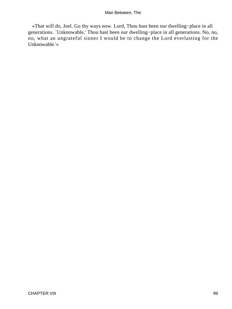«That will do, Joel. Go thy ways now. Lord, Thou hast been our dwelling−place in all generations. `Unknowable,' Thou hast been our dwelling−place in all generations. No, no, no, what an ungrateful sinner I would be to change the Lord everlasting for the Unknowable.'»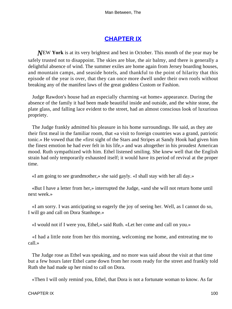# **[CHAPTER IX](#page-152-0)**

*N*EW **York** is at its very brightest and best in October. This month of the year may be safely trusted not to disappoint. The skies are blue, the air balmy, and there is generally a delightful absence of wind. The summer exiles are home again from Jersey boarding houses, and mountain camps, and seaside hotels, and thankful to the point of hilarity that this episode of the year is over, that they can once more dwell under their own roofs without breaking any of the manifest laws of the great goddess Custom or Fashion.

 Judge Rawdon's house had an especially charming «at home» appearance. During the absence of the family it had been made beautiful inside and outside, and the white stone, the plate glass, and falling lace evident to the street, had an almost conscious look of luxurious propriety.

 The Judge frankly admitted his pleasure in his home surroundings. He said, as they ate their first meal in the familiar room, that «a visit to foreign countries was a grand, patriotic tonic.» He vowed that the «first sight of the Stars and Stripes at Sandy Hook had given him the finest emotion he had ever felt in his life,» and was altogether in his proudest American mood. Ruth sympathized with him. Ethel listened smiling. She knew well that the English strain had only temporarily exhausted itself; it would have its period of revival at the proper time.

«I am going to see grandmother,» she said gayly. «I shall stay with her all day.»

 «But I have a letter from her,» interrupted the Judge, «and she will not return home until next week.»

 «I am sorry. I was anticipating so eagerly the joy of seeing her. Well, as I cannot do so, I will go and call on Dora Stanhope.»

«I would not if I were you, Ethel,» said Ruth. «Let her come and call on you.»

 «I had a little note from her this morning, welcoming me home, and entreating me to call.»

 The Judge rose as Ethel was speaking, and no more was said about the visit at that time but a few hours later Ethel came down from her room ready for the street and frankly told Ruth she had made up her mind to call on Dora.

«Then I will only remind you, Ethel, that Dora is not a fortunate woman to know. As far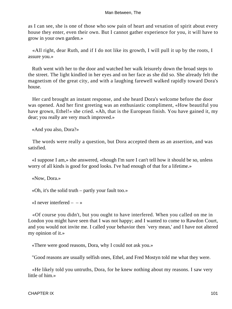as I can see, she is one of those who sow pain of heart and vexation of spirit about every house they enter, even their own. But I cannot gather experience for you, it will have to grow in your own garden.»

 «All right, dear Ruth, and if I do not like its growth, I will pull it up by the roots, I assure you.»

 Ruth went with her to the door and watched her walk leisurely down the broad steps to the street. The light kindled in her eyes and on her face as she did so. She already felt the magnetism of the great city, and with a laughing farewell walked rapidly toward Dora's house.

 Her card brought an instant response, and she heard Dora's welcome before the door was opened. And her first greeting was an enthusiastic compliment, «How beautiful you have grown, Ethel!» she cried. «Ah, that is the European finish. You have gained it, my dear; you really are very much improved.»

«And you also, Dora?»

 The words were really a question, but Dora accepted them as an assertion, and was satisfied.

 «I suppose I am,» she answered, «though I'm sure I can't tell how it should be so, unless worry of all kinds is good for good looks. I've had enough of that for a lifetime.»

«Now, Dora.»

«Oh, it's the solid truth – partly your fault too.»

«I never interfered  $-$  »

 «Of course you didn't, but you ought to have interfered. When you called on me in London you might have seen that I was not happy; and I wanted to come to Rawdon Court, and you would not invite me. I called your behavior then `very mean,' and I have not altered my opinion of it.»

«There were good reasons, Dora, why I could not ask you.»

"Good reasons are usually selfish ones, Ethel, and Fred Mostyn told me what they were.

 «He likely told you untruths, Dora, for he knew nothing about my reasons. I saw very little of him.»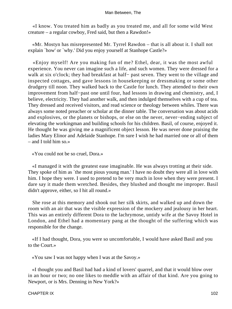«I know. You treated him as badly as you treated me, and all for some wild West creature – a regular cowboy, Fred said, but then a Rawdon!»

 «Mr. Mostyn has misrepresented Mr. Tyrrel Rawdon – that is all about it. I shall not explain `how' or `why.' Did you enjoy yourself at Stanhope Castle?»

 «Enjoy myself! Are you making fun of me? Ethel, dear, it was the most awful experience. You never can imagine such a life, and such women. They were dressed for a walk at six o'clock; they had breakfast at half– past seven. They went to the village and inspected cottages, and gave lessons in housekeeping or dressmaking or some other drudgery till noon. They walked back to the Castle for lunch. They attended to their own improvement from half−past one until four, had lessons in drawing and chemistry, and, I believe, electricity. They had another walk, and then indulged themselves with a cup of tea. They dressed and received visitors, and read science or theology between whiles. There was always some noted preacher or scholar at the dinner table. The conversation was about acids and explosives, or the planets or bishops, or else on the never, never−ending subject of elevating the workingman and building schools for his children. Basil, of course, enjoyed it. He thought he was giving me a magnificent object lesson. He was never done praising the ladies Mary Elinor and Adelaide Stanhope. I'm sure I wish he had married one or all of them – and I told him so.»

«You could not be so cruel, Dora.»

 «I managed it with the greatest ease imaginable. He was always trotting at their side. They spoke of him as `the most pious young man.' I have no doubt they were all in love with him. I hope they were. I used to pretend to be very much in love when they were present. I dare say it made them wretched. Besides, they blushed and thought me improper. Basil didn't approve, either, so I hit all round.»

 She rose at this memory and shook out her silk skirts, and walked up and down the room with an air that was the visible expression of the mockery and jealousy in her heart. This was an entirely different Dora to the lachrymose, untidy wife at the Savoy Hotel in London, and Ethel had a momentary pang at the thought of the suffering which was responsible for the change.

 «If I had thought, Dora, you were so uncomfortable, I would have asked Basil and you to the Court.»

«You saw I was not happy when I was at the Savoy.»

 «I thought you and Basil had had a kind of lovers' quarrel, and that it would blow over in an hour or two; no one likes to meddle with an affair of that kind. Are you going to Newport, or is Mrs. Denning in New York?»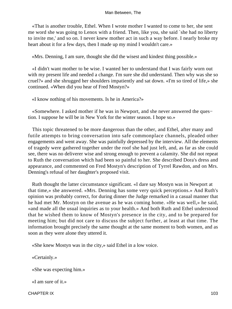«That is another trouble, Ethel. When I wrote mother I wanted to come to her, she sent me word she was going to Lenox with a friend. Then, like you, she said `she had no liberty to invite me,' and so on. I never knew mother act in such a way before. I nearly broke my heart about it for a few days, then I made up my mind I wouldn't care.»

«Mrs. Denning, I am sure, thought she did the wisest and kindest thing possible.»

 «I didn't want mother to be wise. I wanted her to understand that I was fairly worn out with my present life and needed a change. I'm sure she did understand. Then why was she so cruel?» and she shrugged her shoulders impatiently and sat down. «I'm so tired of life,» she continued. «When did you hear of Fred Mostyn?»

«I know nothing of his movements. Is he in America?»

 «Somewhere. I asked mother if he was in Newport, and she never answered the ques− tion. I suppose he will be in New York for the winter season. I hope so.»

 This topic threatened to be more dangerous than the other, and Ethel, after many and futile attempts to bring conversation into safe commonplace channels, pleaded other engagements and went away. She was painfully depressed by the interview. All the elements of tragedy were gathered together under the roof she had just left, and, as far as she could see, there was no deliverer wise and strong enough to prevent a calamity. She did not repeat to Ruth the conversation which had been so painful to her. She described Dora's dress and appearance, and commented on Fred Mostyn's description of Tyrrel Rawdon, and on Mrs. Denning's refusal of her daughter's proposed visit.

 Ruth thought the latter circumstance significant. «I dare say Mostyn was in Newport at that time,» she answered. «Mrs. Denning has some very quick perceptions.» And Ruth's opinion was probably correct, for during dinner the Judge remarked in a casual manner that he had met Mr. Mostyn on the avenue as he was coming home. «He was well,» he said, «and made all the usual inquiries as to your health.» And both Ruth and Ethel understood that he wished them to know of Mostyn's presence in the city, and to be prepared for meeting him; but did not care to discuss the subject further, at least at that time. The information brought precisely the same thought at the same moment to both women, and as soon as they were alone they uttered it.

«She knew Mostyn was in the city,» said Ethel in a low voice.

«Certainly.»

«She was expecting him.»

«I am sure of it.»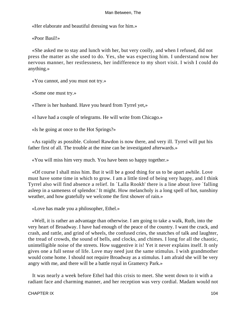«Her elaborate and beautiful dressing was for him.»

«Poor Basil!»

 «She asked me to stay and lunch with her, but very coolly, and when I refused, did not press the matter as she used to do. Yes, she was expecting him. I understand now her nervous manner, her restlessness, her indifference to my short visit. I wish I could do anything.»

«You cannot, and you must not try.»

«Some one must try.»

«There is her husband. Have you heard from Tyrrel yet,»

«I have had a couple of telegrams. He will write from Chicago.»

«Is he going at once to the Hot Springs?»

 «As rapidly as possible. Colonel Rawdon is now there, and very ill. Tyrrel will put his father first of all. The trouble at the mine can be investigated afterwards.»

«You will miss him very much. You have been so happy together.»

 «Of course I shall miss him. But it will be a good thing for us to be apart awhile. Love must have some time in which to grow. I am a little tired of being very happy, and I think Tyrrel also will find absence a relief. In `Lalla Rookh' there is a line about love `falling asleep in a sameness of splendor.' It might. How melancholy is a long spell of hot, sunshiny weather, and how gratefully we welcome the first shower of rain.»

«Love has made you a philosopher, Ethel.»

 «Well, it is rather an advantage than otherwise. I am going to take a walk, Ruth, into the very heart of Broadway. I have had enough of the peace of the country. I want the crack, and crash, and rattle, and grind of wheels, the confused cries, the snatches of talk and laughter, the tread of crowds, the sound of bells, and clocks, and chimes. I long for all the chaotic, unintelligible noise of the streets. How suggestive it is! Yet it never explains itself. It only gives one a full sense of life. Love may need just the same stimulus. I wish grandmother would come home. I should not require Broadway as a stimulus. I am afraid she will be very angry with me, and there will be a battle royal in Gramercy Park.»

 It was nearly a week before Ethel had this crisis to meet. She went down to it with a radiant face and charming manner, and her reception was very cordial. Madam would not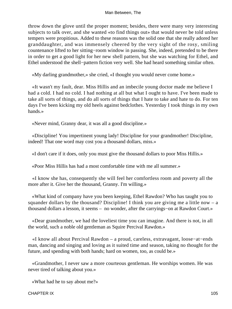throw down the glove until the proper moment; besides, there were many very interesting subjects to talk over, and she wanted «to find things out» that would never be told unless tempers were propitious. Added to these reasons was the solid one that she really adored her granddaughter, and was immensely cheered by the very sight of the rosy, smiling countenance lifted to her sitting−room window in passing. She, indeed, pretended to be there in order to get a good light for her new shell pattern, but she was watching for Ethel, and Ethel understood the shell−pattern fiction very well. She had heard something similar often.

«My darling grandmother,» she cried, «I thought you would never come home.»

 «It wasn't my fault, dear. Miss Hillis and an imbecile young doctor made me believe I had a cold. I had no cold. I had nothing at all but what I ought to have. I've been made to take all sorts of things, and do all sorts of things that I hate to take and hate to do. For ten days I've been kicking my old heels against bedclothes. Yesterday I took things in my own hands.»

«Never mind, Granny dear, it was all a good discipline.»

 «Discipline! You impertinent young lady! Discipline for your grandmother! Discipline, indeed! That one word may cost you a thousand dollars, miss.»

«I don't care if it does, only you must give the thousand dollars to poor Miss Hillis.»

«Poor Miss Hillis has had a most comfortable time with me all summer.»

 «I know she has, consequently she will feel her comfortless room and poverty all the more after it. Give her the thousand, Granny. I'm willing.»

 «What kind of company have you been keeping, Ethel Rawdon? Who has taught you to squander dollars by the thousand? Discipline! I think you are giving me a little now  $- a$ thousand dollars a lesson, it seems – no wonder, after the carryings−on at Rawdon Court.»

 «Dear grandmother, we had the loveliest time you can imagine. And there is not, in all the world, such a noble old gentleman as Squire Percival Rawdon.»

 «I know all about Percival Rawdon – a proud, careless, extravagant, loose−at−ends man, dancing and singing and loving as it suited time and season, taking no thought for the future, and spending with both hands; hard on women, too, as could be.»

 «Grandmother, I never saw a more courteous gentleman. He worships women. He was never tired of talking about you.»

«What had he to say about me?»

## CHAPTER IX 105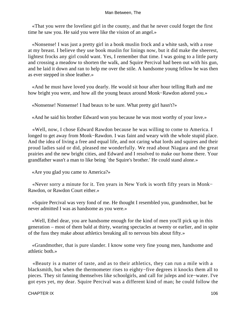«That you were the loveliest girl in the county, and that he never could forget the first time he saw you. He said you were like the vision of an angel.»

 «Nonsense! I was just a pretty girl in a book muslin frock and a white sash, with a rose at my breast. I believe they use book muslin for linings now, but it did make the sheerest, lightest frocks any girl could want. Yes, I remember that time. I was going to a little party and crossing a meadow to shorten the walk, and Squire Percival had been out with his gun, and he laid it down and ran to help me over the stile. A handsome young fellow he was then as ever stepped in shoe leather.»

 «And he must have loved you dearly. He would sit hour after hour telling Ruth and me how bright you were, and how all the young beaux around Monk−Rawdon adored you.»

«Nonsense! Nonsense! I had beaux to be sure. What pretty girl hasn't?»

«And he said his brother Edward won you because he was most worthy of your love.»

 «Well, now, I chose Edward Rawdon because he was willing to come to America. I longed to get away from Monk−Rawdon. I was faint and weary with the whole stupid place. And the idea of living a free and equal life, and not caring what lords and squires and their proud ladies said or did, pleased me wonderfully. We read about Niagara and the great prairies and the new bright cities, and Edward and I resolved to make our home there. Your grandfather wasn't a man to like being `the Squire's brother.' He could stand alone.»

«Are you glad you came to America?»

 «Never sorry a minute for it. Ten years in New York is worth fifty years in Monk− Rawdon, or Rawdon Court either.»

 «Squire Percival was very fond of me. He thought I resembled you, grandmother, but he never admitted I was as handsome as you were.»

 «Well, Ethel dear, you are handsome enough for the kind of men you'll pick up in this generation – most of them bald at thirty, wearing spectacles at twenty or earlier, and in spite of the fuss they make about athletics breaking all to nervous bits about fifty.»

 «Grandmother, that is pure slander. I know some very fine young men, handsome and athletic both.»

 «Beauty is a matter of taste, and as to their athletics, they can run a mile with a blacksmith, but when the thermometer rises to eighty−five degrees it knocks them all to pieces. They sit fanning themselves like schoolgirls, and call for juleps and ice−water. I've got eyes yet, my dear. Squire Percival was a different kind of man; he could follow the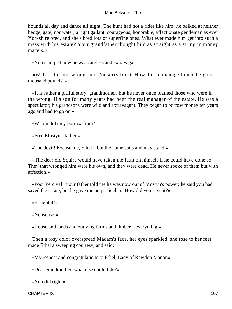hounds all day and dance all night. The hunt had not a rider like him; he balked at neither hedge, gate, nor water; a right gallant, courageous, honorable, affectionate gentleman as ever Yorkshire bred, and she's bred lots of superfine ones. What ever made him get into such a mess with his estate? Your grandfather thought him as straight as a string in money matters.»

«You said just now he was careless and extravagant.»

 «Well, I did him wrong, and I'm sorry for it. How did he manage to need eighty thousand pounds?»

 «It is rather a pitiful story, grandmother, but he never once blamed those who were in the wrong. His son for many years had been the real manager of the estate. He was a speculator; his grandsons were wild and extravagant. They began to borrow money ten years ago and had to go on.»

«Whom did they borrow from?»

«Fred Mostyn's father.»

«The devil! Excuse me, Ethel – but the name suits and may stand.»

 «The dear old Squire would have taken the fault on himself if he could have done so. They that wronged him were his own, and they were dead. He never spoke of them but with affection.»

 «Poor Percival! Your father told me he was now out of Mostyn's power; he said you had saved the estate, but he gave me no particulars. How did you save it?»

«Bought it!»

«Nonsense!»

«House and lands and outlying farms and timber – everything.»

 Then a rosy color overspread Madam's face, her eyes sparkled, she rose to her feet, made Ethel a sweeping courtesy, and said:

«My respect and congratulations to Ethel, Lady of Rawdon Manor.»

«Dear grandmother, what else could I do?»

«You did right.»

CHAPTER IX 107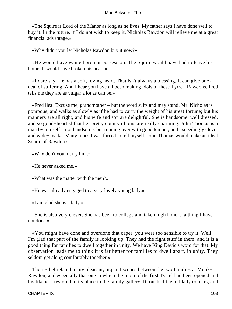«The Squire is Lord of the Manor as long as he lives. My father says I have done well to buy it. In the future, if I do not wish to keep it, Nicholas Rawdon will relieve me at a great financial advantage.»

«Why didn't you let Nicholas Rawdon buy it now?»

 «He would have wanted prompt possession. The Squire would have had to leave his home. It would have broken his heart.»

 «I dare say. He has a soft, loving heart. That isn't always a blessing. It can give one a deal of suffering. And I hear you have all been making idols of these Tyrrel−Rawdons. Fred tells me they are as vulgar a lot as can be.»

 «Fred lies! Excuse me, grandmother – but the word suits and may stand. Mr. Nicholas is pompous, and walks as slowly as if he had to carry the weight of his great fortune; but his manners are all right, and his wife and son are delightful. She is handsome, well dressed, and so good−hearted that her pretty county idioms are really charming. John Thomas is a man by himself – not handsome, but running over with good temper, and exceedingly clever and wide−awake. Many times I was forced to tell myself, John Thomas would make an ideal Squire of Rawdon.»

«Why don't you marry him.»

«He never asked me.»

«What was the matter with the men?»

«He was already engaged to a very lovely young lady.»

«I am glad she is a lady.»

 «She is also very clever. She has been to college and taken high honors, a thing I have not done.»

 «You might have done and overdone that caper; you were too sensible to try it. Well, I'm glad that part of the family is looking up. They had the right stuff in them, and it is a good thing for families to dwell together in unity. We have King David's word for that. My observation leads me to think it is far better for families to dwell apart, in unity. They seldom get along comfortably together.»

Then Ethel related many pleasant, piquant scenes between the two families at Monk− Rawdon, and especially that one in which the room of the first Tyrrel had been opened and his likeness restored to its place in the family gallery. It touched the old lady to tears, and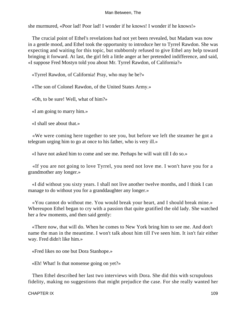she murmured, «Poor lad! Poor lad! I wonder if he knows! I wonder if he knows!»

 The crucial point of Ethel's revelations had not yet been revealed, but Madam was now in a gentle mood, and Ethel took the opportunity to introduce her to Tyrrel Rawdon. She was expecting and waiting for this topic, but stubbornly refused to give Ethel any help toward bringing it forward. At last, the girl felt a little anger at her pretended indifference, and said, «I suppose Fred Mostyn told you about Mr. Tyrrel Rawdon, of California?»

«Tyrrel Rawdon, of California! Pray, who may he be?»

«The son of Colonel Rawdon, of the United States Army.»

«Oh, to be sure! Well, what of him?»

«I am going to marry him.»

«I shall see about that.»

 «We were coming here together to see you, but before we left the steamer he got a telegram urging him to go at once to his father, who is very ill.»

«I have not asked him to come and see me. Perhaps he will wait till I do so.»

 «If you are not going to love Tyrrel, you need not love me. I won't have you for a grandmother any longer.»

 «I did without you sixty years. I shall not live another twelve months, and I think I can manage to do without you for a granddaughter any longer.»

 «You cannot do without me. You would break your heart, and I should break mine.» Whereupon Ethel began to cry with a passion that quite gratified the old lady. She watched her a few moments, and then said gently:

 «There now, that will do. When he comes to New York bring him to see me. And don't name the man in the meantime. I won't talk about him till I've seen him. It isn't fair either way. Fred didn't like him.»

«Fred likes no one but Dora Stanhope.»

«Eh! What! Is that nonsense going on yet?»

 Then Ethel described her last two interviews with Dora. She did this with scrupulous fidelity, making no suggestions that might prejudice the case. For she really wanted her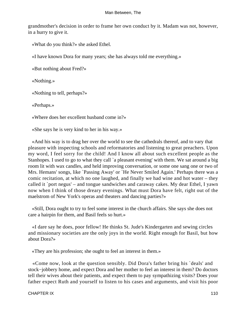grandmother's decision in order to frame her own conduct by it. Madam was not, however, in a hurry to give it.

«What do you think?» she asked Ethel.

«I have known Dora for many years; she has always told me everything.»

«But nothing about Fred?»

«Nothing.»

«Nothing to tell, perhaps?»

«Perhaps.»

«Where does her excellent husband come in?»

«She says he is very kind to her in his way.»

 «And his way is to drag her over the world to see the cathedrals thereof, and to vary that pleasure with inspecting schools and reformatories and listening to great preachers. Upon my word, I feel sorry for the child! And I know all about such excellent people as the Stanhopes. I used to go to what they call `a pleasant evening' with them. We sat around a big room lit with wax candles, and held improving conversation, or some one sang one or two of Mrs. Hemans' songs, like `Passing Away' or `He Never Smiled Again.' Perhaps there was a comic recitation, at which no one laughed, and finally we had wine and hot water – they called it `port negus' – and tongue sandwiches and caraway cakes. My dear Ethel, I yawn now when I think of those dreary evenings. What must Dora have felt, right out of the maelstrom of New York's operas and theaters and dancing parties?»

 «Still, Dora ought to try to feel some interest in the church affairs. She says she does not care a hairpin for them, and Basil feels so hurt.»

 «I dare say he does, poor fellow! He thinks St. Jude's Kindergarten and sewing circles and missionary societies are the only joys in the world. Right enough for Basil, but how about Dora?»

«They are his profession; she ought to feel an interest in them.»

 «Come now, look at the question sensibly. Did Dora's father bring his `deals' and stock−jobbery home, and expect Dora and her mother to feel an interest in them? Do doctors tell their wives about their patients, and expect them to pay sympathizing visits? Does your father expect Ruth and yourself to listen to his cases and arguments, and visit his poor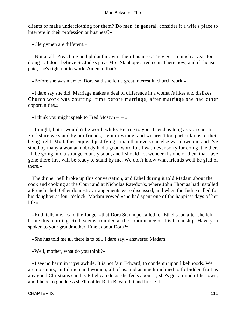clients or make underclothing for them? Do men, in general, consider it a wife's place to interfere in their profession or business?»

«Clergymen are different.»

 «Not at all. Preaching and philanthropy is their business. They get so much a year for doing it. I don't believe St. Jude's pays Mrs. Stanhope a red cent. There now, and if she isn't paid, she's right not to work. Amen to that!»

«Before she was married Dora said she felt a great interest in church work.»

 «I dare say she did. Marriage makes a deal of difference in a woman's likes and dislikes. Church work was courting−time before marriage; after marriage she had other opportunities.»

«I think you might speak to Fred Mostyn  $- \rightarrow \infty$ 

 «I might, but it wouldn't be worth while. Be true to your friend as long as you can. In Yorkshire we stand by our friends, right or wrong, and we aren't too particular as to their being right. My father enjoyed justifying a man that everyone else was down on; and I've stood by many a woman nobody had a good word for. I was never sorry for doing it, either. I'll be going into a strange country soon, and I should not wonder if some of them that have gone there first will be ready to stand by me. We don't know what friends we'll be glad of there.»

 The dinner bell broke up this conversation, and Ethel during it told Madam about the cook and cooking at the Court and at Nicholas Rawdon's, where John Thomas had installed a French chef. Other domestic arrangements were discussed, and when the Judge called for his daughter at four o'clock, Madam vowed «she had spent one of the happiest days of her life.»

 «Ruth tells me,» said the Judge, «that Dora Stanhope called for Ethel soon after she left home this morning. Ruth seems troubled at the continuance of this friendship. Have you spoken to your grandmother, Ethel, about Dora?»

«She has told me all there is to tell, I dare say,» answered Madam.

«Well, mother, what do you think?»

 «I see no harm in it yet awhile. It is not fair, Edward, to condemn upon likelihoods. We are no saints, sinful men and women, all of us, and as much inclined to forbidden fruit as any good Christians can be. Ethel can do as she feels about it; she's got a mind of her own, and I hope to goodness she'll not let Ruth Bayard bit and bridle it.»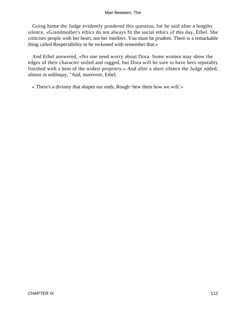Going home the Judge evidently pondered this question, for he said after a lengthy silence, «Grandmother's ethics do not always fit the social ethics of this day, Ethel. She criticises people with her heart, not her intellect. You must be prudent. There is a remarkable thing called Respectability to be reckoned with remember that.»

 And Ethel answered, «No one need worry about Dora. Some women may show the edges of their character soiled and ragged, but Dora will be sure to have hers reputably finished with a hem of the widest propriety.» And after a short silence the Judge added, almost in soliloquy, "And, moreover, Ethel,

«`There's a divinity that shapes our ends, Rough−hew them how we will.'»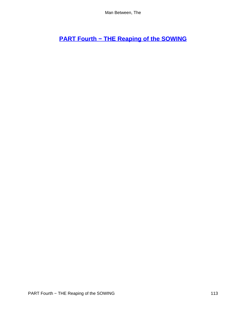# **[PART Fourth − THE Reaping of the SOWING](#page-152-0)**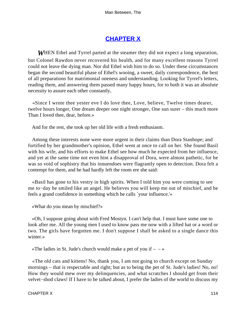## **[CHAPTER X](#page-152-0)**

*W*HEN Ethel and Tyrrel parted at the steamer they did not expect a long separation, but Colonel Rawdon never recovered his health, and for many excellent reasons Tyrrel could not leave the dying man. Nor did Ethel wish him to do so. Under these circumstances began the second beautiful phase of Ethel's wooing, a sweet, daily correspondence, the best of all preparations for matrimonial oneness and understanding. Looking for Tyrrel's letters, reading them, and answering them passed many happy hours, for to both it was an absolute necessity to assure each other constantly,

 «Since I wrote thee yester eve I do love thee, Love, believe, Twelve times dearer, twelve hours longer, One dream deeper one night stronger, One sun surer – this much more Than I loved thee, dear, before.»

And for the rest, she took up her old life with a fresh enthusiasm.

 Among these interests none were more urgent in their claims than Dora Stanhope; and fortified by her grandmother's opinion, Ethel went at once to call on her. She found Basil with his wife, and his efforts to make Ethel see how much he expected from her influence, and yet at the same time not even hint a disapproval of Dora, were almost pathetic, for he was so void of sophistry that his innuendoes were flagrantly open to detection. Dora felt a contempt for them, and he had hardly left the room ere she said:

 «Basil has gone to his vestry in high spirits. When I told him you were coming to see me to−day he smiled like an angel. He believes you will keep me out of mischief, and he feels a grand confidence in something which he calls `your influence.'»

«What do you mean by mischief?»

 «Oh, I suppose going about with Fred Mostyn. I can't help that. I must have some one to look after me. All the young men I used to know pass me now with a lifted hat or a word or two. The girls have forgotten me. I don't suppose I shall be asked to a single dance this winter.»

«The ladies in St. Jude's church would make a pet of you if  $- \rightarrow \infty$ 

 «The old cats and kittens! No, thank you, I am not going to church except on Sunday mornings – that is respectable and right; but as to being the pet of St. Jude's ladies! No, no! How they would mew over my delinquencies, and what scratches I should get from their velvet−shod claws! If I have to be talked about, I prefer the ladies of the world to discuss my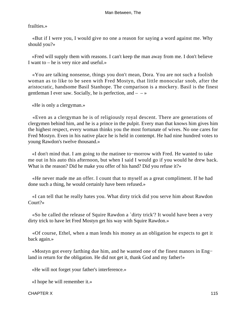#### frailties.»

 «But if I were you, I would give no one a reason for saying a word against me. Why should you?»

 «Fred will supply them with reasons. I can't keep the man away from me. I don't believe I want to – he is very nice and useful.»

 «You are talking nonsense, things you don't mean, Dora. You are not such a foolish woman as to like to be seen with Fred Mostyn, that little monocular snob, after the aristocratic, handsome Basil Stanhope. The comparison is a mockery. Basil is the finest gentleman I ever saw. Socially, he is perfection, and  $- \rightarrow \infty$ 

«He is only a clergyman.»

 «Even as a clergyman he is of religiously royal descent. There are generations of clergymen behind him, and he is a prince in the pulpit. Every man that knows him gives him the highest respect, every woman thinks you the most fortunate of wives. No one cares for Fred Mostyn. Even in his native place he is held in contempt. He had nine hundred votes to young Rawdon's twelve thousand.»

 «I don't mind that. I am going to the matinee to−morrow with Fred. He wanted to take me out in his auto this afternoon, but when I said I would go if you would he drew back. What is the reason? Did he make you offer of his hand? Did you refuse it?»

 «He never made me an offer. I count that to myself as a great compliment. If he had done such a thing, he would certainly have been refused.»

 «I can tell that he really hates you. What dirty trick did you serve him about Rawdon Court?»

 «So he called the release of Squire Rawdon a `dirty trick'? It would have been a very dirty trick to have let Fred Mostyn get his way with Squire Rawdon.»

 «Of course, Ethel, when a man lends his money as an obligation he expects to get it back again.»

 «Mostyn got every farthing due him, and he wanted one of the finest manors in Eng− land in return for the obligation. He did not get it, thank God and my father!»

«He will not forget your father's interference.»

«I hope he will remember it.»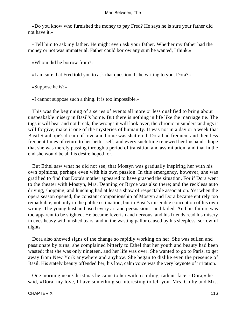«Do you know who furnished the money to pay Fred? He says he is sure your father did not have it.»

 «Tell him to ask my father. He might even ask your father. Whether my father had the money or not was immaterial. Father could borrow any sum he wanted, I think.»

«Whom did he borrow from?»

«I am sure that Fred told you to ask that question. Is he writing to you, Dora?»

«Suppose he is?»

«I cannot suppose such a thing. It is too impossible.»

 This was the beginning of a series of events all more or less qualified to bring about unspeakable misery in Basil's home. But there is nothing in life like the marriage tie. The tugs it will bear and not break, the wrongs it will look over, the chronic misunderstandings it will forgive, make it one of the mysteries of humanity. It was not in a day or a week that Basil Stanhope's dream of love and home was shattered. Dora had frequent and then less frequent times of return to her better self; and every such time renewed her husband's hope that she was merely passing through a period of transition and assimilation, and that in the end she would be all his desire hoped for.

 But Ethel saw what he did not see, that Mostyn was gradually inspiring her with his own opinions, perhaps even with his own passion. In this emergency, however, she was gratified to find that Dora's mother appeared to have grasped the situation. For if Dora went to the theater with Mostyn, Mrs. Denning or Bryce was also there; and the reckless auto driving, shopping, and lunching had at least a show of respectable association. Yet when the opera season opened, the constant companionship of Mostyn and Dora became entirely too remarkable, not only in the public estimation, but in Basil's miserable conception of his own wrong. The young husband used every art and persuasion – and failed. And his failure was too apparent to be slighted. He became feverish and nervous, and his friends read his misery in eyes heavy with unshed tears, and in the wasting pallor caused by his sleepless, sorrowful nights.

 Dora also showed signs of the change so rapidly working on her. She was sullen and passionate by turns; she complained bitterly to Ethel that her youth and beauty had been wasted; that she was only nineteen, and her life was over. She wanted to go to Paris, to get away from New York anywhere and anyhow. She began to dislike even the presence of Basil. His stately beauty offended her, his low, calm voice was the very keynote of irritation.

 One morning near Christmas he came to her with a smiling, radiant face. «Dora,» he said, «Dora, my love, I have something so interesting to tell you. Mrs. Colby and Mrs.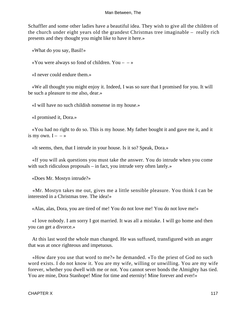Schaffler and some other ladies have a beautiful idea. They wish to give all the children of the church under eight years old the grandest Christmas tree imaginable – really rich presents and they thought you might like to have it here.»

«What do you say, Basil!»

«You were always so fond of children. You  $\rightarrow$ 

«I never could endure them.»

 «We all thought you might enjoy it. Indeed, I was so sure that I promised for you. It will be such a pleasure to me also, dear.»

«I will have no such childish nonsense in my house.»

«I promised it, Dora.»

 «You had no right to do so. This is my house. My father bought it and gave me it, and it is my own.  $I - \rightarrow$ 

«It seems, then, that I intrude in your house. Is it so? Speak, Dora.»

 «If you will ask questions you must take the answer. You do intrude when you come with such ridiculous proposals – in fact, you intrude very often lately.»

«Does Mr. Mostyn intrude?»

 «Mr. Mostyn takes me out, gives me a little sensible pleasure. You think I can be interested in a Christmas tree. The idea!»

«Alas, alas, Dora, you are tired of me! You do not love me! You do not love me!»

 «I love nobody. I am sorry I got married. It was all a mistake. I will go home and then you can get a divorce.»

 At this last word the whole man changed. He was suffused, transfigured with an anger that was at once righteous and impetuous.

 «How dare you use that word to me?» he demanded. «To the priest of God no such word exists. I do not know it. You are my wife, willing or unwilling. You are my wife forever, whether you dwell with me or not. You cannot sever bonds the Almighty has tied. You are mine, Dora Stanhope! Mine for time and eternity! Mine forever and ever!»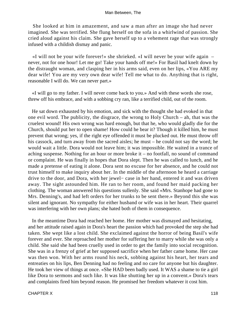She looked at him in amazement, and saw a man after an image she had never imagined. She was terrified. She flung herself on the sofa in a whirlwind of passion. She cried aloud against his claim. She gave herself up to a vehement rage that was strongly infused with a childish dismay and panic.

 «I will not be your wife forever!» she shrieked. «I will never be your wife again – never, not for one hour! Let me go! Take your hands off me!» For Basil had knelt down by the distraught woman, and clasping her in his arms said, even on her lips, «You ARE my dear wife! You are my very own dear wife! Tell me what to do. Anything that is right, reasonable I will do. We can never part.»

 «I will go to my father. I will never come back to you.» And with these words she rose, threw off his embrace, and with a sobbing cry ran, like a terrified child, out of the room.

 He sat down exhausted by his emotion, and sick with the thought she had evoked in that one evil word. The publicity, the disgrace, the wrong to Holy Church – ah, that was the cruelest wound! His own wrong was hard enough, but that he, who would gladly die for the Church, should put her to open shame! How could he bear it? Though it killed him, he must prevent that wrong; yes, if the right eye offended it must be plucked out. He must throw off his cassock, and turn away from the sacred aisles; he must – he could not say the word; he would wait a little. Dora would not leave him; it was impossible. He waited in a trance of aching suspense. Nothing for an hour or more broke it – no footfall, no sound of command or complaint. He was finally in hopes that Dora slept. Then he was called to lunch, and he made a pretense of eating it alone. Dora sent no excuse for her absence, and he could not trust himself to make inquiry about her. In the middle of the afternoon he heard a carriage drive to the door, and Dora, with her jewel− case in her hand, entered it and was driven away. The sight astounded him. He ran to her room, and found her maid packing her clothing. The woman answered his questions sullenly. She said «Mrs. Stanhope had gone to Mrs. Denning's, and had left orders for her trunks to be sent there.» Beyond this she was silent and ignorant. No sympathy for either husband or wife was in her heart. Their quarrel was interfering with her own plans; she hated both of them in consequence.

 In the meantime Dora had reached her home. Her mother was dismayed and hesitating, and her attitude raised again in Dora's heart the passion which had provoked the step she had taken. She wept like a lost child. She exclaimed against the horror of being Basil's wife forever and ever. She reproached her mother for suffering her to marry while she was only a child. She said she had been cruelly used in order to get the family into social recognition. She was in a frenzy of grief at her supposed sacrifice when her father came home. Her case was then won. With her arms round his neck, sobbing against his heart, her tears and entreaties on his lips, Ben Denning had no feeling and no care for anyone but his daughter. He took her view of things at once. «She HAD been badly used. It WAS a shame to tie a girl like Dora to sermons and such like. It was like shutting her up in a convent.» Dora's tears and complaints fired him beyond reason. He promised her freedom whatever it cost him.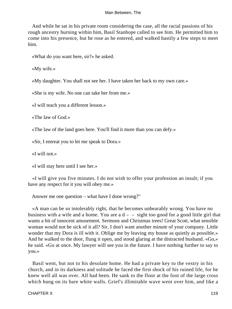And while he sat in his private room considering the case, all the racial passions of his rough ancestry burning within him, Basil Stanhope called to see him. He permitted him to come into his presence, but he rose as he entered, and walked hastily a few steps to meet him.

«What do you want here, sir?» he asked.

«My wife.»

«My daughter. You shall not see her. I have taken her back to my own care.»

«She is my wife. No one can take her from me.»

«I will teach you a different lesson.»

«The law of God.»

«The law of the land goes here. You'll find it more than you can defy.»

«Sir, I entreat you to let me speak to Dora.»

«I will not.»

«I will stay here until I see her.»

 «I will give you five minutes. I do not wish to offer your profession an insult; if you have any respect for it you will obey me.»

Answer me one question – what have I done wrong?"

 «A man can be so intolerably right, that he becomes unbearably wrong. You have no business with a wife and a home. You are a  $d - -$  sight too good for a good little girl that wants a bit of innocent amusement. Sermons and Christmas trees! Great Scott, what sensible woman would not be sick of it all? Sir, I don't want another minute of your company. Little wonder that my Dora is ill with it. Oblige me by leaving my house as quietly as possible.» And he walked to the door, flung it open, and stood glaring at the distracted husband. «Go,» he said. «Go at once. My lawyer will see you in the future. I have nothing further to say to you.»

 Basil went, but not to his desolate home. He had a private key to the vestry in his church, and in its darkness and solitude he faced the first shock of his ruined life, for he knew well all was over. All had been. He sank to the floor at the foot of the large cross which hung on its bare white walls. Grief's illimitable wave went over him, and like a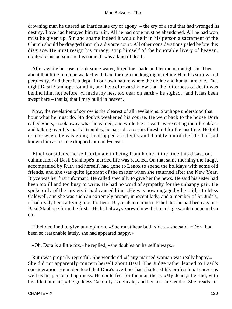drowning man he uttered an inarticulate cry of agony – the cry of a soul that had wronged its destiny. Love had betrayed him to ruin. All he had done must be abandoned. All he had won must be given up. Sin and shame indeed it would be if in his person a sacrament of the Church should be dragged through a divorce court. All other considerations paled before this disgrace. He must resign his curacy, strip himself of the honorable livery of heaven, obliterate his person and his name. It was a kind of death.

 After awhile he rose, drank some water, lifted the shade and let the moonlight in. Then about that little room he walked with God through the long night, telling Him his sorrow and perplexity. And there is a depth in our own nature where the divine and human are one. That night Basil Stanhope found it, and henceforward knew that the bitterness of death was behind him, not before. «I made my nest too dear on earth,» he sighed, "and it has been swept bare – that is, that I may build in heaven.

 Now, the revelation of sorrow is the clearest of all revelations. Stanhope understood that hour what he must do. No doubts weakened his course. He went back to the house Dora called «hers,» took away what he valued, and while the servants were eating their breakfast and talking over his marital troubles, he passed across its threshold for the last time. He told no one where he was going; he dropped as silently and dumbly out of the life that had known him as a stone dropped into mid−ocean.

 Ethel considered herself fortunate in being from home at the time this disastrous culmination of Basil Stanhope's married life was reached. On that same morning the Judge, accompanied by Ruth and herself, had gone to Lenox to spend the holidays with some old friends, and she was quite ignorant of the matter when she returned after the New Year. Bryce was her first informant. He called specially to give her the news. He said his sister had been too ill and too busy to write. He had no word of sympathy for the unhappy pair. He spoke only of the anxiety it had caused him. «He was now engaged,» he said, «to Miss Caldwell, and she was such an extremely proper, innocent lady, and a member of St. Jude's, it had really been a trying time for her.» Bryce also reminded Ethel that he had been against Basil Stanhope from the first. «He had always known how that marriage would end,» and so on.

 Ethel declined to give any opinion. «She must hear both sides,» she said. «Dora had been so reasonable lately, she had appeared happy.»

«Oh, Dora is a little fox,» he replied; «she doubles on herself always.»

 Ruth was properly regretful. She wondered «if any married woman was really happy.» She did not apparently concern herself about Basil. The Judge rather leaned to Basil's consideration. He understood that Dora's overt act had shattered his professional career as well as his personal happiness. He could feel for the man there. «My dears,» he said, with his dilettante air, «the goddess Calamity is delicate, and her feet are tender. She treads not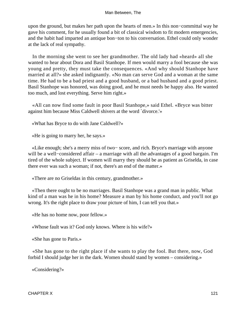upon the ground, but makes her path upon the hearts of men.» In this non−committal way he gave his comment, for he usually found a bit of classical wisdom to fit modern emergencies, and the habit had imparted an antique bon−ton to his conversation. Ethel could only wonder at the lack of real sympathy.

 In the morning she went to see her grandmother. The old lady had «heard» all she wanted to hear about Dora and Basil Stanhope. If men would marry a fool because she was young and pretty, they must take the consequences. «And why should Stanhope have married at all?» she asked indignantly. «No man can serve God and a woman at the same time. He had to be a bad priest and a good husband, or a bad husband and a good priest. Basil Stanhope was honored, was doing good, and he must needs be happy also. He wanted too much, and lost everything. Serve him right.»

 «All can now find some fault in poor Basil Stanhope,» said Ethel. «Bryce was bitter against him because Miss Caldwell shivers at the word `divorce.'»

«What has Bryce to do with Jane Caldwell?»

«He is going to marry her, he says.»

 «Like enough; she's a merry miss of two− score, and rich. Bryce's marriage with anyone will be a well−considered affair – a marriage with all the advantages of a good bargain. I'm tired of the whole subject. If women will marry they should be as patient as Griselda, in case there ever was such a woman; if not, there's an end of the matter.»

«There are no Griseldas in this century, grandmother.»

 «Then there ought to be no marriages. Basil Stanhope was a grand man in public. What kind of a man was he in his home? Measure a man by his home conduct, and you'll not go wrong. It's the right place to draw your picture of him, I can tell you that.»

«He has no home now, poor fellow.»

«Whose fault was it? God only knows. Where is his wife?»

«She has gone to Paris.»

 «She has gone to the right place if she wants to play the fool. But there, now, God forbid I should judge her in the dark. Women should stand by women – considering.»

«Considering?»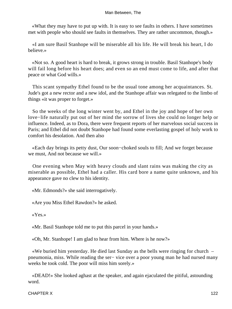«What they may have to put up with. It is easy to see faults in others. I have sometimes met with people who should see faults in themselves. They are rather uncommon, though.»

 «I am sure Basil Stanhope will be miserable all his life. He will break his heart, I do believe.»

 «Not so. A good heart is hard to break, it grows strong in trouble. Basil Stanhope's body will fail long before his heart does; and even so an end must come to life, and after that peace or what God wills.»

 This scant sympathy Ethel found to be the usual tone among her acquaintances. St. Jude's got a new rector and a new idol, and the Stanhope affair was relegated to the limbo of things «it was proper to forget.»

 So the weeks of the long winter went by, and Ethel in the joy and hope of her own love−life naturally put out of her mind the sorrow of lives she could no longer help or influence. Indeed, as to Dora, there were frequent reports of her marvelous social success in Paris; and Ethel did not doubt Stanhope had found some everlasting gospel of holy work to comfort his desolation. And then also

 «Each day brings its petty dust, Our soon−choked souls to fill; And we forget because we must, And not because we will.»

 One evening when May with heavy clouds and slant rains was making the city as miserable as possible, Ethel had a caller. His card bore a name quite unknown, and his appearance gave no clew to his identity.

«Mr. Edmonds?» she said interrogatively.

«Are you Miss Ethel Rawdon?» he asked.

«Yes.»

«Mr. Basil Stanhope told me to put this parcel in your hands.»

«Oh, Mr. Stanhope! I am glad to hear from him. Where is he now?»

 «We buried him yesterday. He died last Sunday as the bells were ringing for church – pneumonia, miss. While reading the ser− vice over a poor young man he had nursed many weeks he took cold. The poor will miss him sorely.»

 «DEAD!» She looked aghast at the speaker, and again ejaculated the pitiful, astounding word.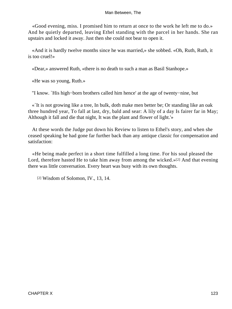«Good evening, miss. I promised him to return at once to the work he left me to do.» And he quietly departed, leaving Ethel standing with the parcel in her hands. She ran upstairs and locked it away. Just then she could not bear to open it.

 «And it is hardly twelve months since he was married,» she sobbed. «Oh, Ruth, Ruth, it is too cruel!»

«Dear,» answered Ruth, «there is no death to such a man as Basil Stanhope.»

«He was so young, Ruth.»

"I know. `His high−born brothers called him hence' at the age of twenty−nine, but

 «`It is not growing like a tree, In bulk, doth make men better be; Or standing like an oak three hundred year, To fall at last, dry, bald and sear: A lily of a day Is fairer far in May; Although it fall and die that night, It was the plant and flower of light.'»

 At these words the Judge put down his Review to listen to Ethel's story, and when she ceased speaking he had gone far further back than any antique classic for compensation and satisfaction:

 «He being made perfect in a short time fulfilled a long time. For his soul pleased the Lord, therefore hasted He to take him away from among the wicked.»[2] And that evening there was little conversation. Every heart was busy with its own thoughts.

[2] Wisdom of Solomon, IV., 13, 14.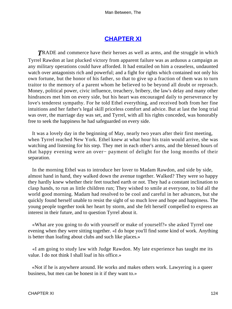### **[CHAPTER XI](#page-152-0)**

**TRADE** and commerce have their heroes as well as arms, and the struggle in which Tyrrel Rawdon at last plucked victory from apparent failure was as arduous a campaign as any military operations could have afforded. It had entailed on him a ceaseless, undaunted watch over antagonists rich and powerful; and a fight for rights which contained not only his own fortune, but the honor of his father, so that to give up a fraction of them was to turn traitor to the memory of a parent whom he believed to be beyond all doubt or reproach. Money, political power, civic influence, treachery, bribery, the law's delay and many other hindrances met him on every side, but his heart was encouraged daily to perseverance by love's tenderest sympathy. For he told Ethel everything, and received both from her fine intuitions and her father's legal skill priceless comfort and advice. But at last the long trial was over, the marriage day was set, and Tyrrel, with all his rights conceded, was honorably free to seek the happiness he had safeguarded on every side.

 It was a lovely day in the beginning of May, nearly two years after their first meeting, when Tyrrel reached New York. Ethel knew at what hour his train would arrive, she was watching and listening for his step. They met in each other's arms, and the blessed hours of that happy evening were an over− payment of delight for the long months of their separation.

 In the morning Ethel was to introduce her lover to Madam Rawdon, and side by side, almost hand in hand, they walked down the avenue together. Walked? They were so happy they hardly knew whether their feet touched earth or not. They had a constant inclination to clasp hands, to run as little children run; They wished to smile at everyone, to bid all the world good morning. Madam had resolved to be cool and careful in her advances, but she quickly found herself unable to resist the sight of so much love and hope and happiness. The young people together took her heart by storm, and she felt herself compelled to express an interest in their future, and to question Tyrrel about it.

 «What are you going to do with yourself or make of yourself?» she asked Tyrrel one evening when they were sitting together. «I do hope you'll find some kind of work. Anything is better than loafing about clubs and such like places.»

 «I am going to study law with Judge Rawdon. My late experience has taught me its value. I do not think I shall loaf in his office.»

 «Not if he is anywhere around. He works and makes others work. Lawyering is a queer business, but men can be honest in it if they want to.»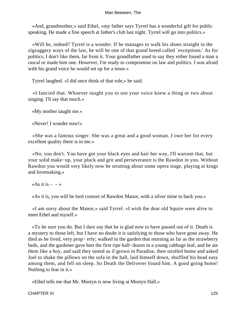«And, grandmother,» said Ethel, «my father says Tyrrel has a wonderful gift for public speaking. He made a fine speech at father's club last night. Tyrrel will go into politics.»

 «Will he, indeed? Tyrrel is a wonder. If he manages to walk his shoes straight in the zigzaggery ways of the law, he will be one of that grand breed called `exceptions.' As for politics, I don't like them, far from it. Your grandfather used to say they either found a man a rascal or made him one. However, I'm ready to compromise on law and politics. I was afraid with his grand voice he would set up for a tenor.»

Tyrrel laughed. «I did once think of that role,» he said.

 «I fancied that. Whoever taught you to use your voice knew a thing or two about singing. I'll say that much.»

«My mother taught me.»

«Never! I wonder now!»

 «She was a famous singer. She was a great and a good woman. I owe her for every excellent quality there is in me.»

 «No, you don't. You have got your black eyes and hair her way, I'll warrant that, but your solid make−up, your pluck and grit and perseverance is the Rawdon in you. Without Rawdon you would very likely now be strutting about some opera stage, playing at kings and lovemaking.»

«As it is  $- - \infty$ 

«As it is, you will be lord consort of Rawdon Manor, with a silver mine to back you.»

 «I am sorry about the Manor,» said Tyrrel. «I wish the dear old Squire were alive to meet Ethel and myself.»

 «To be sure you do. But I dare say that he is glad now to have passed out of it. Death is a mystery to those left, but I have no doubt it is satisfying to those who have gone away. He died as he lived, very prop− erly; walked in the garden that morning as far as the strawberry beds, and the gardener gave him the first ripe half−dozen in a young cabbage leaf, and he ate them like a boy, and said they tasted as if grown in Paradise, then strolled home and asked Joel to shake the pillows on the sofa in the hall, laid himself down, shuffled his head easy among them, and fell on sleep. So Death the Deliverer found him. A good going home! Nothing to fear in it.»

«Ethel tells me that Mr. Mostyn is now living at Mostyn Hall.»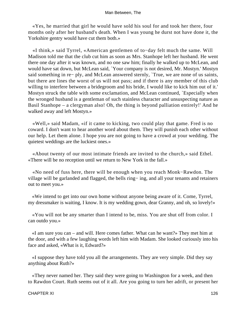«Yes, he married that girl he would have sold his soul for and took her there, four months only after her husband's death. When I was young he durst not have done it, the Yorkshire gentry would have cut them both.»

 «I think,» said Tyrrel, «American gentlemen of to−day felt much the same. Will Madison told me that the club cut him as soon as Mrs. Stanhope left her husband. He went there one day after it was known, and no one saw him; finally he walked up to McLean, and would have sat down, but McLean said, `Your company is not desired, Mr. Mostyn.' Mostyn said something in re− ply, and McLean answered sternly, `True, we are none of us saints, but there are lines the worst of us will not pass; and if there is any member of this club willing to interfere between a bridegroom and his bride, I would like to kick him out of it.' Mostyn struck the table with some exclamation, and McLean continued, `Especially when the wronged husband is a gentleman of such stainless character and unsuspecting nature as Basil Stanhope – a clergyman also! Oh, the thing is beyond palliation entirely!' And he walked away and left Mostyn.»

 «Well,» said Madam, «if it came to kicking, two could play that game. Fred is no coward. I don't want to hear another word about them. They will punish each other without our help. Let them alone. I hope you are not going to have a crowd at your wedding. The quietest weddings are the luckiest ones.»

 «About twenty of our most intimate friends are invited to the church,» said Ethel. «There will be no reception until we return to New York in the fall.»

 «No need of fuss here, there will be enough when you reach Monk−Rawdon. The village will be garlanded and flagged, the bells ring− ing, and all your tenants and retainers out to meet you.»

 «We intend to get into our own home without anyone being aware of it. Come, Tyrrel, my dressmaker is waiting, I know. It is my wedding gown, dear Granny, and oh, so lovely!»

 «You will not be any smarter than I intend to be, miss. You are shut off from color. I can outdo you.»

 «I am sure you can – and will. Here comes father. What can he want?» They met him at the door, and with a few laughing words left him with Madam. She looked curiously into his face and asked, «What is it, Edward?»

 «I suppose they have told you all the arrangements. They are very simple. Did they say anything about Ruth?»

 «They never named her. They said they were going to Washington for a week, and then to Rawdon Court. Ruth seems out of it all. Are you going to turn her adrift, or present her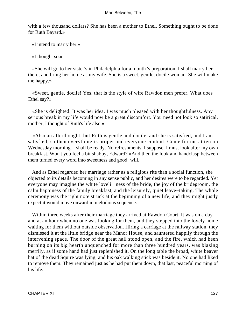with a few thousand dollars? She has been a mother to Ethel. Something ought to be done for Ruth Bayard.»

«I intend to marry her.»

«I thought so.»

 «She will go to her sister's in Philadelphia for a month 's preparation. I shall marry her there, and bring her home as my wife. She is a sweet, gentle, docile woman. She will make me happy.»

 «Sweet, gentle, docile! Yes, that is the style of wife Rawdon men prefer. What does Ethel say?»

 «She is delighted. It was her idea. I was much pleased with her thoughtfulness. Any serious break in my life would now be a great discomfort. You need not look so satirical, mother; I thought of Ruth's life also.»

 «Also an afterthought; but Ruth is gentle and docile, and she is satisfied, and I am satisfied, so then everything is proper and everyone content. Come for me at ten on Wednesday morning. I shall be ready. No refreshments, I suppose. I must look after my own breakfast. Won't you feel a bit shabby, Edward? »And then the look and handclasp between them turned every word into sweetness and good−will.

 And as Ethel regarded her marriage rather as a religious rite than a social function, she objected to its details becoming in any sense public, and her desires were to be regarded. Yet everyone may imagine the white loveli− ness of the bride, the joy of the bridegroom, the calm happiness of the family breakfast, and the leisurely, quiet leave−taking. The whole ceremony was the right note struck at the beginning of a new life, and they might justly expect it would move onward in melodious sequence.

 Within three weeks after their marriage they arrived at Rawdon Court. It was on a day and at an hour when no one was looking for them, and they stepped into the lovely home waiting for them without outside observation. Hiring a carriage at the railway station, they dismissed it at the little bridge near the Manor House, and sauntered happily through the intervening space. The door of the great hall stood open, and the fire, which had been burning on its big hearth unquenched for more than three hundred years, was blazing merrily, as if some hand had just replenished it. On the long table the broad, white beaver hat of the dead Squire was lying, and his oak walking stick was beside it. No one had liked to remove them. They remained just as he had put them down, that last, peaceful morning of his life.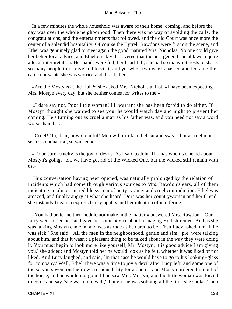In a few minutes the whole household was aware of their home−coming, and before the day was over the whole neighborhood. Then there was no way of avoiding the calls, the congratulations, and the entertainments that followed, and the old Court was once more the center of a splendid hospitality. Of course the Tyrrel−Rawdons were first on the scene, and Ethel was genuinely glad to meet again the good−natured Mrs. Nicholas. No one could give her better local advice, and Ethel quickly discovered that the best general social laws require a local interpretation. Her hands were full, her heart full, she had so many interests to share, so many people to receive and to visit, and yet when two weeks passed and Dora neither came nor wrote she was worried and dissatisfied.

 «Are the Mostyns at the Hall?» she asked Mrs. Nicholas at last. «I have been expecting Mrs. Mostyn every day, but she neither comes nor writes to me.»

 «I dare say not. Poor little woman! I'll warrant she has been forbid to do either. If Mostyn thought she wanted to see you, he would watch day and night to prevent her coming. He's turning out as cruel a man as his father was, and you need not say a word worse than that.»

 «Cruel! Oh, dear, how dreadful! Men will drink and cheat and swear, but a cruel man seems so unnatural, so wicked.»

 «To be sure, cruelty is the joy of devils. As I said to John Thomas when we heard about Mostyn's goings−on, we have got rid of the Wicked One, but the wicked still remain with us.»

 This conversation having been opened, was naturally prolonged by the relation of incidents which had come through various sources to Mrs. Rawdon's ears, all of them indicating an almost incredible system of petty tyranny and cruel contradiction. Ethel was amazed, and finally angry at what she heard. Dora was her countrywoman and her friend; she instantly began to express her sympathy and her intention of interfering.

 «You had better neither meddle nor make in the matter,» answered Mrs. Rawdon. «Our Lucy went to see her, and gave her some advice about managing Yorkshiremen. And as she was talking Mostyn came in, and was as rude as he dared to be. Then Lucy asked him `if he was sick.' She said, `All the men in the neighborhood, gentle and sim− ple, were talking about him, and that it wasn't a pleasant thing to be talked about in the way they were doing it. You must begin to look more like yourself, Mr. Mostyn; it is good advice I am giving you,' she added; and Mostyn told her he would look as he felt, whether it was liked or not liked. And Lucy laughed, and said, `In that case he would have to go to his looking−glass for company.' Well, Ethel, there was a time to joy a devil after Lucy left, and some one of the servants went on their own responsibility for a doctor; and Mostyn ordered him out of the house, and he would not go until he saw Mrs. Mostyn; and the little woman was forced to come and say `she was quite well,' though she was sobbing all the time she spoke. Then

CHAPTER XI 128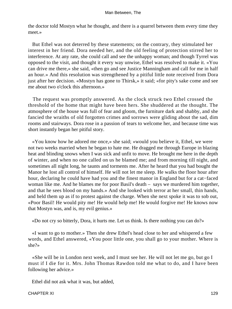the doctor told Mostyn what he thought, and there is a quarrel between them every time they meet.»

 But Ethel was not deterred by these statements; on the contrary, they stimulated her interest in her friend. Dora needed her, and the old feeling of protection stirred her to interference. At any rate, she could call and see the unhappy woman; and though Tyrrel was opposed to the visit, and thought it every way unwise, Ethel was resolved to make it. «You can drive me there,» she said, «then go and see Justice Manningham and call for me in half an hour.» And this resolution was strengthened by a pitiful little note received from Dora just after her decision. «Mostyn has gone to Thirsk,» it said; «for pity's sake come and see me about two o'clock this afternoon.»

 The request was promptly answered. As the clock struck two Ethel crossed the threshold of the home that might have been hers. She shuddered at the thought. The atmosphere of the house was full of fear and gloom, the furniture dark and shabby, and she fancied the wraiths of old forgotten crimes and sorrows were gliding about the sad, dim rooms and stairways. Dora rose in a passion of tears to welcome her, and because time was short instantly began her pitiful story.

 «You know how he adored me once,» she said; «would you believe it, Ethel, we were not two weeks married when he began to hate me. He dragged me through Europe in blazing heat and blinding snows when I was sick and unfit to move. He brought me here in the depth of winter, and when no one called on us he blamed me; and from morning till night, and sometimes all night long, he taunts and torments me. After he heard that you had bought the Manor he lost all control of himself. He will not let me sleep. He walks the floor hour after hour, declaring he could have had you and the finest manor in England but for a cat−faced woman like me. And he blames me for poor Basil's death – says we murdered him together, and that he sees blood on my hands.» And she looked with terror at her small, thin hands, and held them up as if to protest against the charge. When she next spoke it was to sob out, «Poor Basil! He would pity me! He would help me! He would forgive me! He knows now that Mostyn was, and is, my evil genius.»

«Do not cry so bitterly, Dora, it hurts me. Let us think. Is there nothing you can do?»

 «I want to go to mother.» Then she drew Ethel's head close to her and whispered a few words, and Ethel answered, «You poor little one, you shall go to your mother. Where is she?»

 «She will be in London next week, and I must see her. He will not let me go, but go I must if I die for it. Mrs. John Thomas Rawdon told me what to do, and I have been following her advice.»

Ethel did not ask what it was, but added,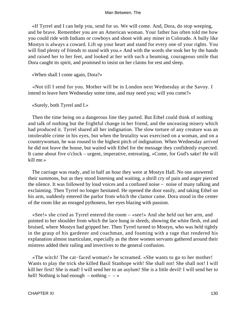«If Tyrrel and I can help you, send for us. We will come. And, Dora, do stop weeping, and be brave. Remember you are an American woman. Your father has often told me how you could ride with Indians or cowboys and shoot with any miner in Colorado. A bully like Mostyn is always a coward. Lift up your heart and stand for every one of your rights. You will find plenty of friends to stand with you.» And with the words she took her by the hands and raised her to her feet, and looked at her with such a beaming, courageous smile that Dora caught its spirit, and promised to insist on her claims for rest and sleep.

«When shall I come again, Dora?»

 «Not till I send for you. Mother will be in London next Wednesday at the Savoy. I intend to leave here Wednesday some time, and may need you; will you come?»

«Surely, both Tyrrel and I.»

 Then the time being on a dangerous line they parted. But Ethel could think of nothing and talk of nothing but the frightful change in her friend, and the unceasing misery which had produced it. Tyrrel shared all her indignation. The slow torture of any creature was an intolerable crime in his eyes, but when the brutality was exercised on a woman, and on a countrywoman, he was roused to the highest pitch of indignation. When Wednesday arrived he did not leave the house, but waited with Ethel for the message they confidently expected. It came about five o'clock – urgent, imperative, entreating, «Come, for God's sake! He will kill me.»

 The carriage was ready, and in half an hour they were at Mostyn Hall. No one answered their summons, but as they stood listening and waiting, a shrill cry of pain and anger pierced the silence. It was followed by loud voices and a confused noise – noise of many talking and exclaiming. Then Tyrrel no longer hesitated. He opened the door easily, and taking Ethel on his arm, suddenly entered the parlor from which the clamor came. Dora stood in the center of the room like an enraged pythoness, her eyes blazing with passion.

 «See!» she cried as Tyrrel entered the room – «see!» And she held out her arm, and pointed to her shoulder from which the lace hung in shreds, showing the white flesh, red and bruised, where Mostyn had gripped her. Then Tyrrel turned to Mostyn, who was held tightly in the grasp of his gardener and coachman, and foaming with a rage that rendered his explanation almost inarticulate, especially as the three women servants gathered around their mistress added their railing and invectives to the general confusion.

 «The witch! The cat−faced woman!» he screamed. «She wants to go to her mother! Wants to play the trick she killed Basil Stanhope with! She shall not! She shall not! I will kill her first! She is mad! I will send her to an asylum! She is a little devil! I will send her to hell! Nothing is bad enough  $-$  nothing  $\rightarrow$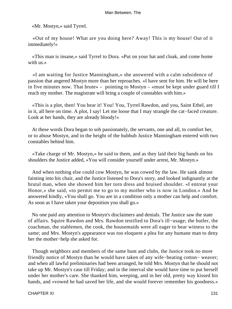«Mr. Mostyn,» said Tyrrel.

 «Out of my house! What are you doing here? Away! This is my house! Out of it immediately!»

 «This man is insane,» said Tyrrel to Dora. «Put on your hat and cloak, and come home with us.»

 «I am waiting for Justice Manningham,» she answered with a calm subsidence of passion that angered Mostyn more than her reproaches. «I have sent for him. He will be here in five minutes now. That brute» – pointing to Mostyn – «must be kept under guard till I reach my mother. The magistrate will bring a couple of constables with him.»

 «This is a plot, then! You hear it! You! You, Tyrrel Rawdon, and you, Saint Ethel, are in it, all here on time. A plot, I say! Let me loose that I may strangle the cat−faced creature. Look at her hands, they are already bloody!»

 At these words Dora began to sob passionately, the servants, one and all, to comfort her, or to abuse Mostyn, and in the height of the hubbub Justice Manningham entered with two constables behind him.

 «Take charge of Mr. Mostyn,» he said to them, and as they laid their big hands on his shoulders the Justice added, «You will consider yourself under arrest, Mr. Mostyn.»

 And when nothing else could cow Mostyn, he was cowed by the law. He sank almost fainting into his chair, and the Justice listened to Dora's story, and looked indignantly at the brutal man, when she showed him her torn dress and bruised shoulder. «I entreat your Honor,» she said, «to permit me to go to my mother who is now in London.» And he answered kindly, «You shall go. You are in a condition only a mother can help and comfort. As soon as I have taken your deposition you shall go.»

 No one paid any attention to Mostyn's disclaimers and denials. The Justice saw the state of affairs. Squire Rawdon and Mrs. Rawdon testified to Dora's ill−usage; the butler, the coachman, the stablemen, the cook, the housemaids were all eager to bear witness to the same; and Mrs. Mostyn's appearance was too eloquent a plea for any humane man to deny her the mother−help she asked for.

 Though neighbors and members of the same hunt and clubs, the Justice took no more friendly notice of Mostyn than he would have taken of any wife−beating cotton− weaver; and when all lawful preliminaries had been arranged, he told Mrs. Mostyn that he should not take up Mr. Mostyn's case till Friday; and in the interval she would have time to put herself under her mother's care. She thanked him, weeping, and in her old, pretty way kissed his hands, and «vowed he had saved her life, and she would forever remember his goodness.»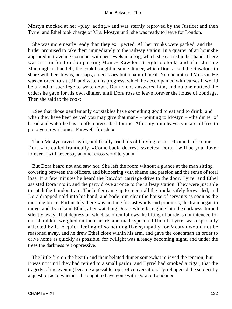Mostyn mocked at her «play−acting,» and was sternly reproved by the Justice; and then Tyrrel and Ethel took charge of Mrs. Mostyn until she was ready to leave for London.

 She was more nearly ready than they ex− pected. All her trunks were packed, and the butler promised to take them immediately to the railway station. In a quarter of an hour she appeared in traveling costume, with her jewels in a bag, which she carried in her hand. There was a train for London passing Monk− Rawdon at eight o'clock; and after Justice Manningham had left, the cook brought in some dinner, which Dora asked the Rawdons to share with her. It was, perhaps, a necessary but a painful meal. No one noticed Mostyn. He was enforced to sit still and watch its progress, which he accompanied with curses it would be a kind of sacrilege to write down. But no one answered him, and no one noticed the orders he gave for his own dinner, until Dora rose to leave forever the house of bondage. Then she said to the cook:

 «See that those gentlemanly constables have something good to eat and to drink, and when they have been served you may give that man» – pointing to Mostyn – «the dinner of bread and water he has so often prescribed for me. After my train leaves you are all free to go to your own homes. Farewell, friends!»

 Then Mostyn raved again, and finally tried his old loving terms. «Come back to me, Dora,» he called frantically. «Come back, dearest, sweetest Dora, I will be your lover forever. I will never say another cross word to you.»

 But Dora heard not and saw not. She left the room without a glance at the man sitting cowering between the officers, and blubbering with shame and passion and the sense of total loss. In a few minutes he heard the Rawdon carriage drive to the door. Tyrrel and Ethel assisted Dora into it, and the party drove at once to the railway station. They were just able to catch the London train. The butler came up to report all the trunks safely forwarded, and Dora dropped gold into his hand, and bade him clear the house of servants as soon as the morning broke. Fortunately there was no time for last words and promises; the train began to move, and Tyrrel and Ethel, after watching Dora's white face glide into the darkness, turned silently away. That depression which so often follows the lifting of burdens not intended for our shoulders weighed on their hearts and made speech difficult. Tyrrel was especially affected by it. A quick feeling of something like sympathy for Mostyn would not be reasoned away, and he drew Ethel close within his arm, and gave the coachman an order to drive home as quickly as possible, for twilight was already becoming night, and under the trees the darkness felt oppressive.

 The little fire on the hearth and their belated dinner somewhat relieved the tension; but it was not until they had retired to a small parlor, and Tyrrel had smoked a cigar, that the tragedy of the evening became a possible topic of conversation. Tyrrel opened the subject by a question as to whether «he ought to have gone with Dora to London.»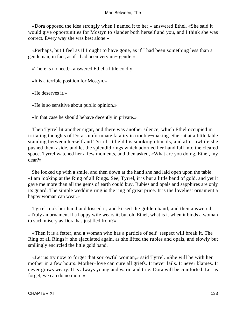«Dora opposed the idea strongly when I named it to her,» answered Ethel. «She said it would give opportunities for Mostyn to slander both herself and you, and I think she was correct. Every way she was best alone.»

 «Perhaps, but I feel as if I ought to have gone, as if I had been something less than a gentleman; in fact, as if I had been very un− gentle.»

«There is no need,» answered Ethel a little coldly.

«It is a terrible position for Mostyn.»

«He deserves it.»

«He is so sensitive about public opinion.»

«In that case he should behave decently in private.»

 Then Tyrrel lit another cigar, and there was another silence, which Ethel occupied in irritating thoughts of Dora's unfortunate fatality in trouble−making. She sat at a little table standing between herself and Tyrrel. It held his smoking utensils, and after awhile she pushed them aside, and let the splendid rings which adorned her hand fall into the cleared space. Tyrrel watched her a few moments, and then asked, «What are you doing, Ethel, my dear?»

 She looked up with a smile, and then down at the hand she had laid open upon the table. «I am looking at the Ring of all Rings. See, Tyrrel, it is but a little band of gold, and yet it gave me more than all the gems of earth could buy. Rubies and opals and sapphires are only its guard. The simple wedding ring is the ring of great price. It is the loveliest ornament a happy woman can wear.»

 Tyrrel took her hand and kissed it, and kissed the golden band, and then answered, «Truly an ornament if a happy wife wears it; but oh, Ethel, what is it when it binds a woman to such misery as Dora has just fled from?»

 «Then it is a fetter, and a woman who has a particle of self−respect will break it. The Ring of all Rings!» she ejaculated again, as she lifted the rubies and opals, and slowly but smilingly encircled the little gold band.

 «Let us try now to forget that sorrowful woman,» said Tyrrel. «She will be with her mother in a few hours. Mother−love can cure all griefs. It never fails. It never blames. It never grows weary. It is always young and warm and true. Dora will be comforted. Let us forget; we can do no more.»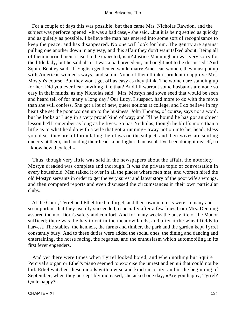For a couple of days this was possible, but then came Mrs. Nicholas Rawdon, and the subject was perforce opened. «It was a bad case,» she said, «but it is being settled as quickly and as quietly as possible. I believe the man has entered into some sort of recognizance to keep the peace, and has disappeared. No one will look for him. The gentry are against pulling one another down in any way, and this affair they don't want talked about. Being all of them married men, it isn't to be expected, is it? Justice Manningham was very sorry for the little lady, but he said also `it was a bad precedent, and ought not to be discussed.' And Squire Bentley said, `If English gentlemen would marry American women, they must put up with American women's ways,' and so on. None of them think it prudent to approve Mrs. Mostyn's course. But they won't get off as easy as they think. The women are standing up for her. Did you ever hear anything like that? And I'll warrant some husbands are none so easy in their minds, as my Nicholas said, `Mrs. Mostyn had sown seed that would be seen and heard tell of for many a long day.' Our Lucy, I suspect, had more to do with the move than she will confess. She got a lot of new, queer notions at college, and I do believe in my heart she set the poor woman up to the business. John Thomas, of course, says not a word, but he looks at Lucy in a very proud kind of way; and I'll be bound he has got an object lesson he'll remember as long as he lives. So has Nicholas, though he bluffs more than a little as to what he'd do with a wife that got a running− away notion into her head. Bless you, dear, they are all formulating their laws on the subject, and their wives are smiling queerly at them, and holding their heads a bit higher than usual. I've been doing it myself, so I know how they feel.»

 Thus, though very little was said in the newspapers about the affair, the notoriety Mostyn dreaded was complete and thorough. It was the private topic of conversation in every household. Men talked it over in all the places where men met, and women hired the old Mostyn servants in order to get the very surest and latest story of the poor wife's wrongs, and then compared reports and even discussed the circumstances in their own particular clubs.

 At the Court, Tyrrel and Ethel tried to forget, and their own interests were so many and so important that they usually succeeded; especially after a few lines from Mrs. Denning assured them of Dora's safety and comfort. And for many weeks the busy life of the Manor sufficed; there was the hay to cut in the meadow lands, and after it the wheat fields to harvest. The stables, the kennels, the farms and timber, the park and the garden kept Tyrrel constantly busy. And to these duties were added the social ones, the dining and dancing and entertaining, the horse racing, the regattas, and the enthusiasm which automobiling in its first fever engenders.

 And yet there were times when Tyrrel looked bored, and when nothing but Squire Percival's organ or Ethel's piano seemed to exorcise the unrest and ennui that could not be hid. Ethel watched these moods with a wise and kind curiosity, and in the beginning of September, when they perceptibly increased, she asked one day, «Are you happy, Tyrrel? Quite happy?»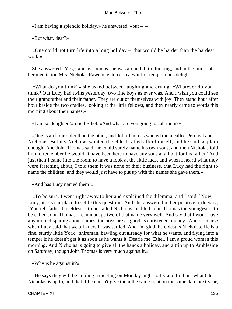«I am having a splendid holiday,» he answered, «but  $- \rightarrow \infty$ 

«But what, dear?»

 «One could not turn life into a long holiday – that would be harder than the hardest work.»

 She answered «Yes,» and as soon as she was alone fell to thinking, and in the midst of her meditation Mrs. Nicholas Rawdon entered in a whirl of tempestuous delight.

 «What do you think?» she asked between laughing and crying. «Whatever do you think? Our Lucy had twins yesterday, two fine boys as ever was. And I wish you could see their grandfather and their father. They are out of themselves with joy. They stand hour after hour beside the two cradles, looking at the little fellows, and they nearly came to words this morning about their names.»

«I am so delighted!» cried Ethel. «And what are you going to call them?»

 «One is an hour older than the other, and John Thomas wanted them called Percival and Nicholas. But my Nicholas wanted the eldest called after himself, and he said so plain enough. And John Thomas said `he could surely name his own sons; and then Nicholas told him to remember he wouldn't have been here to have any sons at all but for his father.' And just then I came into the room to have a look at the little lads, and when I heard what they were fratching about, I told them it was none of their business, that Lucy had the right to name the children, and they would just have to put up with the names she gave them.»

«And has Lucy named them?»

 «To be sure. I went right away to her and explained the dilemma, and I said, `Now, Lucy, it is your place to settle this question.' And she answered in her positive little way, `You tell father the eldest is to be called Nicholas, and tell John Thomas the youngest is to be called John Thomas. I can manage two of that name very well. And say that I won't have any more disputing about names, the boys are as good as christened already.' And of course when Lucy said that we all knew it was settled. And I'm glad the eldest is Nicholas. He is a fine, sturdy little York− shireman, bawling out already for what he wants, and flying into a temper if he doesn't get it as soon as he wants it. Dearie me, Ethel, I am a proud woman this morning. And Nicholas is going to give all the hands a holiday, and a trip up to Ambleside on Saturday, though John Thomas is very much against it.»

«Why is he against it?»

 «He says they will be holding a meeting on Monday night to try and find out what Old Nicholas is up to, and that if he doesn't give them the same treat on the same date next year,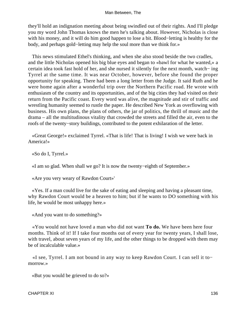they'll hold an indignation meeting about being swindled out of their rights. And I'll pledge you my word John Thomas knows the men he's talking about. However, Nicholas is close with his money, and it will do him good happen to lose a bit. Blood−letting is healthy for the body, and perhaps gold−letting may help the soul more than we think for.»

 This news stimulated Ethel's thinking, and when she also stood beside the two cradles, and the little Nicholas opened his big blue eyes and began to «bawl for what he wanted,» a certain idea took fast hold of her, and she nursed it silently for the next month, watch− ing Tyrrel at the same time. It was near October, however, before she found the proper opportunity for speaking. There had been a long letter from the Judge. It said Ruth and he were home again after a wonderful trip over the Northern Pacific road. He wrote with enthusiasm of the country and its opportunities, and of the big cities they had visited on their return from the Pacific coast. Every word was alive, the magnitude and stir of traffic and wrestling humanity seemed to rustle the paper. He described New York as overflowing with business. His own plans, the plans of others, the jar of politics, the thrill of music and the drama – all the multitudinous vitality that crowded the streets and filled the air, even to the roofs of the twenty−story buildings, contributed to the potent exhilaration of the letter.

 «Great George!» exclaimed Tyrrel. «That is life! That is living! I wish we were back in America!»

«So do I, Tyrrel.»

«I am so glad. When shall we go? It is now the twenty−eighth of September.»

«Are you very weary of Rawdon Court»'

 «Yes. If a man could live for the sake of eating and sleeping and having a pleasant time, why Rawdon Court would be a heaven to him; but if he wants to DO something with his life, he would be most unhappy here.»

«And you want to do something?»

 «You would not have loved a man who did not want **To do.** We have been here four months. Think of it! If I take four months out of every year for twenty years, I shall lose, with travel, about seven years of my life, and the other things to be dropped with them may be of incalculable value.»

 «I see, Tyrrel. I am not bound in any way to keep Rawdon Court. I can sell it to− morrow.»

«But you would be grieved to do so?»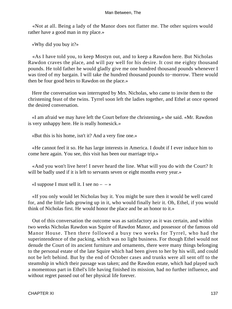«Not at all. Being a lady of the Manor does not flatter me. The other squires would rather have a good man in my place.»

«Why did you buy it?»

 «As I have told you, to keep Mostyn out, and to keep a Rawdon here. But Nicholas Rawdon craves the place, and will pay well for his desire. It cost me eighty thousand pounds. He told father he would gladly give me one hundred thousand pounds whenever I was tired of my bargain. I will take the hundred thousand pounds to−morrow. There would then be four good heirs to Rawdon on the place.»

 Here the conversation was interrupted by Mrs. Nicholas, who came to invite them to the christening feast of the twins. Tyrrel soon left the ladies together, and Ethel at once opened the desired conversation.

 «I am afraid we may have left the Court before the christening,» she said. «Mr. Rawdon is very unhappy here. He is really homesick.»

«But this is his home, isn't it? And a very fine one.»

 «He cannot feel it so. He has large interests in America. I doubt if I ever induce him to come here again. You see, this visit has been our marriage trip.»

 «And you won't live here! I never heard the line. What will you do with the Court? It will be badly used if it is left to servants seven or eight months every year.»

«I suppose I must sell it. I see no  $- - \infty$ 

 «If you only would let Nicholas buy it. You might be sure then it would be well cared for, and the little lads growing up in it, who would finally heir it. Oh, Ethel, if you would think of Nicholas first. He would honor the place and be an honor to it.»

 Out of this conversation the outcome was as satisfactory as it was certain, and within two weeks Nicholas Rawdon was Squire of Rawdon Manor, and possessor of the famous old Manor House. Then there followed a busy two weeks for Tyrrel, who had the superintendence of the packing, which was no light business. For though Ethel would not denude the Court of its ancient furniture and ornaments, there were many things belonging to the personal estate of the late Squire which had been given to her by his will, and could not be left behind. But by the end of October cases and trunks were all sent off to the steamship in which their passage was taken; and the Rawdon estate, which had played such a momentous part in Ethel's life having finished its mission, had no further influence, and without regret passed out of her physical life forever.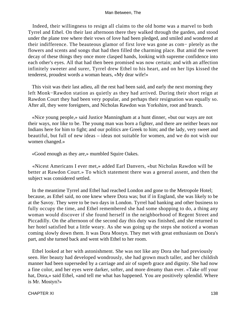Indeed, their willingness to resign all claims to the old home was a marvel to both Tyrrel and Ethel. On their last afternoon there they walked through the garden, and stood under the plane tree where their vows of love had been pledged, and smiled and wondered at their indifference. The beauteous glamor of first love was gone as com− pletely as the flowers and scents and songs that had then filled the charming place. But amid the sweet decay of these things they once more clasped hands, looking with supreme confidence into each other's eyes. All that had then been promised was now certain; and with an affection infinitely sweeter and surer, Tyrrel drew Ethel to his heart, and on her lips kissed the tenderest, proudest words a woman hears, «My dear wife!»

 This visit was their last adieu, all the rest had been said, and early the next morning they left Monk−Rawdon station as quietly as they had arrived. During their short reign at Rawdon Court they had been very popular, and perhaps their resignation was equally so. After all, they were foreigners, and Nicholas Rawdon was Yorkshire, root and branch.

 «Nice young people,» said Justice Manningham at a hunt dinner, «but our ways are not their ways, nor like to be. The young man was born a fighter, and there are neither bears nor Indians here for him to fight; and our politics are Greek to him; and the lady, very sweet and beautiful, but full of new ideas – ideas not suitable for women, and we do not wish our women changed.»

«Good enough as they are,» mumbled Squire Oakes.

 «Nicest Americans I ever met,» added Earl Danvers, «but Nicholas Rawdon will be better at Rawdon Court.» To which statement there was a general assent, and then the subject was considered settled.

 In the meantime Tyrrel and Ethel had reached London and gone to the Metropole Hotel; because, as Ethel said, no one knew where Dora was; but if in England, she was likely to be at the Savoy. They were to be two days in London. Tyrrel had banking and other business to fully occupy the time, and Ethel remembered she had some shopping to do, a thing any woman would discover if she found herself in the neighborhood of Regent Street and Piccadilly. On the afternoon of the second day this duty was finished, and she returned to her hotel satisfied but a little weary. As she was going up the steps she noticed a woman coming slowly down them. It was Dora Mostyn. They met with great enthusiasm on Dora's part, and she turned back and went with Ethel to her room.

 Ethel looked at her with astonishment. She was not like any Dora she had previously seen. Her beauty had developed wondrously, she had grown much taller, and her childish manner had been superseded by a carriage and air of superb grace and dignity. She had now a fine color, and her eyes were darker, softer, and more dreamy than ever. «Take off your hat, Dora,» said Ethel, «and tell me what has happened. You are positively splendid. Where is Mr. Mostyn?»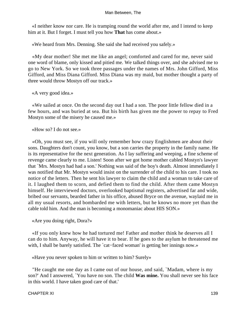«I neither know nor care. He is tramping round the world after me, and I intend to keep him at it. But I forget. I must tell you how **That** has come about.»

«We heard from Mrs. Denning. She said she had received you safely.»

 «My dear mother! She met me like an angel; comforted and cared for me, never said one word of blame, only kissed and pitied me. We talked things over, and she advised me to go to New York. So we took three passages under the names of Mrs. John Gifford, Miss Gifford, and Miss Diana Gifford. Miss Diana was my maid, but mother thought a party of three would throw Mostyn off our track.»

«A very good idea.»

 «We sailed at once. On the second day out I had a son. The poor little fellow died in a few hours, and was buried at sea. But his birth has given me the power to repay to Fred Mostyn some of the misery he caused me.»

«How so? I do not see.»

 «Oh, you must see, if you will only remember how crazy Englishmen are about their sons. Daughters don't count, you know, but a son carries the property in the family name. He is its representative for the next generation. As I lay suffering and weeping, a fine scheme of revenge came clearly to me. Listen! Soon after we got home mother cabled Mostyn's lawyer that `Mrs. Mostyn had had a son.' Nothing was said of the boy's death. Almost immediately I was notified that Mr. Mostyn would insist on the surrender of the child to his care. I took no notice of the letters. Then he sent his lawyer to claim the child and a woman to take care of it. I laughed them to scorn, and defied them to find the child. After them came Mostyn himself. He interviewed doctors, overlooked baptismal registers, advertised far and wide, bribed our servants, bearded father in his office, abused Bryce on the avenue, waylaid me in all my usual resorts, and bombarded me with letters, but he knows no more yet than the cable told him. And the man is becoming a monomaniac about HIS SON.»

«Are you doing right, Dora?»

 «If you only knew how he had tortured me! Father and mother think he deserves all I can do to him. Anyway, he will have it to bear. If he goes to the asylum he threatened me with, I shall be barely satisfied. The `cat−faced woman' is getting her innings now.»

«Have you never spoken to him or written to him? Surely»

 "He caught me one day as I came out of our house, and said, `Madam, where is my son?' And I answered, `You have no son. The child **Was mine.** You shall never see his face in this world. I have taken good care of that.'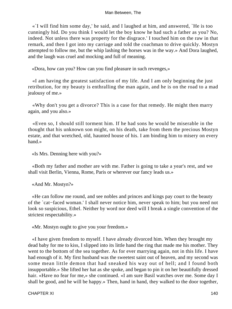«`I will find him some day,' he said, and I laughed at him, and answered, `He is too cunningly hid. Do you think I would let the boy know he had such a father as you? No, indeed. Not unless there was property for the disgrace.' I touched him on the raw in that remark, and then I got into my carriage and told the coachman to drive quickly. Mostyn attempted to follow me, but the whip lashing the horses was in the way.» And Dora laughed, and the laugh was cruel and mocking and full of meaning.

«Dora, how can you? How can you find pleasure in such revenges,»

 «I am having the greatest satisfaction of my life. And I am only beginning the just retribution, for my beauty is enthralling the man again, and he is on the road to a mad jealousy of me.»

 «Why don't you get a divorce? This is a case for that remedy. He might then marry again, and you also.»

 «Even so, I should still torment him. If he had sons he would be miserable in the thought that his unknown son might, on his death, take from them the precious Mostyn estate, and that wretched, old, haunted house of his. I am binding him to misery on every hand.»

«Is Mrs. Denning here with you?»

 «Both my father and mother are with me. Father is going to take a year's rest, and we shall visit Berlin, Vienna, Rome, Paris or wherever our fancy leads us.»

«And Mr. Mostyn?»

 «He can follow me round, and see nobles and princes and kings pay court to the beauty of the `cat−faced woman.' I shall never notice him, never speak to him; but you need not look so suspicious, Ethel. Neither by word nor deed will I break a single convention of the strictest respectability.»

«Mr. Mostyn ought to give you your freedom.»

 «I have given freedom to myself. I have already divorced him. When they brought my dead baby for me to kiss, I slipped into its little hand the ring that made me his mother. They went to the bottom of the sea together. As for ever marrying again, not in this life. I have had enough of it. My first husband was the sweetest saint out of heaven, and my second was some mean little demon that had sneaked his way out of hell; and I found both insupportable.» She lifted her hat as she spoke, and began to pin it on her beautifully dressed hair. «Have no fear for me,» she continued. «I am sure Basil watches over me. Some day I shall be good, and he will be happy.» Then, hand in hand, they walked to the door together,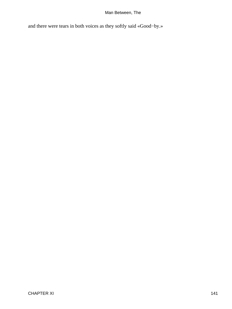and there were tears in both voices as they softly said «Good−by.»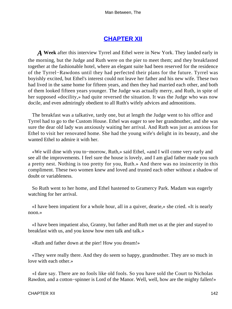## **[CHAPTER XII](#page-152-0)**

*A* **Week** after this interview Tyrrel and Ethel were in New York. They landed early in the morning, but the Judge and Ruth were on the pier to meet them; and they breakfasted together at the fashionable hotel, where an elegant suite had been reserved for the residence of the Tyrrel−Rawdons until they had perfected their plans for the future. Tyrrel was boyishly excited, but Ethel's interest could not leave her father and his new wife. These two had lived in the same home for fifteen years, and then they had married each other, and both of them looked fifteen years younger. The Judge was actually merry, and Ruth, in spite of her supposed «docility,» had quite reversed the situation. It was the Judge who was now docile, and even admiringly obedient to all Ruth's wifely advices and admonitions.

 The breakfast was a talkative, tardy one, but at length the Judge went to his office and Tyrrel had to go to the Custom House. Ethel was eager to see her grandmother, and she was sure the dear old lady was anxiously waiting her arrival. And Ruth was just as anxious for Ethel to visit her renovated home. She had the young wife's delight in its beauty, and she wanted Ethel to admire it with her.

 «We will dine with you to−morrow, Ruth,» said Ethel, «and I will come very early and see all the improvements. I feel sure the house is lovely, and I am glad father made you such a pretty nest. Nothing is too pretty for you, Ruth.» And there was no insincerity in this compliment. These two women knew and loved and trusted each other without a shadow of doubt or variableness.

 So Ruth went to her home, and Ethel hastened to Gramercy Park. Madam was eagerly watching for her arrival.

 «I have been impatient for a whole hour, all in a quiver, dearie,» she cried. «It is nearly noon.»

 «I have been impatient also, Granny, but father and Ruth met us at the pier and stayed to breakfast with us, and you know how men talk and talk.»

«Ruth and father down at the pier! How you dream!»

 «They were really there. And they do seem so happy, grandmother. They are so much in love with each other.»

 «I dare say. There are no fools like old fools. So you have sold the Court to Nicholas Rawdon, and a cotton−spinner is Lord of the Manor. Well, well, how are the mighty fallen!»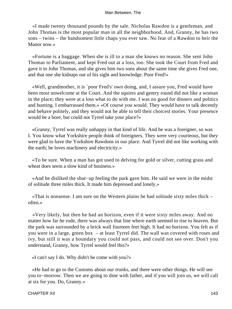«I made twenty thousand pounds by the sale. Nicholas Rawdon is a gentleman, and John Thomas is the most popular man in all the neighborhood. And, Granny, he has two sons – twins – the handsomest little chaps you ever saw. No fear of a Rawdon to heir the Manor now.»

 «Fortune is a baggage. When she is ill to a man she knows no reason. She sent John Thomas to Parliament, and kept Fred out at a loss, too. She took the Court from Fred and gave it to John Thomas, and she gives him two sons about the same time she gives Fred one, and that one she kidnaps out of his sight and knowledge. Poor Fred!»

 «Well, grandmother, it is `poor Fred's' own doing, and, I assure you, Fred would have been most unwelcome at the Court. And the squires and gentry round did not like a woman in the place; they were at a loss what to do with me. I was no good for dinners and politics and hunting. I embarrassed them.» «Of course you would. They would have to talk decently and behave politely, and they would not be able to tell their choicest stories. Your presence would be a bore; but could not Tyrrel take your place?»

 «Granny, Tyrrel was really unhappy in that kind of life. And he was a foreigner, so was I. You know what Yorkshire people think of foreigners. They were very courteous, but they were glad to have the Yorkshire Rawdons in our place. And Tyrrel did not like working with the earth; he loves machinery and electricity.»

 «To be sure. When a man has got used to delving for gold or silver, cutting grass and wheat does seem a slow kind of business.»

 «And he disliked the shut−up feeling the park gave him. He said we were in the midst of solitude three miles thick. It made him depressed and lonely.»

 «That is nonsense. I am sure on the Western plains he had solitude sixty miles thick – often.»

 «Very likely, but then he had an horizon, even if it were sixty miles away. And no matter how far he rode, there was always that line where earth seemed to rise to heaven. But the park was surrounded by a brick wall fourteen feet high. It had no horizon. You felt as if you were in a large, green box – at least Tyrrel did. The wall was covered with roses and ivy, but still it was a boundary you could not pass, and could not see over. Don't you understand, Granny, how Tyrrel would feel this?»

«I can't say I do. Why didn't he come with you?»

 «He had to go to the Customs about our trunks, and there were other things. He will see you to−morrow. Then we are going to dine with father, and if you will join us, we will call at six for you. Do, Granny.»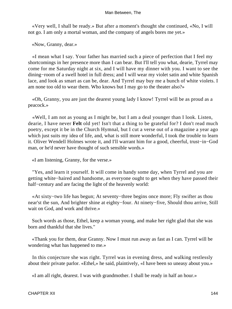«Very well, I shall be ready.» But after a moment's thought she continued, «No, I will not go. I am only a mortal woman, and the company of angels bores me yet.»

«Now, Granny, dear.»

 «I mean what I say. Your father has married such a piece of perfection that I feel my shortcomings in her presence more than I can bear. But I'll tell you what, dearie, Tyrrel may come for me Saturday night at six, and I will have my dinner with you. I want to see the dining−room of a swell hotel in full dress; and I will wear my violet satin and white Spanish lace, and look as smart as can be, dear. And Tyrrel may buy me a bunch of white violets. I am none too old to wear them. Who knows but I may go to the theater also?»

 «Oh, Granny, you are just the dearest young lady I know! Tyrrel will be as proud as a peacock.»

 «Well, I am not as young as I might be, but I am a deal younger than I look. Listen, dearie, I have never **Felt** old yet! Isn't that a thing to be grateful for? I don't read much poetry, except it be in the Church Hymnal, but I cut a verse out of a magazine a year ago which just suits my idea of life, and, what is still more wonderful, I took the trouble to learn it. Oliver Wendell Holmes wrote it, and I'll warrant him for a good, cheerful, trust−in−God man, or he'd never have thought of such sensible words.»

«I am listening, Granny, for the verse.»

 "Yes, and learn it yourself. It will come in handy some day, when Tyrrel and you are getting white−haired and handsome, as everyone ought to get when they have passed their half−century and are facing the light of the heavenly world:

 «At sixty−two life has begun; At seventy−three begins once more; Fly swifter as thou near'st the sun, And brighter shine at eighty−four. At ninety−five, Should thou arrive, Still wait on God, and work and thrive.»

 Such words as those, Ethel, keep a woman young, and make her right glad that she was born and thankful that she lives."

 «Thank you for them, dear Granny. Now I must run away as fast as I can. Tyrrel will be wondering what has happened to me.»

 In this conjecture she was right. Tyrrel was in evening dress, and walking restlessly about their private parlor. «Ethel,» he said, plaintively, «I have been so uneasy about you.»

«I am all right, dearest. I was with grandmother. I shall be ready in half an hour.»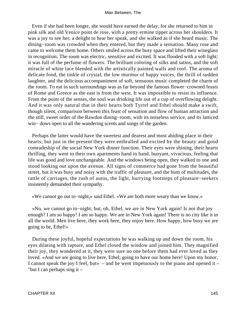Even if she had been longer, she would have earned the delay, for she returned to him in pink silk and old Venice point de rose, with a pretty ermine tippet across her shoulders. It was a joy to see her, a delight to hear her speak, and she walked as if she heard music. The dining−room was crowded when they entered, but they made a sensation. Many rose and came to welcome them home. Others smiled across the busy space and lifted their wineglass in recognition. The room was electric, sensitive and excited. It was flooded with a soft light; it was full of the perfume of flowers. The brilliant coloring of silks and satins, and the soft miracle of white lace blended with the artistically painted walls and roof. The aroma of delicate food, the tinkle of crystal, the low murmur of happy voices, the thrill of sudden laughter, and the delicious accompaniment of soft, sensuous music completed the charm of the room. To eat in such surroundings was as far beyond the famous flower−crowned feasts of Rome and Greece as the east is from the west. It was impossible to resist its influence. From the point of the senses, the soul was drinking life out of a cup of overflowing delight. And it was only natural that in their hearts both Tyrrel and Ethel should make a swift, though silent, comparison between this feast of sensation and flow of human attraction and the still, sweet order of the Rawdon dining−room, with its noiseless service, and its latticed win− dows open to all the wandering scents and songs of the garden.

 Perhaps the latter would have the sweetest and dearest and most abiding place in their hearts; but just in the present they were enthralled and excited by the beauty and good comradeship of the social New York dinner function. Their eyes were shining, their hearts thrilling, they went to their own apartments hand in hand, buoyant, vivacious, feeling that life was good and love unchangeable. And the windows being open, they walked to one and stood looking out upon the avenue. All signs of commerce had gone from the beautiful street, but it was busy and noisy with the traffic of pleasure, and the hum of multitudes, the rattle of carriages, the rush of autos, the light, hurrying footsteps of pleasure−seekers insistently demanded their sympathy.

«We cannot go out to−night,» said Ethel. «We are both more weary than we know.»

 «No, we cannot go to−night; but, oh, Ethel, we are in New York again! Is not that joy enough? I am so happy! I am so happy. We are in New York again! There is no city like it in all the world. Men live here, they work here, they enjoy here. How happy, how busy we are going to be, Ethel!»

 During these joyful, hopeful expectations he was walking up and down the room, his eyes dilating with rapture, and Ethel closed the window and joined him. They magnified their joy, they wondered at it, they were sure no one before them had ever loved as they loved. «And we are going to live here, Ethel; going to have our home here! Upon my honor, I cannot speak the joy I feel, but  $\rightarrow$  – and he went impetuously to the piano and opened it – "but I can perhaps sing it  $-$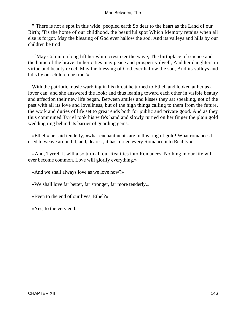"`There is not a spot in this wide−peopled earth So dear to the heart as the Land of our Birth; 'Tis the home of our childhood, the beautiful spot Which Memory retains when all else is forgot. May the blessing of God ever hallow the sod, And its valleys and hills by our children be trod!

 «`May Columbia long lift her white crest o'er the wave, The birthplace of science and the home of the brave. In her cities may peace and prosperity dwell, And her daughters in virtue and beauty excel. May the blessing of God ever hallow the sod, And its valleys and hills by our children be trod.'»

 With the patriotic music warbling in his throat he turned to Ethel, and looked at her as a lover can, and she answered the look; and thus leaning toward each other in visible beauty and affection their new life began. Between smiles and kisses they sat speaking, not of the past with all its love and loveliness, but of the high things calling to them from the future, the work and duties of life set to great ends both for public and private good. And as they thus communed Tyrrel took his wife's hand and slowly turned on her finger the plain gold wedding ring behind its barrier of guarding gems.

 «Ethel,» he said tenderly, «what enchantments are in this ring of gold! What romances I used to weave around it, and, dearest, it has turned every Romance into Reality.»

 «And, Tyrrel, it will also turn all our Realities into Romances. Nothing in our life will ever become common. Love will glorify everything.»

«And we shall always love as we love now?»

«We shall love far better, far stronger, far more tenderly.»

«Even to the end of our lives, Ethel?»

«Yes, to the very end.»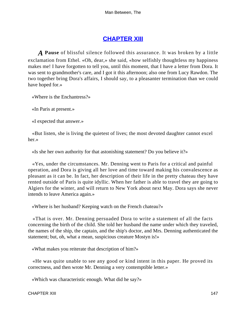## **[CHAPTER XIII](#page-152-0)**

<span id="page-147-0"></span>*A* **Pause** of blissful silence followed this assurance. It was broken by a little exclamation from Ethel. «Oh, dear,» she said, «how selfishly thoughtless my happiness makes me! I have forgotten to tell you, until this moment, that I have a letter from Dora. It was sent to grandmother's care, and I got it this afternoon; also one from Lucy Rawdon. The two together bring Dora's affairs, I should say, to a pleasanter termination than we could have hoped for.»

«Where is the Enchantress?»

«In Paris at present.»

«I expected that answer.»

 «But listen, she is living the quietest of lives; the most devoted daughter cannot excel her.»

«Is she her own authority for that astonishing statement? Do you believe it?»

 «Yes, under the circumstances. Mr. Denning went to Paris for a critical and painful operation, and Dora is giving all her love and time toward making his convalescence as pleasant as it can be. In fact, her description of their life in the pretty chateau they have rented outside of Paris is quite idyllic. When her father is able to travel they are going to Algiers for the winter, and will return to New York about next May. Dora says she never intends to leave America again.»

«Where is her husband? Keeping watch on the French chateau?»

 «That is over. Mr. Denning persuaded Dora to write a statement of all the facts concerning the birth of the child. She told her husband the name under which they traveled, the names of the ship, the captain, and the ship's doctor, and Mrs. Denning authenticated the statement; but, oh, what a mean, suspicious creature Mostyn is!»

«What makes you reiterate that description of him?»

 «He was quite unable to see any good or kind intent in this paper. He proved its correctness, and then wrote Mr. Denning a very contemptible letter.»

«Which was characteristic enough. What did he say?»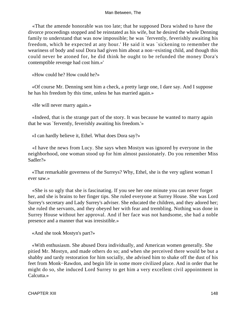«That the amende honorable was too late; that he supposed Dora wished to have the divorce proceedings stopped and be reinstated as his wife, but he desired the whole Denning family to understand that was now impossible; he was `fervently, feverishly awaiting his freedom, which he expected at any hour.' He said it was `sickening to remember the weariness of body and soul Dora had given him about a non−existing child, and though this could never be atoned for, he did think he ought to be refunded the money Dora's contemptible revenge had cost him.»'

«How could he? How could he?»

 «Of course Mr. Denning sent him a check, a pretty large one, I dare say. And I suppose he has his freedom by this time, unless he has married again.»

«He will never marry again.»

 «Indeed, that is the strange part of the story. It was because he wanted to marry again that he was `fervently, feverishly awaiting his freedom.'»

«I can hardly believe it, Ethel. What does Dora say?»

 «I have the news from Lucy. She says when Mostyn was ignored by everyone in the neighborhood, one woman stood up for him almost passionately. Do you remember Miss Sadler?»

 «That remarkable governess of the Surreys? Why, Ethel, she is the very ugliest woman I ever saw.»

 «She is so ugly that she is fascinating. If you see her one minute you can never forget her, and she is brains to her finger tips. She ruled everyone at Surrey House. She was Lord Surrey's secretary and Lady Surrey's adviser. She educated the children, and they adored her; she ruled the servants, and they obeyed her with fear and trembling. Nothing was done in Surrey House without her approval. And if her face was not handsome, she had a noble presence and a manner that was irresistible.»

«And she took Mostyn's part?»

 «With enthusiasm. She abused Dora individually, and American women generally. She pitied Mr. Mostyn, and made others do so; and when she perceived there would be but a shabby and tardy restoration for him socially, she advised him to shake off the dust of his feet from Monk−Rawdon, and begin life in some more civilized place. And in order that he might do so, she induced Lord Surrey to get him a very excellent civil appointment in Calcutta.»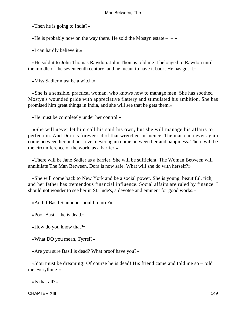«Then he is going to India?»

«He is probably now on the way there. He sold the Mostyn estate  $- \rightarrow \infty$ 

«I can hardly believe it.»

 «He sold it to John Thomas Rawdon. John Thomas told me it belonged to Rawdon until the middle of the seventeenth century, and he meant to have it back. He has got it.»

«Miss Sadler must be a witch.»

 «She is a sensible, practical woman, who knows how to manage men. She has soothed Mostyn's wounded pride with appreciative flattery and stimulated his ambition. She has promised him great things in India, and she will see that he gets them.»

«He must be completely under her control.»

 «She will never let him call his soul his own, but she will manage his affairs to perfection. And Dora is forever rid of that wretched influence. The man can never again come between her and her love; never again come between her and happiness. There will be the circumference of the world as a barrier.»

 «There will be Jane Sadler as a barrier. She will be sufficient. The Woman Between will annihilate The Man Between. Dora is now safe. What will she do with herself?»

 «She will come back to New York and be a social power. She is young, beautiful, rich, and her father has tremendous financial influence. Social affairs are ruled by finance. I should not wonder to see her in St. Jude's, a devotee and eminent for good works.»

«And if Basil Stanhope should return?»

«Poor Basil – he is dead.»

«How do you know that?»

«What DO you mean, Tyrrel?»

«Are you sure Basil is dead? What proof have you?»

 «You must be dreaming! Of course he is dead! His friend came and told me so – told me everything.»

«Is that all?»

CHAPTER XIII 149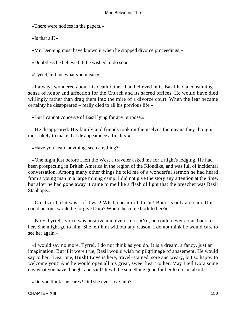«There were notices in the papers.»

«Is that all?»

«Mr. Denning must have known it when he stopped divorce proceedings.»

«Doubtless he believed it; he wished to do so.»

«Tyrrel, tell me what you mean.»

 «I always wondered about his death rather than believed in it. Basil had a consuming sense of honor and affection for the Church and its sacred offices. He would have died willingly rather than drag them into the mire of a divorce court. When the fear became certainty he disappeared – really died to all his previous life.»

«But I cannot conceive of Basil lying for any purpose.»

 «He disappeared. His family and friends took on themselves the means they thought most likely to make that disappearance a finality.»

«Have you heard anything, seen anything?»

 «One night just before I left the West a traveler asked me for a night's lodging. He had been prospecting in British America in the region of the Klondike, and was full of incidental conversation. Among many other things he told me of a wonderful sermon he had heard from a young man in a large mining camp. I did not give the story any attention at the time, but after he had gone away it came to me like a flash of light that the preacher was Basil Stanhope.»

 «Oh, Tyrrel, if it was – if it was! What a beautiful dream! But it is only a dream. If it could be true, would he forgive Dora? Would he come back to her?»

 «No!» Tyrrel's voice was positive and even stern. «No, he could never come back to her. She might go to him. She left him without any reason. I do not think he would care to see her again.»

 «I would say no more, Tyrrel. I do not think as you do. It is a dream, a fancy, just an imagination. But if it were true, Basil would wish no pilgrimage of abasement. He would say to her, `Dear one, **Hush!** Love is here, travel−stained, sore and weary, but so happy to welcome you!' And he would open all his great, sweet heart to her. May I tell Dora some day what you have thought and said? It will be something good for her to dream about.»

«Do you think she cares? Did she ever love him?»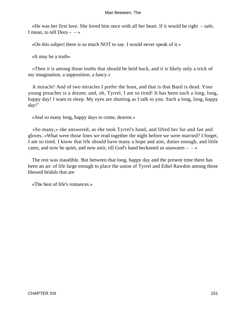«He was her first love. She loved him once with all her heart. If it would be right – safe, I mean, to tell Dora  $-$  – »

«On this subject there is so much NOT to say. I would never speak of it.»

«It may be a truth»

 «Then it is among those truths that should be held back, and it is likely only a trick of my imagination, a supposition, a fancy.»

 A miracle! And of two miracles I prefer the least, and that is that Basil is dead. Your young preacher is a dream; and, oh, Tyrrel, I am so tired! It has been such a long, long, happy day! I want to sleep. My eyes are shutting as I talk to you. Such a long, long, happy day!"

«And so many long, happy days to come, dearest.»

 «So many,» she answered, as she took Tyrrel's hand, and lifted her fur and fan and gloves. «What were those lines we read together the night before we were married? I forget, I am so tired. I know that life should have many a hope and aim, duties enough, and little cares, and now be quiet, and now astir, till God's hand beckoned us unawares  $- \rightarrow \infty$ 

 The rest was inaudible. But between that long, happy day and the present time there has been an arc of life large enough to place the union of Tyrrel and Ethel Rawdon among those blessed bridals that are

«The best of life's romances.»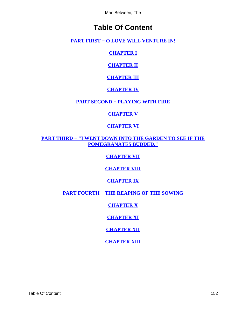# **Table Of Content**

<span id="page-152-0"></span>**PART FIRST – O LOVE WILL VENTURE IN!** 

**[CHAPTER I](#page-4-0)**

**[CHAPTER II](#page-15-0)**

**[CHAPTER III](#page-27-0)**

**[CHAPTER IV](#page-34-0)**

**[PART SECOND − PLAYING WITH FIRE](#page-39-0)**

## **[CHAPTER V](#page-40-0)**

## **[CHAPTER VI](#page-56-0)**

**[PART THIRD − "I WENT DOWN INTO THE GARDEN TO SEE IF THE](#page-74-0) [POMEGRANATES BUDDED."](#page-74-0)**

**[CHAPTER VII](#page-75-0)**

**[CHAPTER VIII](#page-80-0)**

**[CHAPTER IX](#page-100-0)**

**[PART FOURTH − THE REAPING OF THE SOWING](#page-113-0)**

**[CHAPTER X](#page-114-0)**

**[CHAPTER XI](#page-124-0)**

**[CHAPTER XII](#page-142-0)**

**[CHAPTER XIII](#page-147-0)**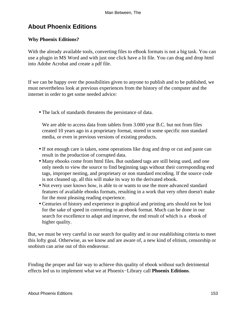# **About Phoenix Editions**

## **Why Phoenix Editions?**

With the already available tools, converting files to eBook formats is not a big task. You can use a plugin in MS Word and with just one click have a lit file. You can drag and drop html into Adobe Acrobat and create a pdf file.

If we can be happy over the possibilities given to anyone to publish and to be published, we must nevertheless look at previous experiences from the history of the computer and the internet in order to get some needed advice:

• The lack of standards threatens the persistance of data.

We are able to access data from tablets from 3.000 year B.C. but not from files created 10 years ago in a proprietary format, stored in some specific non standard media, or even in previous versions of existing products.

- If not enough care is taken, some operations like drag and drop or cut and paste can result in the production of corrupted data.
- Many ebooks come from html files. But outdated tags are still being used, and one only needs to view the source to find beginning tags without their corresponding end tags, improper nesting, and proprietary or non standard encoding. If the source code is not cleaned up, all this will make its way to the derivated ebook.
- Not every user knows how, is able to or wants to use the more advanced standard features of available ebooks formats, resulting in a work that very often doesn't make for the most pleasing reading experience.
- Centuries of history and experience in graphical and printing arts should not be lost for the sake of speed in converting to an ebook format. Much can be done in our search for excellence to adapt and improve, the end result of which is a ebook of higher quality.

But, we must be very careful in our search for quality and in our establishing criteria to meet this lofty goal. Otherwise, as we know and are aware of, a new kind of elitism, censorship or snobism can arise out of this endeavour.

Finding the proper and fair way to achieve this quality of ebook without such detrimental effects led us to implement what we at Phoenix−Library call **Phoenix Editions**.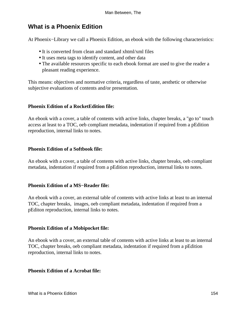## **What is a Phoenix Edition**

At Phoenix−Library we call a Phoenix Edition, an ebook with the following characteristics:

- It is converted from clean and standard xhtml/xml files
- It uses meta tags to identify content, and other data
- The available resources specific to each ebook format are used to give the reader a pleasant reading experience.

This means: objectives and normative criteria, regardless of taste, aesthetic or otherwise subjective evaluations of contents and/or presentation.

## **Phoenix Edition of a RocketEdition file:**

An ebook with a cover, a table of contents with active links, chapter breaks, a "go to" touch access at least to a TOC, oeb compliant metadata, indentation if required from a pEdition reproduction, internal links to notes.

## **Phoenix Edition of a Softbook file:**

An ebook with a cover, a table of contents with active links, chapter breaks, oeb compliant metadata, indentation if required from a pEdition reproduction, internal links to notes.

## **Phoenix Edition of a MS−Reader file:**

An ebook with a cover, an external table of contents with active links at least to an internal TOC, chapter breaks, images, oeb compliant metadata, indentation if required from a pEditon reproduction, internal links to notes.

## **Phoenix Edition of a Mobipocket file:**

An ebook with a cover, an external table of contents with active links at least to an internal TOC, chapter breaks, oeb compliant metadata, indentation if required from a pEdition reproduction, internal links to notes.

## **Phoenix Edition of a Acrobat file:**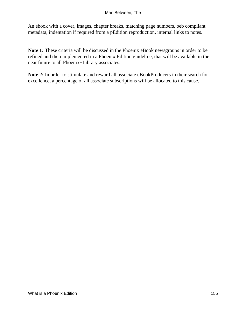An ebook with a cover, images, chapter breaks, matching page numbers, oeb compliant metadata, indentation if required from a pEdition reproduction, internal links to notes.

**Note 1:** These criteria will be discussed in the Phoenix eBook newsgroups in order to be refined and then implemented in a Phoenix Edition guideline, that will be available in the near future to all Phoenix−Library associates.

**Note 2:** In order to stimulate and reward all associate eBookProducers in their search for excellence, a percentage of all associate subscriptions will be allocated to this cause.